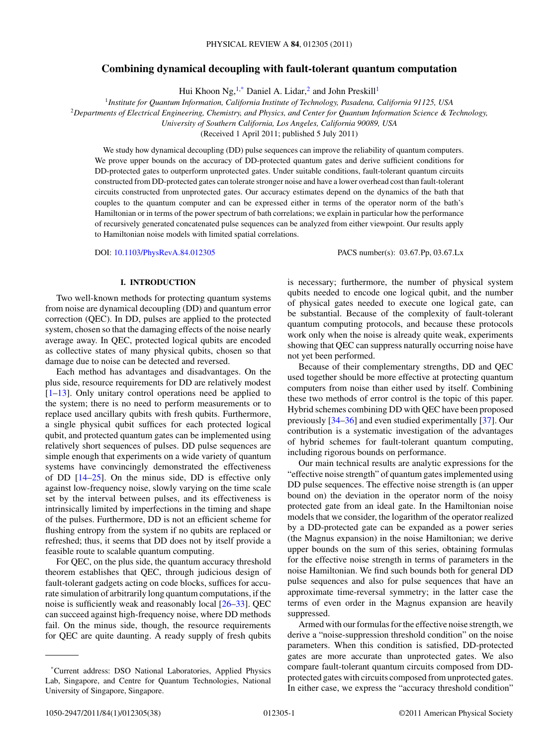## **Combining dynamical decoupling with fault-tolerant quantum computation**

Hui Khoon Ng,  $1$ <sup>\*</sup> Daniel A. Lidar,<sup>2</sup> and John Preskill<sup>1</sup>

<sup>1</sup>*Institute for Quantum Information, California Institute of Technology, Pasadena, California 91125, USA*

<sup>2</sup>*Departments of Electrical Engineering, Chemistry, and Physics, and Center for Quantum Information Science & Technology,*

*University of Southern California, Los Angeles, California 90089, USA*

(Received 1 April 2011; published 5 July 2011)

We study how dynamical decoupling (DD) pulse sequences can improve the reliability of quantum computers. We prove upper bounds on the accuracy of DD-protected quantum gates and derive sufficient conditions for DD-protected gates to outperform unprotected gates. Under suitable conditions, fault-tolerant quantum circuits constructed from DD-protected gates can tolerate stronger noise and have a lower overhead cost than fault-tolerant circuits constructed from unprotected gates. Our accuracy estimates depend on the dynamics of the bath that couples to the quantum computer and can be expressed either in terms of the operator norm of the bath's Hamiltonian or in terms of the power spectrum of bath correlations; we explain in particular how the performance of recursively generated concatenated pulse sequences can be analyzed from either viewpoint. Our results apply to Hamiltonian noise models with limited spatial correlations.

DOI: [10.1103/PhysRevA.84.012305](http://dx.doi.org/10.1103/PhysRevA.84.012305) PACS number(s): 03*.*67*.*Pp, 03*.*67*.*Lx

## **I. INTRODUCTION**

Two well-known methods for protecting quantum systems from noise are dynamical decoupling (DD) and quantum error correction (QEC). In DD, pulses are applied to the protected system, chosen so that the damaging effects of the noise nearly average away. In QEC, protected logical qubits are encoded as collective states of many physical qubits, chosen so that damage due to noise can be detected and reversed.

Each method has advantages and disadvantages. On the plus side, resource requirements for DD are relatively modest  $[1-13]$ . Only unitary control operations need be applied to the system; there is no need to perform measurements or to replace used ancillary qubits with fresh qubits. Furthermore, a single physical qubit suffices for each protected logical qubit, and protected quantum gates can be implemented using relatively short sequences of pulses. DD pulse sequences are simple enough that experiments on a wide variety of quantum systems have convincingly demonstrated the effectiveness of DD [\[14–](#page-36-0)[25\]](#page-37-0). On the minus side, DD is effective only against low-frequency noise, slowly varying on the time scale set by the interval between pulses, and its effectiveness is intrinsically limited by imperfections in the timing and shape of the pulses. Furthermore, DD is not an efficient scheme for flushing entropy from the system if no qubits are replaced or refreshed; thus, it seems that DD does not by itself provide a feasible route to scalable quantum computing.

For QEC, on the plus side, the quantum accuracy threshold theorem establishes that QEC, through judicious design of fault-tolerant gadgets acting on code blocks, suffices for accurate simulation of arbitrarily long quantum computations, if the noise is sufficiently weak and reasonably local [\[26–33\]](#page-37-0). QEC can succeed against high-frequency noise, where DD methods fail. On the minus side, though, the resource requirements for QEC are quite daunting. A ready supply of fresh qubits is necessary; furthermore, the number of physical system qubits needed to encode one logical qubit, and the number of physical gates needed to execute one logical gate, can be substantial. Because of the complexity of fault-tolerant quantum computing protocols, and because these protocols work only when the noise is already quite weak, experiments showing that QEC can suppress naturally occurring noise have not yet been performed.

Because of their complementary strengths, DD and QEC used together should be more effective at protecting quantum computers from noise than either used by itself. Combining these two methods of error control is the topic of this paper. Hybrid schemes combining DD with QEC have been proposed previously [\[34–36\]](#page-37-0) and even studied experimentally [\[37\]](#page-37-0). Our contribution is a systematic investigation of the advantages of hybrid schemes for fault-tolerant quantum computing, including rigorous bounds on performance.

Our main technical results are analytic expressions for the "effective noise strength" of quantum gates implemented using DD pulse sequences. The effective noise strength is (an upper bound on) the deviation in the operator norm of the noisy protected gate from an ideal gate. In the Hamiltonian noise models that we consider, the logarithm of the operator realized by a DD-protected gate can be expanded as a power series (the Magnus expansion) in the noise Hamiltonian; we derive upper bounds on the sum of this series, obtaining formulas for the effective noise strength in terms of parameters in the noise Hamiltonian. We find such bounds both for general DD pulse sequences and also for pulse sequences that have an approximate time-reversal symmetry; in the latter case the terms of even order in the Magnus expansion are heavily suppressed.

Armed with our formulas for the effective noise strength, we derive a "noise-suppression threshold condition" on the noise parameters. When this condition is satisfied, DD-protected gates are more accurate than unprotected gates. We also compare fault-tolerant quantum circuits composed from DDprotected gates with circuits composed from unprotected gates. In either case, we express the "accuracy threshold condition"

<sup>\*</sup>Current address: DSO National Laboratories, Applied Physics Lab, Singapore, and Centre for Quantum Technologies, National University of Singapore, Singapore.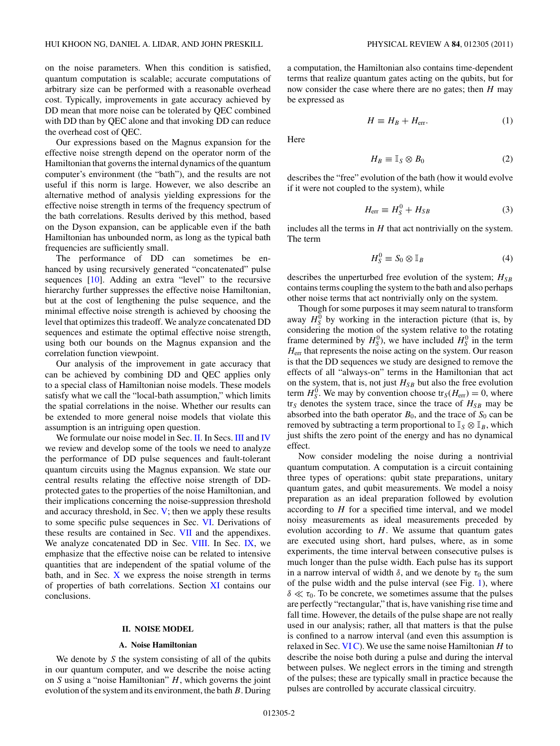<span id="page-1-0"></span>on the noise parameters. When this condition is satisfied, quantum computation is scalable; accurate computations of arbitrary size can be performed with a reasonable overhead cost. Typically, improvements in gate accuracy achieved by DD mean that more noise can be tolerated by QEC combined with DD than by QEC alone and that invoking DD can reduce the overhead cost of QEC.

Our expressions based on the Magnus expansion for the effective noise strength depend on the operator norm of the Hamiltonian that governs the internal dynamics of the quantum computer's environment (the "bath"), and the results are not useful if this norm is large. However, we also describe an alternative method of analysis yielding expressions for the effective noise strength in terms of the frequency spectrum of the bath correlations. Results derived by this method, based on the Dyson expansion, can be applicable even if the bath Hamiltonian has unbounded norm, as long as the typical bath frequencies are sufficiently small.

The performance of DD can sometimes be enhanced by using recursively generated "concatenated" pulse sequences [\[10\]](#page-36-0). Adding an extra "level" to the recursive hierarchy further suppresses the effective noise Hamiltonian, but at the cost of lengthening the pulse sequence, and the minimal effective noise strength is achieved by choosing the level that optimizes this tradeoff. We analyze concatenated DD sequences and estimate the optimal effective noise strength, using both our bounds on the Magnus expansion and the correlation function viewpoint.

Our analysis of the improvement in gate accuracy that can be achieved by combining DD and QEC applies only to a special class of Hamiltonian noise models. These models satisfy what we call the "local-bath assumption," which limits the spatial correlations in the noise. Whether our results can be extended to more general noise models that violate this assumption is an intriguing open question.

We formulate our noise model in Sec. II. In Secs. [III](#page-3-0) and [IV](#page-5-0) we review and develop some of the tools we need to analyze the performance of DD pulse sequences and fault-tolerant quantum circuits using the Magnus expansion. We state our central results relating the effective noise strength of DDprotected gates to the properties of the noise Hamiltonian, and their implications concerning the noise-suppression threshold and accuracy threshold, in Sec. [V;](#page-7-0) then we apply these results to some specific pulse sequences in Sec. [VI.](#page-9-0) Derivations of these results are contained in Sec. [VII](#page-13-0) and the appendixes. We analyze concatenated DD in Sec. [VIII.](#page-18-0) In Sec. [IX,](#page-22-0) we emphasize that the effective noise can be related to intensive quantities that are independent of the spatial volume of the bath, and in Sec.  $X$  we express the noise strength in terms of properties of bath correlations. Section [XI](#page-28-0) contains our conclusions.

### **II. NOISE MODEL**

## **A. Noise Hamiltonian**

We denote by *S* the system consisting of all of the qubits in our quantum computer, and we describe the noise acting on *S* using a "noise Hamiltonian" *H*, which governs the joint evolution of the system and its environment, the bath*B*. During a computation, the Hamiltonian also contains time-dependent terms that realize quantum gates acting on the qubits, but for now consider the case where there are no gates; then *H* may be expressed as

$$
H \equiv H_B + H_{\text{err}}.\tag{1}
$$

Here

$$
H_B \equiv \mathbb{I}_S \otimes B_0 \tag{2}
$$

describes the "free" evolution of the bath (how it would evolve if it were not coupled to the system), while

$$
H_{\rm err} \equiv H_S^0 + H_{SB} \tag{3}
$$

includes all the terms in *H* that act nontrivially on the system. The term

$$
H_S^0 \equiv S_0 \otimes \mathbb{I}_B \tag{4}
$$

describes the unperturbed free evolution of the system;  $H_{SB}$ contains terms coupling the system to the bath and also perhaps other noise terms that act nontrivially only on the system.

Though for some purposes it may seem natural to transform away  $H_S^0$  by working in the interaction picture (that is, by considering the motion of the system relative to the rotating frame determined by  $H_S^0$ , we have included  $H_S^0$  in the term *H*err that represents the noise acting on the system. Our reason is that the DD sequences we study are designed to remove the effects of all "always-on" terms in the Hamiltonian that act on the system, that is, not just  $H_{SB}$  but also the free evolution term  $H_S^0$ . We may by convention choose tr<sub>S</sub>( $H_{\text{err}}$ ) = 0, where  $tr<sub>S</sub>$  denotes the system trace, since the trace of  $H<sub>SB</sub>$  may be absorbed into the bath operator  $B_0$ , and the trace of  $S_0$  can be removed by subtracting a term proportional to  $\mathbb{I}_S \otimes \mathbb{I}_B$ , which just shifts the zero point of the energy and has no dynamical effect.

Now consider modeling the noise during a nontrivial quantum computation. A computation is a circuit containing three types of operations: qubit state preparations, unitary quantum gates, and qubit measurements. We model a noisy preparation as an ideal preparation followed by evolution according to *H* for a specified time interval, and we model noisy measurements as ideal measurements preceded by evolution according to *H*. We assume that quantum gates are executed using short, hard pulses, where, as in some experiments, the time interval between consecutive pulses is much longer than the pulse width. Each pulse has its support in a narrow interval of width  $\delta$ , and we denote by  $\tau_0$  the sum of the pulse width and the pulse interval (see Fig. [1\)](#page-2-0), where  $\delta \ll \tau_0$ . To be concrete, we sometimes assume that the pulses are perfectly "rectangular," that is, have vanishing rise time and fall time. However, the details of the pulse shape are not really used in our analysis; rather, all that matters is that the pulse is confined to a narrow interval (and even this assumption is relaxed in Sec. [VI C\)](#page-12-0). We use the same noise Hamiltonian *H* to describe the noise both during a pulse and during the interval between pulses. We neglect errors in the timing and strength of the pulses; these are typically small in practice because the pulses are controlled by accurate classical circuitry.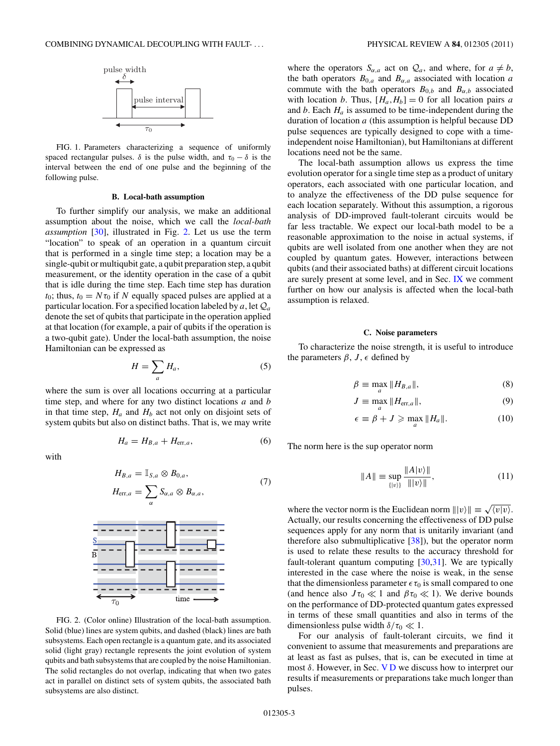<span id="page-2-0"></span>

FIG. 1. Parameters characterizing a sequence of uniformly spaced rectangular pulses.  $\delta$  is the pulse width, and  $\tau_0 - \delta$  is the interval between the end of one pulse and the beginning of the following pulse.

## **B. Local-bath assumption**

To further simplify our analysis, we make an additional assumption about the noise, which we call the *local-bath assumption* [\[30\]](#page-37-0), illustrated in Fig. 2. Let us use the term "location" to speak of an operation in a quantum circuit that is performed in a single time step; a location may be a single-qubit or multiqubit gate, a qubit preparation step, a qubit measurement, or the identity operation in the case of a qubit that is idle during the time step. Each time step has duration *t*<sub>0</sub>; thus,  $t_0 = N\tau_0$  if *N* equally spaced pulses are applied at a particular location. For a specified location labeled by *a*, let Q*<sup>a</sup>* denote the set of qubits that participate in the operation applied at that location (for example, a pair of qubits if the operation is a two-qubit gate). Under the local-bath assumption, the noise Hamiltonian can be expressed as

$$
H = \sum_{a} H_a,\tag{5}
$$

where the sum is over all locations occurring at a particular time step, and where for any two distinct locations *a* and *b* in that time step,  $H_a$  and  $H_b$  act not only on disjoint sets of system qubits but also on distinct baths. That is, we may write

 $H_a = H_{Ba} + H_{err,a}$ , (6)

with

$$
H_{B,a} = \mathbb{I}_{S,a} \otimes B_{0,a},
$$
  
\n
$$
H_{\text{err},a} = \sum S_{\alpha,a} \otimes B_{\alpha,a},
$$
\n(7)



*α*

FIG. 2. (Color online) Illustration of the local-bath assumption. Solid (blue) lines are system qubits, and dashed (black) lines are bath subsystems. Each open rectangle is a quantum gate, and its associated solid (light gray) rectangle represents the joint evolution of system qubits and bath subsystems that are coupled by the noise Hamiltonian. The solid rectangles do not overlap, indicating that when two gates act in parallel on distinct sets of system qubits, the associated bath subsystems are also distinct.

where the operators  $S_{\alpha,a}$  act on  $\mathcal{Q}_a$ , and where, for  $a \neq b$ , the bath operators  $B_{0,a}$  and  $B_{\alpha,a}$  associated with location *a* commute with the bath operators  $B_{0,b}$  and  $B_{\alpha,b}$  associated with location *b*. Thus,  $[H_a, H_b] = 0$  for all location pairs *a* and  $b$ . Each  $H_a$  is assumed to be time-independent during the duration of location *a* (this assumption is helpful because DD pulse sequences are typically designed to cope with a timeindependent noise Hamiltonian), but Hamiltonians at different locations need not be the same.

The local-bath assumption allows us express the time evolution operator for a single time step as a product of unitary operators, each associated with one particular location, and to analyze the effectiveness of the DD pulse sequence for each location separately. Without this assumption, a rigorous analysis of DD-improved fault-tolerant circuits would be far less tractable. We expect our local-bath model to be a reasonable approximation to the noise in actual systems, if qubits are well isolated from one another when they are not coupled by quantum gates. However, interactions between qubits (and their associated baths) at different circuit locations are surely present at some level, and in Sec. [IX](#page-22-0) we comment further on how our analysis is affected when the local-bath assumption is relaxed.

#### **C. Noise parameters**

To characterize the noise strength, it is useful to introduce the parameters  $\beta$ ,  $J$ ,  $\epsilon$  defined by

$$
\beta \equiv \max_{a} \|H_{B,a}\|,\tag{8}
$$

$$
J \equiv \max_{a} \|H_{\text{err},a}\|,\tag{9}
$$

$$
\epsilon \equiv \beta + J \ge \max_{a} \|H_a\|.\tag{10}
$$

The norm here is the sup operator norm

$$
||A|| = \sup_{\{|v\}\} \frac{||A|v\rangle||}{|||v\rangle||},
$$
\n(11)

where the vector norm is the Euclidean norm  $||v|| \equiv \sqrt{\langle v|v \rangle}$ . Actually, our results concerning the effectiveness of DD pulse sequences apply for any norm that is unitarily invariant (and therefore also submultiplicative [\[38\]](#page-37-0)), but the operator norm is used to relate these results to the accuracy threshold for fault-tolerant quantum computing [\[30,31\]](#page-37-0). We are typically interested in the case where the noise is weak, in the sense that the dimensionless parameter  $\epsilon \tau_0$  is small compared to one (and hence also  $J\tau_0 \ll 1$  and  $\beta \tau_0 \ll 1$ ). We derive bounds on the performance of DD-protected quantum gates expressed in terms of these small quantities and also in terms of the dimensionless pulse width  $\delta/\tau_0 \ll 1$ .

For our analysis of fault-tolerant circuits, we find it convenient to assume that measurements and preparations are at least as fast as pulses, that is, can be executed in time at most *δ*. However, in Sec. [V D](#page-9-0) we discuss how to interpret our results if measurements or preparations take much longer than pulses.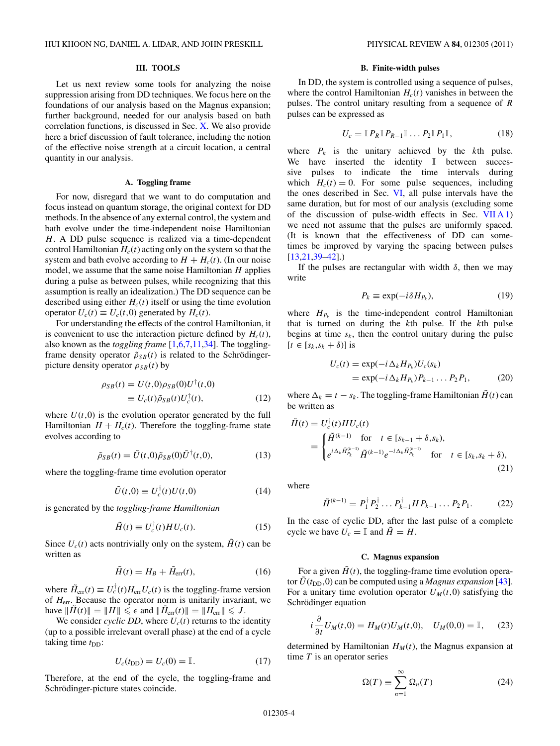## **III. TOOLS**

<span id="page-3-0"></span>Let us next review some tools for analyzing the noise suppression arising from DD techniques. We focus here on the foundations of our analysis based on the Magnus expansion; further background, needed for our analysis based on bath correlation functions, is discussed in Sec. [X.](#page-24-0) We also provide here a brief discussion of fault tolerance, including the notion of the effective noise strength at a circuit location, a central quantity in our analysis.

## **A. Toggling frame**

For now, disregard that we want to do computation and focus instead on quantum storage, the original context for DD methods. In the absence of any external control, the system and bath evolve under the time-independent noise Hamiltonian *H*. A DD pulse sequence is realized via a time-dependent control Hamiltonian  $H_c(t)$  acting only on the system so that the system and bath evolve according to  $H + H_c(t)$ . (In our noise model, we assume that the same noise Hamiltonian *H* applies during a pulse as between pulses, while recognizing that this assumption is really an idealization.) The DD sequence can be described using either  $H_c(t)$  itself or using the time evolution operator  $U_c(t) \equiv U_c(t,0)$  generated by  $H_c(t)$ .

For understanding the effects of the control Hamiltonian, it is convenient to use the interaction picture defined by  $H_c(t)$ , also known as the *toggling frame* [\[1,6,7,11](#page-36-0)[,34\]](#page-37-0). The togglingframe density operator  $\tilde{\rho}_{SB}(t)$  is related to the Schrödingerpicture density operator  $\rho_{SB}(t)$  by

$$
\rho_{SB}(t) = U(t,0)\rho_{SB}(0)U^{\dagger}(t,0)
$$
  

$$
\equiv U_c(t)\tilde{\rho}_{SB}(t)U_c^{\dagger}(t),
$$
 (12)

where  $U(t,0)$  is the evolution operator generated by the full Hamiltonian  $H + H_c(t)$ . Therefore the toggling-frame state evolves according to

$$
\tilde{\rho}_{SB}(t) = \tilde{U}(t,0)\tilde{\rho}_{SB}(0)\tilde{U}^{\dagger}(t,0),\tag{13}
$$

where the toggling-frame time evolution operator

$$
\tilde{U}(t,0) \equiv U_c^{\dagger}(t)U(t,0) \tag{14}
$$

is generated by the *toggling-frame Hamiltonian*

$$
\tilde{H}(t) \equiv U_c^{\dagger}(t) H U_c(t). \tag{15}
$$

Since  $U_c(t)$  acts nontrivially only on the system,  $H(t)$  can be written as

$$
\tilde{H}(t) = H_B + \tilde{H}_{\text{err}}(t),\tag{16}
$$

where  $\tilde{H}_{\text{err}}(t) \equiv U_c^{\dagger}(t) H_{\text{err}} U_c(t)$  is the toggling-frame version of *H*err. Because the operator norm is unitarily invariant, we have  $\|\tilde{H}(t)\| = \|H\| \le \epsilon$  and  $\|\tilde{H}_{err}(t)\| = \|H_{err}\| \le J$ .

We consider *cyclic DD*, where  $U_c(t)$  returns to the identity (up to a possible irrelevant overall phase) at the end of a cycle taking time  $t_{\text{DD}}$ :

$$
U_c(t_{\rm DD}) = U_c(0) = \mathbb{I}.
$$
 (17)

Therefore, at the end of the cycle, the toggling-frame and Schrödinger-picture states coincide.

#### **B. Finite-width pulses**

In DD, the system is controlled using a sequence of pulses, where the control Hamiltonian  $H_c(t)$  vanishes in between the pulses. The control unitary resulting from a sequence of *R* pulses can be expressed as

$$
U_c = \mathbb{I} P_R \mathbb{I} P_{R-1} \mathbb{I} \dots P_2 \mathbb{I} P_1 \mathbb{I},\tag{18}
$$

where  $P_k$  is the unitary achieved by the  $k$ th pulse. We have inserted the identity I between successive pulses to indicate the time intervals during which  $H_c(t) = 0$ . For some pulse sequences, including the ones described in Sec. [VI,](#page-9-0) all pulse intervals have the same duration, but for most of our analysis (excluding some of the discussion of pulse-width effects in Sec.  $VII A 1$ ) we need not assume that the pulses are uniformly spaced. (It is known that the effectiveness of DD can sometimes be improved by varying the spacing between pulses [\[13,](#page-36-0)[21,39–42\]](#page-37-0).)

If the pulses are rectangular with width  $\delta$ , then we may write

$$
P_k \equiv \exp(-i\delta H_{P_k}),\tag{19}
$$

where  $H_{P_k}$  is the time-independent control Hamiltonian that is turned on during the *k*th pulse. If the *k*th pulse begins at time  $s_k$ , then the control unitary during the pulse  $[t \in [s_k, s_k + \delta)]$  is

$$
U_c(t) = \exp(-i\,\Delta_k H_{P_k}) U_c(s_k)
$$
  
=  $\exp(-i\,\Delta_k H_{P_k}) P_{k-1} \dots P_2 P_1,$  (20)

where  $\Delta_k = t - s_k$ . The toggling-frame Hamiltonian  $\tilde{H}(t)$  can be written as

$$
\tilde{H}(t) = U_c^{\dagger}(t) H U_c(t)
$$
\n
$$
= \begin{cases}\n\tilde{H}^{(k-1)} & \text{for } t \in [s_{k-1} + \delta, s_k), \\
e^{i \Delta_k \tilde{H}_{P_k}^{(k-1)}} \tilde{H}^{(k-1)} e^{-i \Delta_k \tilde{H}_{P_k}^{(k-1)}} & \text{for } t \in [s_k, s_k + \delta),\n\end{cases}
$$
\n(21)

where

$$
\tilde{H}^{(k-1)} = P_1^{\dagger} P_2^{\dagger} \dots P_{k-1}^{\dagger} H P_{k-1} \dots P_2 P_1.
$$
 (22)

In the case of cyclic DD, after the last pulse of a complete cycle we have  $U_c = \mathbb{I}$  and  $H = H$ .

## **C. Magnus expansion**

For a given  $\tilde{H}(t)$ , the toggling-frame time evolution operator  $U(t_{\text{DD}},0)$  can be computed using a *Magnus expansion* [\[43\]](#page-37-0). For a unitary time evolution operator  $U_M(t,0)$  satisfying the Schrödinger equation

$$
i\frac{\partial}{\partial t}U_M(t,0) = H_M(t)U_M(t,0), \quad U_M(0,0) = \mathbb{I}, \quad (23)
$$

determined by Hamiltonian  $H_M(t)$ , the Magnus expansion at time *T* is an operator series

$$
\Omega(T) \equiv \sum_{n=1}^{\infty} \Omega_n(T) \tag{24}
$$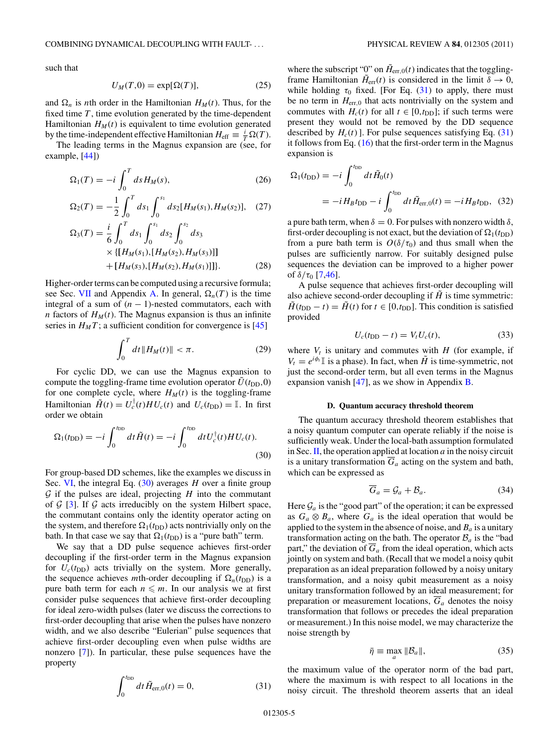<span id="page-4-0"></span>such that

$$
U_M(T,0) = \exp[\Omega(T)],\tag{25}
$$

and  $\Omega_n$  is *n*th order in the Hamiltonian  $H_M(t)$ . Thus, for the fixed time *T* , time evolution generated by the time-dependent Hamiltonian  $H_M(t)$  is equivalent to time evolution generated by the time-independent effective Hamiltonian  $H_{\text{eff}} \equiv \frac{i}{T} \Omega(T)$ .

The leading terms in the Magnus expansion are (see, for example, [\[44\]](#page-37-0))

$$
\Omega_1(T) = -i \int_0^T ds H_M(s),\tag{26}
$$

$$
\Omega_2(T) = -\frac{1}{2} \int_0^T ds_1 \int_0^{s_1} ds_2 [H_M(s_1), H_M(s_2)], \quad (27)
$$
  

$$
\Omega_3(T) = \frac{i}{6} \int_0^T ds_1 \int_0^{s_1} ds_2 \int_0^{s_2} ds_3
$$

$$
\times \{ [H_M(s_1), [H_M(s_2), H_M(s_3)]] + [H_M(s_3), [H_M(s_2), H_M(s_1)]] \}.
$$
 (28)

Higher-order terms can be computed using a recursive formula; see Sec. [VII](#page-13-0) and Appendix [A.](#page-28-0) In general,  $\Omega_n(T)$  is the time integral of a sum of  $(n - 1)$ -nested commutators, each with *n* factors of  $H_M(t)$ . The Magnus expansion is thus an infinite series in  $H<sub>M</sub>T$ ; a sufficient condition for convergence is [\[45\]](#page-37-0)

$$
\int_0^T dt \|H_M(t)\| < \pi. \tag{29}
$$

For cyclic DD, we can use the Magnus expansion to compute the toggling-frame time evolution operator  $U(t_{DD},0)$ for one complete cycle, where  $H_M(t)$  is the toggling-frame Hamiltonian  $\tilde{H}(t) = U_c^{\dagger}(t) H U_c(t)$  and  $U_c(t_{DD}) = \mathbb{I}$ . In first order we obtain

$$
\Omega_1(t_{\rm DD}) = -i \int_0^{t_{\rm DD}} dt \tilde{H}(t) = -i \int_0^{t_{\rm DD}} dt U_c^{\dagger}(t) H U_c(t).
$$
\n(30)

For group-based DD schemes, like the examples we discuss in Sec. [VI,](#page-9-0) the integral Eq. (30) averages *H* over a finite group G if the pulses are ideal, projecting *H* into the commutant of  $G$  [\[3\]](#page-36-0). If  $G$  acts irreducibly on the system Hilbert space, the commutant contains only the identity operator acting on the system, and therefore  $\Omega_1(t_{\text{DD}})$  acts nontrivially only on the bath. In that case we say that  $\Omega_1(t_{\text{DD}})$  is a "pure bath" term.

We say that a DD pulse sequence achieves first-order decoupling if the first-order term in the Magnus expansion for  $U_c(t_{\text{DD}})$  acts trivially on the system. More generally, the sequence achieves *m*th-order decoupling if  $\Omega_n(t_{\text{DD}})$  is a pure bath term for each  $n \leq m$ . In our analysis we at first consider pulse sequences that achieve first-order decoupling for ideal zero-width pulses (later we discuss the corrections to first-order decoupling that arise when the pulses have nonzero width, and we also describe "Eulerian" pulse sequences that achieve first-order decoupling even when pulse widths are nonzero [\[7\]](#page-36-0)). In particular, these pulse sequences have the property

$$
\int_0^{t_{\rm DD}} dt \,\tilde{H}_{\rm err,0}(t) = 0,\tag{31}
$$

where the subscript "0" on  $\hat{H}_{err,0}(t)$  indicates that the togglingframe Hamiltonian  $\tilde{H}_{\text{err}}(t)$  is considered in the limit  $\delta \to 0$ , while holding  $\tau_0$  fixed. [For Eq. (31) to apply, there must be no term in *H*err*,*<sup>0</sup> that acts nontrivially on the system and commutes with  $H_c(t)$  for all  $t \in [0, t_{DD}]$ ; if such terms were present they would not be removed by the DD sequence described by  $H_c(t)$ ]. For pulse sequences satisfying Eq. (31) it follows from Eq. [\(16\)](#page-3-0) that the first-order term in the Magnus expansion is

$$
\Omega_1(t_{\rm DD}) = -i \int_0^{t_{\rm DD}} dt \tilde{H}_0(t)
$$
  
=  $-i H_B t_{\rm DD} - i \int_0^{t_{\rm DD}} dt \tilde{H}_{\rm err,0}(t) = -i H_B t_{\rm DD},$  (32)

a pure bath term, when  $\delta = 0$ . For pulses with nonzero width  $\delta$ , first-order decoupling is not exact, but the deviation of  $\Omega_1(t_{\text{DD}})$ from a pure bath term is  $O(\delta/\tau_0)$  and thus small when the pulses are sufficiently narrow. For suitably designed pulse sequences the deviation can be improved to a higher power of  $\delta/\tau_0$  [\[7,](#page-36-0)[46\]](#page-37-0).

A pulse sequence that achieves first-order decoupling will also achieve second-order decoupling if  $\hat{H}$  is time symmetric:  $\tilde{H}(t_{\text{DD}} - t) = \tilde{H}(t)$  for  $t \in [0, t_{\text{DD}}]$ . This condition is satisfied provided

$$
U_c(t_{\rm DD} - t) = V_t U_c(t),\tag{33}
$$

where  $V_t$  is unitary and commutes with  $H$  (for example, if  $V_t = e^{i\phi_t}$  is a phase). In fact, when  $\tilde{H}$  is time-symmetric, not just the second-order term, but all even terms in the Magnus expansion vanish  $[47]$ , as we show in Appendix [B.](#page-29-0)

#### **D. Quantum accuracy threshold theorem**

The quantum accuracy threshold theorem establishes that a noisy quantum computer can operate reliably if the noise is sufficiently weak. Under the local-bath assumption formulated in Sec. [II,](#page-1-0) the operation applied at location *a* in the noisy circuit is a unitary transformation  $\overline{G}_a$  acting on the system and bath, which can be expressed as

$$
\overline{G}_a = \mathcal{G}_a + \mathcal{B}_a. \tag{34}
$$

Here  $\mathcal{G}_a$  is the "good part" of the operation; it can be expressed as  $G_a \otimes B_a$ , where  $G_a$  is the ideal operation that would be applied to the system in the absence of noise, and  $B_a$  is a unitary transformation acting on the bath. The operator  $\mathcal{B}_a$  is the "bad part," the deviation of  $G_a$  from the ideal operation, which acts jointly on system and bath. (Recall that we model a noisy qubit preparation as an ideal preparation followed by a noisy unitary transformation, and a noisy qubit measurement as a noisy unitary transformation followed by an ideal measurement; for preparation or measurement locations,  $\overline{G}_a$  denotes the noisy transformation that follows or precedes the ideal preparation or measurement.) In this noise model, we may characterize the noise strength by

$$
\bar{\eta} \equiv \max_{a} \|\mathcal{B}_{a}\|,\tag{35}
$$

the maximum value of the operator norm of the bad part, where the maximum is with respect to all locations in the noisy circuit. The threshold theorem asserts that an ideal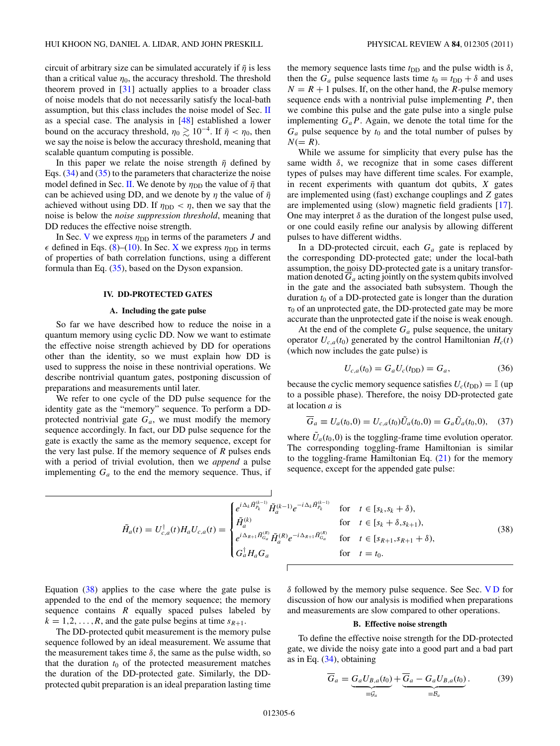<span id="page-5-0"></span>circuit of arbitrary size can be simulated accurately if  $\bar{\eta}$  is less than a critical value  $\eta_0$ , the accuracy threshold. The threshold theorem proved in [\[31\]](#page-37-0) actually applies to a broader class of noise models that do not necessarily satisfy the local-bath assumption, but this class includes the noise model of Sec. [II](#page-1-0) as a special case. The analysis in [\[48\]](#page-37-0) established a lower bound on the accuracy threshold,  $\eta_0 \gtrsim 10^{-4}$ . If  $\bar{\eta} < \eta_0$ , then we say the noise is below the accuracy threshold, meaning that scalable quantum computing is possible.

In this paper we relate the noise strength  $\bar{\eta}$  defined by Eqs. [\(34\)](#page-4-0) and [\(35\)](#page-4-0) to the parameters that characterize the noise model defined in Sec. [II.](#page-1-0) We denote by  $\eta_{\text{DD}}$  the value of  $\bar{\eta}$  that can be achieved using DD, and we denote by  $\eta$  the value of  $\bar{\eta}$ achieved without using DD. If  $\eta_{\text{DD}} < \eta$ , then we say that the noise is below the *noise suppression threshold*, meaning that DD reduces the effective noise strength.

In Sec. [V](#page-7-0) we express  $\eta_{\text{DD}}$  in terms of the parameters *J* and  $\epsilon$  defined in Eqs. [\(8\)](#page-2-0)–[\(10\)](#page-2-0). In Sec. [X](#page-24-0) we express  $\eta_{\text{DD}}$  in terms of properties of bath correlation functions, using a different formula than Eq.  $(35)$ , based on the Dyson expansion.

## **IV. DD-PROTECTED GATES**

## **A. Including the gate pulse**

So far we have described how to reduce the noise in a quantum memory using cyclic DD. Now we want to estimate the effective noise strength achieved by DD for operations other than the identity, so we must explain how DD is used to suppress the noise in these nontrivial operations. We describe nontrivial quantum gates, postponing discussion of preparations and measurements until later.

We refer to one cycle of the DD pulse sequence for the identity gate as the "memory" sequence. To perform a DDprotected nontrivial gate  $G_a$ , we must modify the memory sequence accordingly. In fact, our DD pulse sequence for the gate is exactly the same as the memory sequence, except for the very last pulse. If the memory sequence of *R* pulses ends with a period of trivial evolution, then we *append* a pulse implementing  $G_a$  to the end the memory sequence. Thus, if the memory sequence lasts time  $t_{DD}$  and the pulse width is  $\delta$ , then the  $G_a$  pulse sequence lasts time  $t_0 = t_{DD} + \delta$  and uses  $N = R + 1$  pulses. If, on the other hand, the *R*-pulse memory sequence ends with a nontrivial pulse implementing *P*, then we combine this pulse and the gate pulse into a single pulse implementing  $G_a P$ . Again, we denote the total time for the  $G_a$  pulse sequence by  $t_0$  and the total number of pulses by  $N(= R)$ .

While we assume for simplicity that every pulse has the same width  $\delta$ , we recognize that in some cases different types of pulses may have different time scales. For example, in recent experiments with quantum dot qubits, *X* gates are implemented using (fast) exchange couplings and *Z* gates are implemented using (slow) magnetic field gradients [\[17\]](#page-36-0). One may interpret  $\delta$  as the duration of the longest pulse used, or one could easily refine our analysis by allowing different pulses to have different widths.

In a DD-protected circuit, each *Ga* gate is replaced by the corresponding DD-protected gate; under the local-bath assumption, the noisy DD-protected gate is a unitary transformation denoted  $G_a$  acting jointly on the system qubits involved in the gate and the associated bath subsystem. Though the duration  $t_0$  of a DD-protected gate is longer than the duration *τ*<sup>0</sup> of an unprotected gate, the DD-protected gate may be more accurate than the unprotected gate if the noise is weak enough.

At the end of the complete  $G_a$  pulse sequence, the unitary operator  $U_{c,a}(t_0)$  generated by the control Hamiltonian  $H_c(t)$ (which now includes the gate pulse) is

$$
U_{c,a}(t_0) = G_a U_c(t_{\rm DD}) = G_a, \tag{36}
$$

because the cyclic memory sequence satisfies  $U_c(t_{DD}) = \mathbb{I}$  (up to a possible phase). Therefore, the noisy DD-protected gate at location *a* is

$$
\overline{G}_a \equiv U_a(t_0, 0) = U_{c,a}(t_0) \tilde{U}_a(t_0, 0) = G_a \tilde{U}_a(t_0, 0), \quad (37)
$$

where  $U_a(t_0,0)$  is the toggling-frame time evolution operator. The corresponding toggling-frame Hamiltonian is similar to the toggling-frame Hamiltonian Eq.  $(21)$  for the memory sequence, except for the appended gate pulse:

$$
\tilde{H}_a(t) = U_{c,a}^{\dagger}(t)H_a U_{c,a}(t) = \begin{cases}\ne^{i\Delta_k \tilde{H}_{P_k}^{(k-1)}} \tilde{H}_a^{(k-1)} e^{-i\Delta_k \tilde{H}_{P_k}^{(k-1)}} & \text{for } t \in [s_k, s_k + \delta), \\
\tilde{H}_a^{(k)} & \text{for } t \in [s_k + \delta, s_{k+1}), \\
e^{i\Delta_{R+1} \tilde{H}_{G_a}^{(R)}} \tilde{H}_a^{(R)} e^{-i\Delta_{R+1} \tilde{H}_{G_a}^{(R)}} & \text{for } t \in [s_{R+1}, s_{R+1} + \delta), \\
G_a^{\dagger} H_a G_a & \text{for } t = t_0.\n\end{cases} \tag{38}
$$

Equation (38) applies to the case where the gate pulse is appended to the end of the memory sequence; the memory sequence contains *R* equally spaced pulses labeled by  $k = 1, 2, \ldots, R$ , and the gate pulse begins at time  $s_{R+1}$ .

The DD-protected qubit measurement is the memory pulse sequence followed by an ideal measurement. We assume that the measurement takes time  $\delta$ , the same as the pulse width, so that the duration  $t_0$  of the protected measurement matches the duration of the DD-protected gate. Similarly, the DDprotected qubit preparation is an ideal preparation lasting time

*δ* followed by the memory pulse sequence. See Sec. [V D](#page-9-0) for discussion of how our analysis is modified when preparations and measurements are slow compared to other operations.

## **B. Effective noise strength**

To define the effective noise strength for the DD-protected gate, we divide the noisy gate into a good part and a bad part as in Eq. [\(34\)](#page-4-0), obtaining

$$
\overline{G}_a = \underbrace{G_a U_{B,a}(t_0)}_{\equiv \mathcal{G}_a} + \underbrace{\overline{G}_a - G_a U_{B,a}(t_0)}_{\equiv \mathcal{B}_a}.
$$
 (39)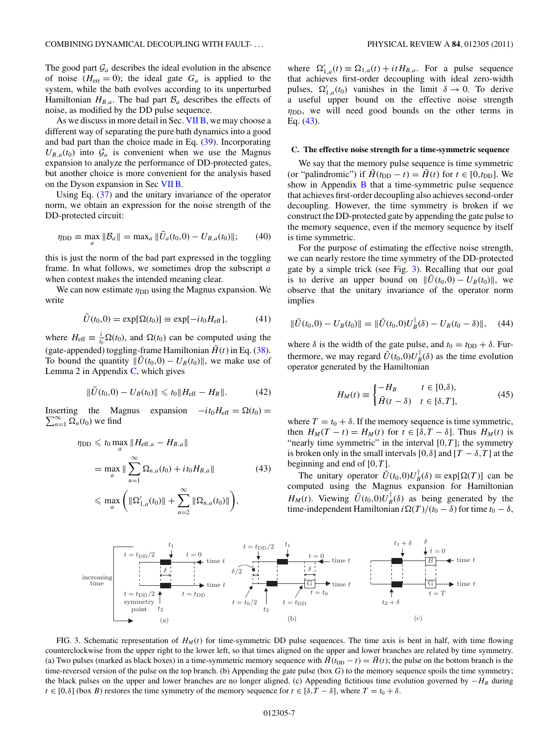<span id="page-6-0"></span>The good part  $\mathcal{G}_a$  describes the ideal evolution in the absence of noise  $(H_{\text{err}} = 0)$ ; the ideal gate  $G_a$  is applied to the system, while the bath evolves according to its unperturbed Hamiltonian  $H_{B,a}$ . The bad part  $\mathcal{B}_a$  describes the effects of noise, as modified by the DD pulse sequence.

As we discuss in more detail in Sec. [VII B,](#page-17-0) we may choose a different way of separating the pure bath dynamics into a good and bad part than the choice made in Eq. [\(39\)](#page-5-0). Incorporating  $U_{B,a}(t_0)$  into  $\mathcal{G}_a$  is convenient when we use the Magnus expansion to analyze the performance of DD-protected gates, but another choice is more convenient for the analysis based on the Dyson expansion in Sec [VII B.](#page-17-0)

Using Eq. [\(37\)](#page-5-0) and the unitary invariance of the operator norm, we obtain an expression for the noise strength of the DD-protected circuit:

$$
\eta_{\text{DD}} \equiv \max_{a} \|\mathcal{B}_{a}\| = \max_{a} \|\tilde{U}_{a}(t_{0},0) - U_{B,a}(t_{0})\|; \qquad (40)
$$

this is just the norm of the bad part expressed in the toggling frame. In what follows, we sometimes drop the subscript *a* when context makes the intended meaning clear.

We can now estimate *η*<sub>DD</sub> using the Magnus expansion. We write

$$
\tilde{U}(t_0,0) = \exp[\Omega(t_0)] \equiv \exp[-it_0 H_{\text{eff}}],\tag{41}
$$

where  $H_{\text{eff}} \equiv \frac{i}{t_0} \Omega(t_0)$ , and  $\Omega(t_0)$  can be computed using the (gate-appended) toggling-frame Hamiltonian  $\tilde{H}(t)$  in Eq. [\(38\)](#page-5-0). To bound the quantity  $\|\tilde{U}(t_0,0) - U_B(t_0)\|$ , we make use of Lemma 2 in Appendix [C,](#page-30-0) which gives

$$
\|\tilde{U}(t_0,0) - U_B(t_0)\| \leq t_0 \|H_{\text{eff}} - H_B\|.
$$
 (42)

Inserting the Magnus expansion  $-i t_0 H_{\text{eff}} = \Omega(t_0) = \sum_{n=1}^{\infty} \Omega_n(t_0)$  we find  $\sum_{n=1}^{\infty} \Omega_n(t_0)$  we find

$$
\eta_{\text{DD}} \leq t_0 \max_{a} \|H_{\text{eff},a} - H_{B,a}\|
$$
  
= 
$$
\max_{a} \|\sum_{n=1}^{\infty} \Omega_{n,a}(t_0) + it_0 H_{B,a}\|
$$
 (43)

$$
\leqslant \max_{a}\bigg(\|\Omega'_{1,a}(t_0)\|+\sum_{n=2}^{\infty}\|\Omega_{n,a}(t_0)\|\bigg),\,
$$

where  $\Omega'_{1,a}(t) \equiv \Omega_{1,a}(t) + itH_{B,a}$ . For a pulse sequence that achieves first-order decoupling with ideal zero-width pulses,  $\Omega'_{1,a}(t_0)$  vanishes in the limit  $\delta \to 0$ . To derive a useful upper bound on the effective noise strength  $\eta_{\text{DD}}$ , we will need good bounds on the other terms in Eq. (43).

### **C. The effective noise strength for a time-symmetric sequence**

We say that the memory pulse sequence is time symmetric (or "palindromic") if  $\tilde{H}(t_{\text{DD}} - t) = \tilde{H}(t)$  for  $t \in [0, t_{\text{DD}}]$ . We show in Appendix [B](#page-29-0) that a time-symmetric pulse sequence that achieves first-order decoupling also achieves second-order decoupling. However, the time symmetry is broken if we construct the DD-protected gate by appending the gate pulse to the memory sequence, even if the memory sequence by itself is time symmetric.

For the purpose of estimating the effective noise strength, we can nearly restore the time symmetry of the DD-protected gate by a simple trick (see Fig. 3). Recalling that our goal is to derive an upper bound on  $||U(t_0,0) - U_B(t_0)||$ , we observe that the unitary invariance of the operator norm implies

$$
\|\tilde{U}(t_0,0) - U_B(t_0)\| = \|\tilde{U}(t_0,0)U_B^{\dagger}(\delta) - U_B(t_0 - \delta)\|, \quad (44)
$$

where  $\delta$  is the width of the gate pulse, and  $t_0 = t_{DD} + \delta$ . Furthermore, we may regard  $\tilde{U}(t_0,0)U_B^{\dagger}(\delta)$  as the time evolution operator generated by the Hamiltonian

$$
H_M(t) \equiv \begin{cases} -H_B & t \in [0,\delta), \\ \tilde{H}(t-\delta) & t \in [\delta,T], \end{cases}
$$
(45)

where  $T = t_0 + \delta$ . If the memory sequence is time symmetric, then  $H_M(T - t) = H_M(t)$  for  $t \in [\delta, T - \delta]$ . Thus  $H_M(t)$  is "nearly time symmetric" in the interval  $[0, T]$ ; the symmetry is broken only in the small intervals [0,  $\delta$ ] and [*T* −  $\delta$ , *T*] at the beginning and end of [0*,T* ].

The unitary operator  $\tilde{U}(t_0,0)U_B^{\dagger}(\delta) \equiv \exp[\Omega(T)]$  can be computed using the Magnus expansion for Hamiltonian *H<sub>M</sub>*(*t*). Viewing  $\tilde{U}(t_0,0)U_B^{\dagger}(\delta)$  as being generated by the time-independent Hamiltonian  $i\Omega(T)/(t_0 - \delta)$  for time  $t_0 - \delta$ ,



FIG. 3. Schematic representation of  $H_M(t)$  for time-symmetric DD pulse sequences. The time axis is bent in half, with time flowing counterclockwise from the upper right to the lower left, so that times aligned on the upper and lower branches are related by time symmetry. (a) Two pulses (marked as black boxes) in a time-symmetric memory sequence with  $\tilde{H}(t_{\text{DD}} - t) = \tilde{H}(t)$ ; the pulse on the bottom branch is the time-reversed version of the pulse on the top branch. (b) Appending the gate pulse (box *G*) to the memory sequence spoils the time symmetry; the black pulses on the upper and lower branches are no longer aligned. (c) Appending fictitious time evolution governed by  $-H_B$  during  $t \in [0,\delta]$  (box *B*) restores the time symmetry of the memory sequence for  $t \in [\delta, T - \delta]$ , where  $T = t_0 + \delta$ .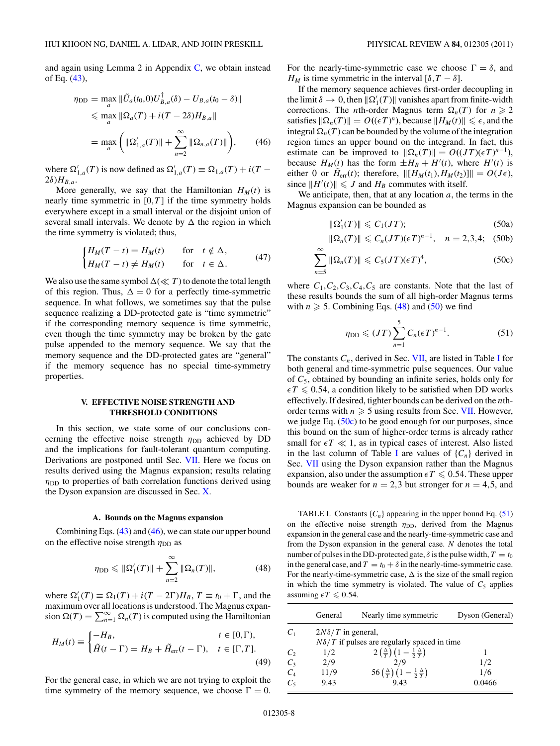<span id="page-7-0"></span>and again using Lemma 2 in Appendix  $C$ , we obtain instead of Eq. [\(43\)](#page-6-0),

$$
\eta_{\text{DD}} = \max_{a} \|\tilde{U}_{a}(t_{0},0)U_{B,a}^{\dagger}(\delta) - U_{B,a}(t_{0} - \delta)\|
$$
  
\$\leq\$ max  $\|\Omega_{a}(T) + i(T - 2\delta)H_{B,a}\|$   

$$
= \max_{a} \left( \|\Omega'_{1,a}(T)\| + \sum_{n=2}^{\infty} \|\Omega_{n,a}(T)\| \right), \qquad (46)
$$

where  $\Omega'_{1,a}(T)$  is now defined as  $\Omega'_{1,a}(T) \equiv \Omega_{1,a}(T) + i(T 2\delta$ *H<sub>B,a</sub>*.

More generally, we say that the Hamiltonian  $H_M(t)$  is nearly time symmetric in  $[0, T]$  if the time symmetry holds everywhere except in a small interval or the disjoint union of several small intervals. We denote by  $\Delta$  the region in which the time symmetry is violated; thus,

$$
\begin{cases} H_M(T-t) = H_M(t) & \text{for } t \notin \Delta, \\ H_M(T-t) \neq H_M(t) & \text{for } t \in \Delta. \end{cases}
$$
(47)

We also use the same symbol  $\Delta(\ll T)$  to denote the total length of this region. Thus,  $\Delta = 0$  for a perfectly time-symmetric sequence. In what follows, we sometimes say that the pulse sequence realizing a DD-protected gate is "time symmetric" if the corresponding memory sequence is time symmetric, even though the time symmetry may be broken by the gate pulse appended to the memory sequence. We say that the memory sequence and the DD-protected gates are "general" if the memory sequence has no special time-symmetry properties.

## **V. EFFECTIVE NOISE STRENGTH AND THRESHOLD CONDITIONS**

In this section, we state some of our conclusions concerning the effective noise strength *η*<sub>DD</sub> achieved by DD and the implications for fault-tolerant quantum computing. Derivations are postponed until Sec. [VII.](#page-13-0) Here we focus on results derived using the Magnus expansion; results relating  $\eta_{\text{DD}}$  to properties of bath correlation functions derived using the Dyson expansion are discussed in Sec. [X.](#page-24-0)

#### **A. Bounds on the Magnus expansion**

Combining Eqs.  $(43)$  and  $(46)$ , we can state our upper bound on the effective noise strength *η*<sub>DD</sub> as

$$
\eta_{\text{DD}} \leq \|\Omega_1'(T)\| + \sum_{n=2}^{\infty} \|\Omega_n(T)\|,\tag{48}
$$

where  $\Omega'_1(T) \equiv \Omega_1(T) + i(T - 2\Gamma)H_B$ ,  $T \equiv t_0 + \Gamma$ , and the maximum over all locations is understood. The Magnus expansion  $\Omega(T) = \sum_{n=1}^{\infty} \Omega_n(T)$  is computed using the Hamiltonian

$$
H_M(t) \equiv \begin{cases} -H_B, & t \in [0, \Gamma), \\ \tilde{H}(t-\Gamma) = H_B + \tilde{H}_{\text{err}}(t-\Gamma), & t \in [\Gamma, T]. \end{cases}
$$
\n(49)

For the general case, in which we are not trying to exploit the time symmetry of the memory sequence, we choose  $\Gamma = 0$ .

For the nearly-time-symmetric case we choose  $\Gamma = \delta$ , and *H<sub>M</sub>* is time symmetric in the interval  $[\delta, T - \delta]$ .

If the memory sequence achieves first-order decoupling in the limit  $\delta \to 0$ , then  $\|\Omega'_1(T)\|$  vanishes apart from finite-width corrections. The *n*th-order Magnus term  $\Omega_n(T)$  for  $n \ge 2$ satisfies  $\|\Omega_n(T)\| = O((\epsilon T)^n)$ , because  $\|H_M(t)\| \leq \epsilon$ , and the integral  $\Omega_n(T)$  can be bounded by the volume of the integration region times an upper bound on the integrand. In fact, this estimate can be improved to  $\|\Omega_n(T)\| = O((JT)(\epsilon T)^{n-1}),$ because  $H_M(t)$  has the form  $\pm H_B + H'(t)$ , where  $H'(t)$  is either 0 or  $\ddot{H}_{\text{err}}(t)$ ; therefore,  $\|[H_M(t_1), H_M(t_2)]\| = O(J\epsilon)$ , since  $||H'(t)|| \leq J$  and  $H_B$  commutes with itself.

We anticipate, then, that at any location  $a$ , the terms in the Magnus expansion can be bounded as

$$
\|\Omega_1'(T)\| \leqslant C_1(JT); \tag{50a}
$$

$$
\|\Omega_n(T)\| \leq C_n(JT)(\epsilon T)^{n-1}, \quad n = 2,3,4; \quad (50b)
$$

$$
\sum_{n=5}^{\infty} \|\Omega_n(T)\| \leqslant C_5(JT)(\epsilon T)^4,
$$
\n(50c)

where  $C_1$ ,  $C_2$ ,  $C_3$ ,  $C_4$ ,  $C_5$  are constants. Note that the last of these results bounds the sum of all high-order Magnus terms with  $n \ge 5$ . Combining Eqs. (48) and (50) we find

$$
\eta_{\text{DD}} \leqslant (JT) \sum_{n=1}^{5} C_n (\epsilon T)^{n-1}.
$$
 (51)

The constants  $C_n$ , derived in Sec. [VII,](#page-13-0) are listed in Table I for both general and time-symmetric pulse sequences. Our value of *C*5, obtained by bounding an infinite series, holds only for  $\epsilon T \leq 0.54$ , a condition likely to be satisfied when DD works effectively. If desired, tighter bounds can be derived on the *n*thorder terms with  $n \geq 5$  using results from Sec. [VII.](#page-13-0) However, we judge Eq.  $(50c)$  to be good enough for our purposes, since this bound on the sum of higher-order terms is already rather small for  $\epsilon T \ll 1$ , as in typical cases of interest. Also listed in the last column of Table I are values of  $\{C_n\}$  derived in Sec. [VII](#page-13-0) using the Dyson expansion rather than the Magnus expansion, also under the assumption  $\epsilon T \leq 0.54$ . These upper bounds are weaker for  $n = 2,3$  but stronger for  $n = 4,5$ , and

TABLE I. Constants  $\{C_n\}$  appearing in the upper bound Eq. (51) on the effective noise strength *η*<sub>DD</sub>, derived from the Magnus expansion in the general case and the nearly-time-symmetric case and from the Dyson expansion in the general case. *N* denotes the total number of pulses in the DD-protected gate,  $\delta$  is the pulse width,  $T = t_0$ in the general case, and  $T = t_0 + \delta$  in the nearly-time-symmetric case. For the nearly-time-symmetric case,  $\Delta$  is the size of the small region in which the time symmetry is violated. The value of  $C_5$  applies assuming  $\epsilon T \leqslant 0.54$ .

|                | General                                            | Nearly time symmetric                                                       | Dyson (General) |
|----------------|----------------------------------------------------|-----------------------------------------------------------------------------|-----------------|
| $C_1$          | $2N\delta/T$ in general,                           |                                                                             |                 |
|                | $N\delta/T$ if pulses are regularly spaced in time |                                                                             |                 |
| C <sub>2</sub> | 1/2                                                | $2\left(\frac{\Delta}{T}\right)\left(1-\frac{1}{2}\frac{\Delta}{T}\right)$  |                 |
| $C_3$          | 2/9                                                | 2/9                                                                         | 1/2             |
| $C_4$          | 11/9                                               | $56\left(\frac{\Delta}{T}\right)\left(1-\frac{1}{2}\frac{\Delta}{T}\right)$ | 1/6             |
| $C_5$          | 9.43                                               | 9.43                                                                        | 0.0466          |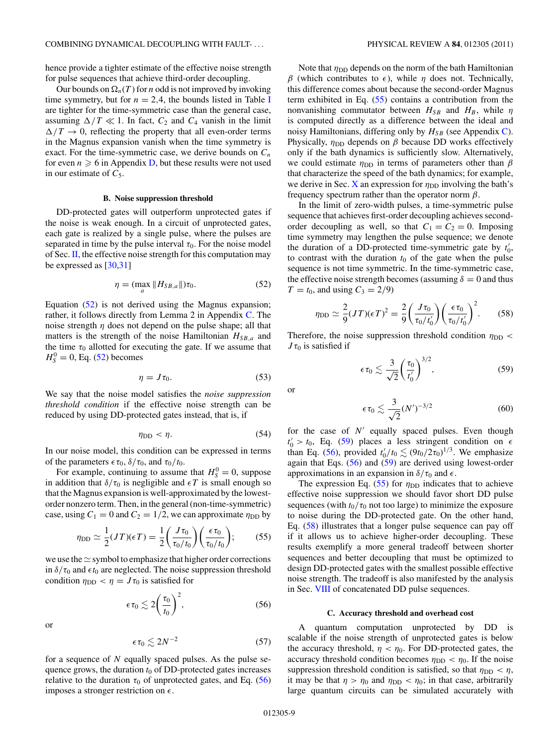<span id="page-8-0"></span>hence provide a tighter estimate of the effective noise strength for pulse sequences that achieve third-order decoupling.

Our bounds on  $\Omega_n(T)$  for *n* odd is not improved by invoking time symmetry, but for  $n = 2, 4$ , the bounds listed in Table [I](#page-7-0) are tighter for the time-symmetric case than the general case, assuming  $\Delta/T \ll 1$ . In fact,  $C_2$  and  $C_4$  vanish in the limit  $\Delta/T \rightarrow 0$ , reflecting the property that all even-order terms in the Magnus expansion vanish when the time symmetry is exact. For the time-symmetric case, we derive bounds on  $C_n$ for even  $n \geqslant 6$  in Appendix [D,](#page-30-0) but these results were not used in our estimate of  $C_5$ .

#### **B. Noise suppression threshold**

DD-protected gates will outperform unprotected gates if the noise is weak enough. In a circuit of unprotected gates, each gate is realized by a single pulse, where the pulses are separated in time by the pulse interval  $\tau_0$ . For the noise model of Sec. [II,](#page-1-0) the effective noise strength for this computation may be expressed as [\[30,31\]](#page-37-0)

$$
\eta = (\max_{a} \|H_{SB,a}\|)\tau_0. \tag{52}
$$

Equation (52) is not derived using the Magnus expansion; rather, it follows directly from Lemma 2 in Appendix [C.](#page-30-0) The noise strength *η* does not depend on the pulse shape; all that matters is the strength of the noise Hamiltonian  $H_{SB,a}$  and the time  $\tau_0$  allotted for executing the gate. If we assume that  $H_S^0 = 0$ , Eq. (52) becomes

$$
\eta = J\tau_0. \tag{53}
$$

We say that the noise model satisfies the *noise suppression threshold condition* if the effective noise strength can be reduced by using DD-protected gates instead, that is, if

$$
\eta_{\rm DD} < \eta. \tag{54}
$$

In our noise model, this condition can be expressed in terms of the parameters  $\epsilon \tau_0$ ,  $\delta/\tau_0$ , and  $\tau_0/t_0$ .

For example, continuing to assume that  $H_S^0 = 0$ , suppose in addition that  $\delta/\tau_0$  is negligible and  $\epsilon T$  is small enough so that the Magnus expansion is well-approximated by the lowestorder nonzero term. Then, in the general (non-time-symmetric) case, using  $C_1 = 0$  and  $C_2 = 1/2$ , we can approximate  $\eta_{\text{DD}}$  by

$$
\eta_{\text{DD}} \simeq \frac{1}{2}(JT)(\epsilon T) = \frac{1}{2} \left( \frac{J\tau_0}{\tau_0/t_0} \right) \left( \frac{\epsilon \tau_0}{\tau_0/t_0} \right); \tag{55}
$$

we use the  $\simeq$  symbol to emphasize that higher order corrections in  $\delta/\tau_0$  and  $\epsilon t_0$  are neglected. The noise suppression threshold condition  $\eta_{\text{DD}} < \eta = J\tau_0$  is satisfied for

$$
\epsilon \tau_0 \lesssim 2 \bigg( \frac{\tau_0}{t_0} \bigg)^2, \tag{56}
$$

or

$$
\epsilon \tau_0 \lesssim 2N^{-2} \tag{57}
$$

for a sequence of *N* equally spaced pulses. As the pulse sequence grows, the duration  $t_0$  of DD-protected gates increases relative to the duration  $\tau_0$  of unprotected gates, and Eq. (56) imposes a stronger restriction on  $\epsilon$ .

Note that  $\eta_{\text{DD}}$  depends on the norm of the bath Hamiltonian *β* (which contributes to  $\epsilon$ ), while *η* does not. Technically, this difference comes about because the second-order Magnus term exhibited in Eq. (55) contains a contribution from the nonvanishing commutator between  $H_{SB}$  and  $H_B$ , while  $\eta$ is computed directly as a difference between the ideal and noisy Hamiltonians, differing only by  $H_{SB}$  (see Appendix [C\)](#page-30-0). Physically,  $\eta_{\text{DD}}$  depends on  $\beta$  because DD works effectively only if the bath dynamics is sufficiently slow. Alternatively, we could estimate  $\eta_{\text{DD}}$  in terms of parameters other than  $\beta$ that characterize the speed of the bath dynamics; for example, we derive in Sec. [X](#page-24-0) an expression for  $\eta_{\text{DD}}$  involving the bath's frequency spectrum rather than the operator norm *β*.

In the limit of zero-width pulses, a time-symmetric pulse sequence that achieves first-order decoupling achieves secondorder decoupling as well, so that  $C_1 = C_2 = 0$ . Imposing time symmetry may lengthen the pulse sequence; we denote the duration of a DD-protected time-symmetric gate by  $t'_0$ , to contrast with the duration  $t_0$  of the gate when the pulse sequence is not time symmetric. In the time-symmetric case, the effective noise strength becomes (assuming  $\delta = 0$  and thus  $T = t_0$ , and using  $C_3 = 2/9$ 

$$
\eta_{\rm DD} \simeq \frac{2}{9} (JT)(\epsilon T)^2 = \frac{2}{9} \left( \frac{J \tau_0}{\tau_0/t_0'} \right) \left( \frac{\epsilon \tau_0}{\tau_0/t_0'} \right)^2. \tag{58}
$$

Therefore, the noise suppression threshold condition  $\eta_{\text{DD}}$  <  $J\tau_0$  is satisfied if

$$
\epsilon \tau_0 \lesssim \frac{3}{\sqrt{2}} \left( \frac{\tau_0}{t'_0} \right)^{3/2}, \tag{59}
$$

or

$$
\epsilon \tau_0 \lesssim \frac{3}{\sqrt{2}} (N')^{-3/2} \tag{60}
$$

for the case of  $N'$  equally spaced pulses. Even though  $t'_0 > t_0$ , Eq. (59) places a less stringent condition on  $\epsilon$ than Eq. (56), provided  $t'_0/t_0 \lesssim (9t_0/2\tau_0)^{1/3}$ . We emphasize again that Eqs. (56) and (59) are derived using lowest-order approximations in an expansion in  $\delta/\tau_0$  and  $\epsilon$ .

The expression Eq. (55) for  $\eta_{\text{DD}}$  indicates that to achieve effective noise suppression we should favor short DD pulse sequences (with  $t_0/\tau_0$  not too large) to minimize the exposure to noise during the DD-protected gate. On the other hand, Eq. (58) illustrates that a longer pulse sequence can pay off if it allows us to achieve higher-order decoupling. These results exemplify a more general tradeoff between shorter sequences and better decoupling that must be optimized to design DD-protected gates with the smallest possible effective noise strength. The tradeoff is also manifested by the analysis in Sec. [VIII](#page-18-0) of concatenated DD pulse sequences.

#### **C. Accuracy threshold and overhead cost**

A quantum computation unprotected by DD is scalable if the noise strength of unprotected gates is below the accuracy threshold,  $\eta < \eta_0$ . For DD-protected gates, the accuracy threshold condition becomes  $\eta_{\text{DD}} < \eta_0$ . If the noise suppression threshold condition is satisfied, so that  $\eta_{\text{DD}} < \eta$ , it may be that  $\eta > \eta_0$  and  $\eta_{\text{DD}} < \eta_0$ ; in that case, arbitrarily large quantum circuits can be simulated accurately with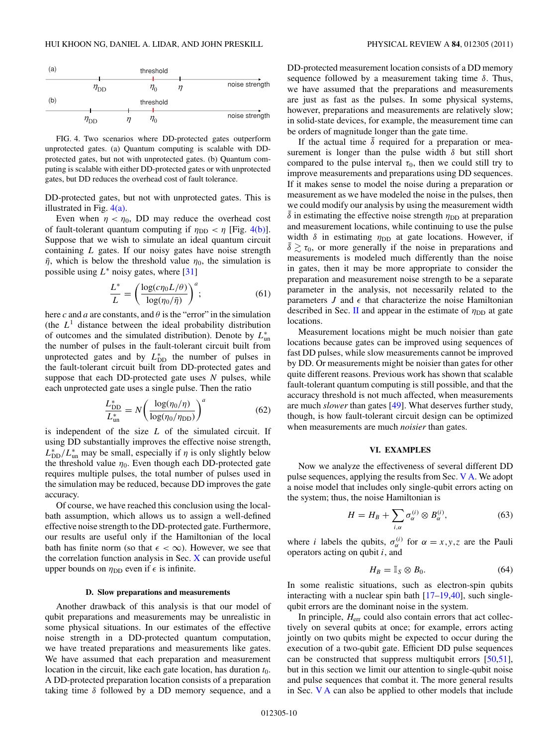<span id="page-9-0"></span>

FIG. 4. Two scenarios where DD-protected gates outperform unprotected gates. (a) Quantum computing is scalable with DDprotected gates, but not with unprotected gates. (b) Quantum computing is scalable with either DD-protected gates or with unprotected gates, but DD reduces the overhead cost of fault tolerance.

DD-protected gates, but not with unprotected gates. This is illustrated in Fig. 4(a).

Even when  $\eta < \eta_0$ , DD may reduce the overhead cost of fault-tolerant quantum computing if  $\eta_{DD} < \eta$  [Fig. 4(b)]. Suppose that we wish to simulate an ideal quantum circuit containing *L* gates. If our noisy gates have noise strength  $\bar{\eta}$ , which is below the threshold value  $\eta_0$ , the simulation is possible using  $L^*$  noisy gates, where [\[31\]](#page-37-0)

$$
\frac{L^*}{L} = \left(\frac{\log(c\eta_0 L/\theta)}{\log(\eta_0/\bar{\eta})}\right)^a; \tag{61}
$$

here *c* and *a* are constants, and  $\theta$  is the "error" in the simulation (the  $L<sup>1</sup>$  distance between the ideal probability distribution of outcomes and the simulated distribution). Denote by  $L_{un}^*$ the number of pulses in the fault-tolerant circuit built from unprotected gates and by  $L_{\text{DD}}^*$  the number of pulses in the fault-tolerant circuit built from DD-protected gates and suppose that each DD-protected gate uses *N* pulses, while each unprotected gate uses a single pulse. Then the ratio

$$
\frac{L_{\text{DD}}^*}{L_{\text{un}}^*} = N \left( \frac{\log(\eta_0/\eta)}{\log(\eta_0/\eta_{\text{DD}})} \right)^a \tag{62}
$$

is independent of the size *L* of the simulated circuit. If using DD substantially improves the effective noise strength,  $L_{\text{DD}}^*/L_{\text{un}}^*$  may be small, especially if *η* is only slightly below the threshold value  $\eta_0$ . Even though each DD-protected gate requires multiple pulses, the total number of pulses used in the simulation may be reduced, because DD improves the gate accuracy.

Of course, we have reached this conclusion using the localbath assumption, which allows us to assign a well-defined effective noise strength to the DD-protected gate. Furthermore, our results are useful only if the Hamiltonian of the local bath has finite norm (so that  $\epsilon < \infty$ ). However, we see that the correlation function analysis in Sec.  $X$  can provide useful upper bounds on  $\eta_{DD}$  even if  $\epsilon$  is infinite.

#### **D. Slow preparations and measurements**

Another drawback of this analysis is that our model of qubit preparations and measurements may be unrealistic in some physical situations. In our estimates of the effective noise strength in a DD-protected quantum computation, we have treated preparations and measurements like gates. We have assumed that each preparation and measurement location in the circuit, like each gate location, has duration  $t_0$ . A DD-protected preparation location consists of a preparation taking time *δ* followed by a DD memory sequence, and a

DD-protected measurement location consists of a DD memory sequence followed by a measurement taking time *δ*. Thus, we have assumed that the preparations and measurements are just as fast as the pulses. In some physical systems, however, preparations and measurements are relatively slow; in solid-state devices, for example, the measurement time can be orders of magnitude longer than the gate time.

If the actual time  $\bar{\delta}$  required for a preparation or measurement is longer than the pulse width  $\delta$  but still short compared to the pulse interval  $\tau_0$ , then we could still try to improve measurements and preparations using DD sequences. If it makes sense to model the noise during a preparation or measurement as we have modeled the noise in the pulses, then we could modify our analysis by using the measurement width  $\bar{\delta}$  in estimating the effective noise strength  $\eta_{\text{DD}}$  at preparation and measurement locations, while continuing to use the pulse width  $\delta$  in estimating  $\eta_{\text{DD}}$  at gate locations. However, if  $\bar{\delta} \gtrsim \tau_0$ , or more generally if the noise in preparations and measurements is modeled much differently than the noise in gates, then it may be more appropriate to consider the preparation and measurement noise strength to be a separate parameter in the analysis, not necessarily related to the parameters  $J$  and  $\epsilon$  that characterize the noise Hamiltonian described in Sec. [II](#page-1-0) and appear in the estimate of *η*<sub>DD</sub> at gate locations.

Measurement locations might be much noisier than gate locations because gates can be improved using sequences of fast DD pulses, while slow measurements cannot be improved by DD. Or measurements might be noisier than gates for other quite different reasons. Previous work has shown that scalable fault-tolerant quantum computing is still possible, and that the accuracy threshold is not much affected, when measurements are much *slower* than gates [\[49\]](#page-37-0). What deserves further study, though, is how fault-tolerant circuit design can be optimized when measurements are much *noisier* than gates.

## **VI. EXAMPLES**

Now we analyze the effectiveness of several different DD pulse sequences, applying the results from Sec. [V A.](#page-7-0) We adopt a noise model that includes only single-qubit errors acting on the system; thus, the noise Hamiltonian is

$$
H = H_B + \sum_{i,\alpha} \sigma_{\alpha}^{(i)} \otimes B_{\alpha}^{(i)},\tag{63}
$$

where *i* labels the qubits,  $\sigma_{\alpha}^{(i)}$  for  $\alpha = x, y, z$  are the Pauli operators acting on qubit *i*, and

$$
H_B = \mathbb{I}_S \otimes B_0. \tag{64}
$$

In some realistic situations, such as electron-spin qubits interacting with a nuclear spin bath [\[17](#page-36-0)[–19,40\]](#page-37-0), such singlequbit errors are the dominant noise in the system.

In principle, *H*err could also contain errors that act collectively on several qubits at once; for example, errors acting jointly on two qubits might be expected to occur during the execution of a two-qubit gate. Efficient DD pulse sequences can be constructed that suppress multiqubit errors [\[50,51\]](#page-37-0), but in this section we limit our attention to single-qubit noise and pulse sequences that combat it. The more general results in Sec. [V A](#page-7-0) can also be applied to other models that include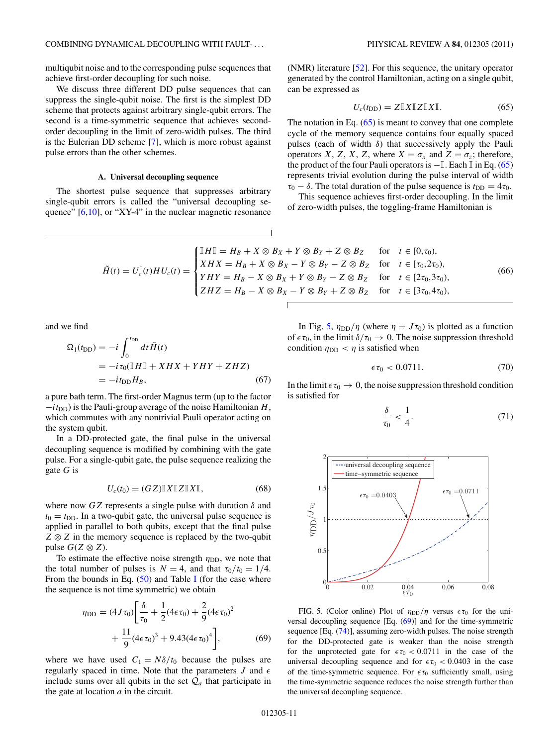<span id="page-10-0"></span>multiqubit noise and to the corresponding pulse sequences that achieve first-order decoupling for such noise.

We discuss three different DD pulse sequences that can suppress the single-qubit noise. The first is the simplest DD scheme that protects against arbitrary single-qubit errors. The second is a time-symmetric sequence that achieves secondorder decoupling in the limit of zero-width pulses. The third is the Eulerian DD scheme [\[7\]](#page-36-0), which is more robust against pulse errors than the other schemes.

## **A. Universal decoupling sequence**

The shortest pulse sequence that suppresses arbitrary single-qubit errors is called the "universal decoupling se-quence" [\[6,10\]](#page-36-0), or "XY-4" in the nuclear magnetic resonance (NMR) literature [\[52\]](#page-37-0). For this sequence, the unitary operator generated by the control Hamiltonian, acting on a single qubit, can be expressed as

$$
U_c(t_{\rm DD}) = Z\mathbb{I} X \mathbb{I} Z\mathbb{I} X \mathbb{I}.
$$
 (65)

The notation in Eq.  $(65)$  is meant to convey that one complete cycle of the memory sequence contains four equally spaced pulses (each of width *δ*) that successively apply the Pauli operators *X*, *Z*, *X*, *Z*, where  $X = \sigma_x$  and  $Z = \sigma_z$ ; therefore, the product of the four Pauli operators is  $-I$ . Each I in Eq. (65) represents trivial evolution during the pulse interval of width  $\tau_0 - \delta$ . The total duration of the pulse sequence is  $t_{\text{DD}} = 4\tau_0$ .

This sequence achieves first-order decoupling. In the limit of zero-width pulses, the toggling-frame Hamiltonian is

$$
\tilde{H}(t) = U_c^{\dagger}(t)HU_c(t) = \begin{cases} \mathbb{I}H\mathbb{I} = H_B + X \otimes B_X + Y \otimes B_Y + Z \otimes B_Z & \text{for } t \in [0, \tau_0),\\ XHX = H_B + X \otimes B_X - Y \otimes B_Y - Z \otimes B_Z & \text{for } t \in [\tau_0, 2\tau_0),\\ YHY = H_B - X \otimes B_X + Y \otimes B_Y - Z \otimes B_Z & \text{for } t \in [2\tau_0, 3\tau_0),\\ ZHZ = H_B - X \otimes B_X - Y \otimes B_Y + Z \otimes B_Z & \text{for } t \in [3\tau_0, 4\tau_0), \end{cases}
$$
(66)

and we find

$$
\Omega_1(t_{\text{DD}}) = -i \int_0^{t_{\text{DD}}} dt \tilde{H}(t)
$$
  
=  $-i\tau_0 (\mathbb{I} H \mathbb{I} + XHX + YHY + ZHZ)$   
=  $-it_{\text{DD}} H_B,$  (67)

a pure bath term. The first-order Magnus term (up to the factor  $-i$ *t*<sub>DD</sub>) is the Pauli-group average of the noise Hamiltonian *H*, which commutes with any nontrivial Pauli operator acting on the system qubit.

In a DD-protected gate, the final pulse in the universal decoupling sequence is modified by combining with the gate pulse. For a single-qubit gate, the pulse sequence realizing the gate *G* is

$$
U_c(t_0) = (GZ)\mathbb{I}X\mathbb{I}Z\mathbb{I}X\mathbb{I},\tag{68}
$$

where now *GZ* represents a single pulse with duration *δ* and  $t_0 = t_{DD}$ . In a two-qubit gate, the universal pulse sequence is applied in parallel to both qubits, except that the final pulse *Z* ⊗ *Z* in the memory sequence is replaced by the two-qubit pulse  $G(Z \otimes Z)$ .

To estimate the effective noise strength *η*<sub>DD</sub>, we note that the total number of pulses is  $N = 4$ , and that  $\tau_0/t_0 = 1/4$ . From the bounds in Eq.  $(50)$  and Table [I](#page-7-0) (for the case where the sequence is not time symmetric) we obtain

$$
\eta_{\text{DD}} = (4J\tau_0) \left[ \frac{\delta}{\tau_0} + \frac{1}{2} (4\epsilon \tau_0) + \frac{2}{9} (4\epsilon \tau_0)^2 + \frac{11}{9} (4\epsilon \tau_0)^3 + 9.43 (4\epsilon \tau_0)^4 \right],\tag{69}
$$

where we have used  $C_1 = N\delta/t_0$  because the pulses are regularly spaced in time. Note that the parameters  $J$  and  $\epsilon$ include sums over all qubits in the set  $\mathcal{Q}_a$  that participate in the gate at location *a* in the circuit.

In Fig. 5,  $\eta_{DD}/\eta$  (where  $\eta = J\tau_0$ ) is plotted as a function of  $\epsilon \tau_0$ , in the limit  $\delta/\tau_0 \rightarrow 0$ . The noise suppression threshold condition  $\eta_{DD} < \eta$  is satisfied when

$$
\epsilon \tau_0 < 0.0711. \tag{70}
$$

In the limit  $\epsilon \tau_0 \to 0$ , the noise suppression threshold condition is satisfied for

$$
\frac{\delta}{\tau_0} < \frac{1}{4}.\tag{71}
$$



FIG. 5. (Color online) Plot of  $\eta_{DD}/\eta$  versus  $\epsilon \tau_0$  for the universal decoupling sequence [Eq. (69)] and for the time-symmetric sequence [Eq. [\(74\)](#page-11-0)], assuming zero-width pulses. The noise strength for the DD-protected gate is weaker than the noise strength for the unprotected gate for  $\epsilon \tau_0 < 0.0711$  in the case of the universal decoupling sequence and for  $\epsilon \tau_0 < 0.0403$  in the case of the time-symmetric sequence. For  $\epsilon \tau_0$  sufficiently small, using the time-symmetric sequence reduces the noise strength further than the universal decoupling sequence.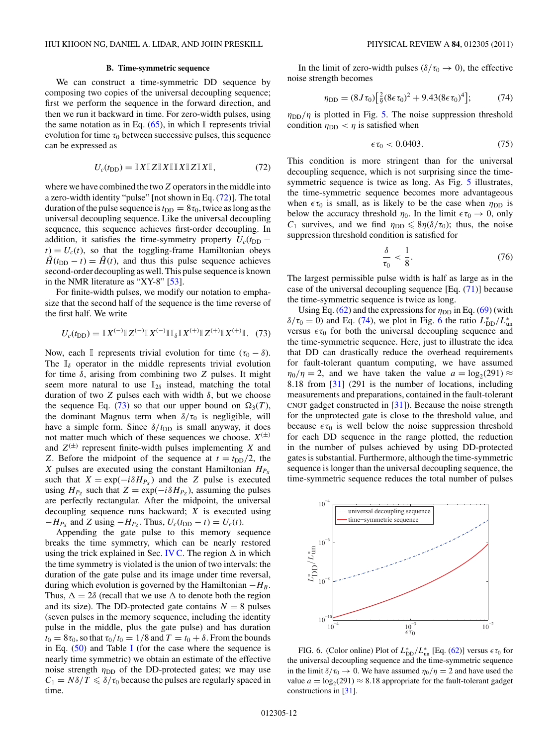#### **B. Time-symmetric sequence**

<span id="page-11-0"></span>We can construct a time-symmetric DD sequence by composing two copies of the universal decoupling sequence; first we perform the sequence in the forward direction, and then we run it backward in time. For zero-width pulses, using the same notation as in Eq.  $(65)$ , in which I represents trivial evolution for time  $\tau_0$  between successive pulses, this sequence can be expressed as

$$
U_c(t_{\rm DD}) = \mathbb{I} X \mathbb{I} Z \mathbb{I} X \mathbb{I} \mathbb{I} X \mathbb{I} Z \mathbb{I} X \mathbb{I}, \qquad (72)
$$

where we have combined the two*Z* operators in the middle into a zero-width identity "pulse" [not shown in Eq. (72)]. The total duration of the pulse sequence is  $t_{DD} = 8\tau_0$ , twice as long as the universal decoupling sequence. Like the universal decoupling sequence, this sequence achieves first-order decoupling. In addition, it satisfies the time-symmetry property  $U_c(t_{\text{DD}}$  $t$ ) =  $U_c(t)$ , so that the toggling-frame Hamiltonian obeys  $\tilde{H}(t_{\text{DD}} - t) = \tilde{H}(t)$ , and thus this pulse sequence achieves second-order decoupling as well. This pulse sequence is known in the NMR literature as "XY-8" [\[53\]](#page-37-0).

For finite-width pulses, we modify our notation to emphasize that the second half of the sequence is the time reverse of the first half. We write

$$
U_c(t_{\text{DD}}) = \mathbb{I} X^{(-)} \mathbb{I} Z^{(-)} \mathbb{I} X^{(-)} \mathbb{I} \mathbb{I}_{\delta} \mathbb{I} X^{(+)} \mathbb{I} Z^{(+)} \mathbb{I} X^{(+)} \mathbb{I}. \tag{73}
$$

Now, each I represents trivial evolution for time  $(\tau_0 - \delta)$ . The I*<sup>δ</sup>* operator in the middle represents trivial evolution for time *δ*, arising from combining two *Z* pulses. It might seem more natural to use  $\mathbb{I}_{2\delta}$  instead, matching the total duration of two *Z* pulses each with width *δ*, but we choose the sequence Eq. (73) so that our upper bound on  $\Omega_3(T)$ , the dominant Magnus term when  $\delta/\tau_0$  is negligible, will have a simple form. Since  $\delta/t_{\text{DD}}$  is small anyway, it does not matter much which of these sequences we choose.  $X^{(\pm)}$ and  $Z^{(\pm)}$  represent finite-width pulses implementing *X* and *Z*. Before the midpoint of the sequence at  $t = t_{DD}/2$ , the *X* pulses are executed using the constant Hamiltonian  $H_{P_x}$ such that  $X = \exp(-i\delta H_{P_X})$  and the *Z* pulse is executed using  $H_{P_Z}$  such that  $Z = \exp(-i\delta H_{P_Z})$ , assuming the pulses are perfectly rectangular. After the midpoint, the universal decoupling sequence runs backward; *X* is executed using  $-H_{P_X}$  and *Z* using  $-H_{P_Z}$ . Thus,  $U_c(t_{DD} - t) = U_c(t)$ .

Appending the gate pulse to this memory sequence breaks the time symmetry, which can be nearly restored using the trick explained in Sec. [IV C.](#page-6-0) The region  $\Delta$  in which the time symmetry is violated is the union of two intervals: the duration of the gate pulse and its image under time reversal, during which evolution is governed by the Hamiltonian  $-H_B$ . Thus,  $\Delta = 2\delta$  (recall that we use  $\Delta$  to denote both the region and its size). The DD-protected gate contains  $N = 8$  pulses (seven pulses in the memory sequence, including the identity pulse in the middle, plus the gate pulse) and has duration  $t_0 = 8\tau_0$ , so that  $\tau_0/t_0 = 1/8$  and  $T = t_0 + \delta$ . From the bounds in Eq.  $(50)$  and Table [I](#page-7-0) (for the case where the sequence is nearly time symmetric) we obtain an estimate of the effective noise strength *η*<sub>DD</sub> of the DD-protected gates; we may use  $C_1 = N\delta/T \leq \delta/\tau_0$  because the pulses are regularly spaced in time.

In the limit of zero-width pulses ( $\delta/\tau_0 \rightarrow 0$ ), the effective noise strength becomes

$$
\eta_{\rm DD} = (8J\tau_0) \left[\frac{2}{9}(8\epsilon\tau_0)^2 + 9.43(8\epsilon\tau_0)^4\right];\tag{74}
$$

 $\eta_{\text{DD}}/\eta$  is plotted in Fig. [5.](#page-10-0) The noise suppression threshold condition  $\eta_{\text{DD}} < \eta$  is satisfied when

$$
\epsilon \tau_0 < 0.0403. \tag{75}
$$

This condition is more stringent than for the universal decoupling sequence, which is not surprising since the time-symmetric sequence is twice as long. As Fig. [5](#page-10-0) illustrates, the time-symmetric sequence becomes more advantageous when  $\epsilon \tau_0$  is small, as is likely to be the case when  $\eta_{\text{DD}}$  is below the accuracy threshold  $\eta_0$ . In the limit  $\epsilon \tau_0 \rightarrow 0$ , only *C*<sub>1</sub> survives, and we find  $\eta_{\text{DD}} \leq 8\eta(\delta/\tau_0)$ ; thus, the noise suppression threshold condition is satisfied for

$$
\frac{\delta}{\tau_0} < \frac{1}{8}.\tag{76}
$$

The largest permissible pulse width is half as large as in the case of the universal decoupling sequence  $[Eq. (71)]$  $[Eq. (71)]$  $[Eq. (71)]$  because the time-symmetric sequence is twice as long.

Using Eq. [\(62\)](#page-9-0) and the expressions for  $\eta_{\text{DD}}$  in Eq. [\(69\)](#page-10-0) (with  $\delta/\tau_0 = 0$ ) and Eq. (74), we plot in Fig. 6 the ratio  $L_{DD}^*/L_{un}^*$ versus  $\epsilon \tau_0$  for both the universal decoupling sequence and the time-symmetric sequence. Here, just to illustrate the idea that DD can drastically reduce the overhead requirements for fault-tolerant quantum computing, we have assumed  $\eta_0/\eta = 2$ , and we have taken the value  $a = \log_2(291) \approx$ 8*.*18 from [\[31\]](#page-37-0) (291 is the number of locations, including measurements and preparations, contained in the fault-tolerant CNOT gadget constructed in  $[31]$ ). Because the noise strength for the unprotected gate is close to the threshold value, and because  $\epsilon \tau_0$  is well below the noise suppression threshold for each DD sequence in the range plotted, the reduction in the number of pulses achieved by using DD-protected gates is substantial. Furthermore, although the time-symmetric sequence is longer than the universal decoupling sequence, the time-symmetric sequence reduces the total number of pulses



FIG. 6. (Color online) Plot of  $L_{DD}^*/L_{un}^*$  [Eq. [\(62\)](#page-9-0)] versus  $\epsilon \tau_0$  for the universal decoupling sequence and the time-symmetric sequence in the limit  $\delta/\tau_0 \to 0$ . We have assumed  $\eta_0/\eta = 2$  and have used the value  $a = \log_2(291) \approx 8.18$  appropriate for the fault-tolerant gadget constructions in [\[31\]](#page-37-0).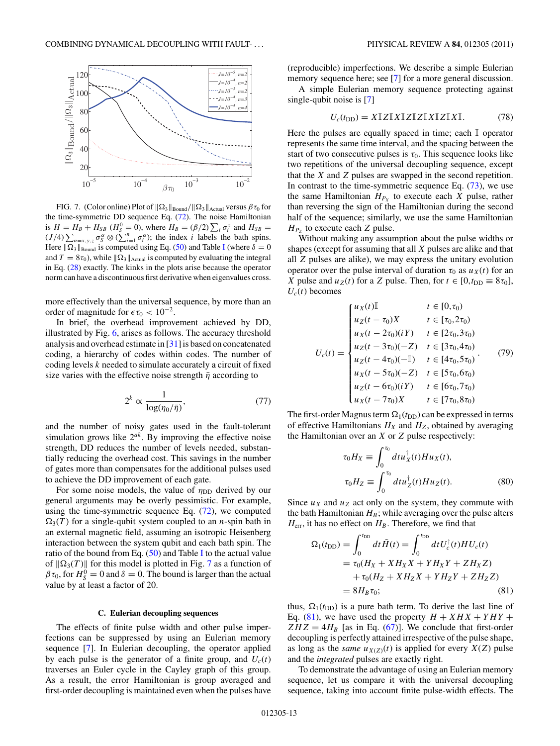<span id="page-12-0"></span>

FIG. 7. (Color online) Plot of  $\|\Omega_3\|_{\text{Bound}} / \|\Omega_3\|_{\text{Actual}}$  versus  $\beta \tau_0$  for the time-symmetric DD sequence Eq. [\(72\)](#page-11-0). The noise Hamiltonian is  $H = H_B + H_{SB}$  ( $H_S^0 = 0$ ), where  $H_B = (\beta/2) \sum_i \sigma_i^z$  and  $H_{SB} =$  $(J/4)$   $\sum_{\alpha=x,y,z} \sigma_S^{\alpha} \otimes (\sum_{i=1}^n \sigma_i^{\alpha})$ ; the index *i* labels the bath spins. Here  $\|\Omega_3\|_{\text{Bound}}$  is computed using Eq. (50) and Table [I](#page-7-0) (where  $\delta = 0$ and  $T = 8\tau_0$ ), while  $\|\Omega_3\|_{\text{Actual}}$  is computed by evaluating the integral in Eq. [\(28\)](#page-4-0) exactly. The kinks in the plots arise because the operator norm can have a discontinuous first derivative when eigenvalues cross.

more effectively than the universal sequence, by more than an order of magnitude for  $\epsilon \tau_0 < 10^{-2}$ .

In brief, the overhead improvement achieved by DD, illustrated by Fig. [6,](#page-11-0) arises as follows. The accuracy threshold analysis and overhead estimate in [\[31\]](#page-37-0) is based on concatenated coding, a hierarchy of codes within codes. The number of coding levels *k* needed to simulate accurately a circuit of fixed size varies with the effective noise strength  $\bar{\eta}$  according to

$$
2^k \propto \frac{1}{\log(\eta_0/\bar{\eta})},\tag{77}
$$

and the number of noisy gates used in the fault-tolerant simulation grows like  $2^{ak}$ . By improving the effective noise strength, DD reduces the number of levels needed, substantially reducing the overhead cost. This savings in the number of gates more than compensates for the additional pulses used to achieve the DD improvement of each gate.

For some noise models, the value of *η*<sub>DD</sub> derived by our general arguments may be overly pessimistic. For example, using the time-symmetric sequence Eq. [\(72\)](#page-11-0), we computed  $\Omega_3(T)$  for a single-qubit system coupled to an *n*-spin bath in an external magnetic field, assuming an isotropic Heisenberg interaction between the system qubit and each bath spin. The ratio of the bound from Eq.  $(50)$  and Table [I](#page-7-0) to the actual value of  $\|\Omega_3(T)\|$  for this model is plotted in Fig. 7 as a function of  $\beta \tau_0$ , for  $H_S^0 = 0$  and  $\delta = 0$ . The bound is larger than the actual value by at least a factor of 20.

#### **C. Eulerian decoupling sequences**

The effects of finite pulse width and other pulse imperfections can be suppressed by using an Eulerian memory sequence [\[7\]](#page-36-0). In Eulerian decoupling, the operator applied by each pulse is the generator of a finite group, and  $U_c(t)$ traverses an Euler cycle in the Cayley graph of this group. As a result, the error Hamiltonian is group averaged and first-order decoupling is maintained even when the pulses have (reproducible) imperfections. We describe a simple Eulerian memory sequence here; see [\[7\]](#page-36-0) for a more general discussion.

A simple Eulerian memory sequence protecting against single-qubit noise is [\[7\]](#page-36-0)

$$
U_c(t_{\text{DD}}) = X \mathbb{I} Z \mathbb{I} X \mathbb{I} Z \mathbb{I} Z \mathbb{I} X \mathbb{I} Z \mathbb{I} X \mathbb{I}.
$$
 (78)

Here the pulses are equally spaced in time; each  $\mathbb I$  operator represents the same time interval, and the spacing between the start of two consecutive pulses is  $\tau_0$ . This sequence looks like two repetitions of the universal decoupling sequence, except that the *X* and *Z* pulses are swapped in the second repetition. In contrast to the time-symmetric sequence Eq.  $(73)$ , we use the same Hamiltonian  $H_{P_Y}$  to execute each *X* pulse, rather than reversing the sign of the Hamiltonian during the second half of the sequence; similarly, we use the same Hamiltonian  $H_{P<sub>z</sub>}$  to execute each *Z* pulse.

Without making any assumption about the pulse widths or shapes (except for assuming that all *X* pulses are alike and that all *Z* pulses are alike), we may express the unitary evolution operator over the pulse interval of duration  $\tau_0$  as  $u_X(t)$  for an *X* pulse and  $u_Z(t)$  for a *Z* pulse. Then, for  $t \in [0, t_{DD} \equiv 8\tau_0]$ ,  $U_c(t)$  becomes

$$
U_c(t) = \begin{cases} u_X(t) \mathbb{I} & t \in [0, \tau_0) \\ u_Z(t - \tau_0)X & t \in [\tau_0, 2\tau_0) \\ u_X(t - 2\tau_0)(iY) & t \in [2\tau_0, 3\tau_0) \\ u_Z(t - 3\tau_0)(-Z) & t \in [3\tau_0, 4\tau_0) \\ u_Z(t - 4\tau_0)(-1) & t \in [4\tau_0, 5\tau_0) \\ u_X(t - 5\tau_0)(-Z) & t \in [5\tau_0, 6\tau_0) \\ u_Z(t - 6\tau_0)(iY) & t \in [6\tau_0, 7\tau_0) \\ u_X(t - 7\tau_0)X & t \in [7\tau_0, 8\tau_0) \end{cases}
$$

The first-order Magnus term  $\Omega_1(t_{\rm DD})$  can be expressed in terms of effective Hamiltonians  $H_X$  and  $H_Z$ , obtained by averaging the Hamiltonian over an *X* or *Z* pulse respectively:

$$
\tau_0 H_X \equiv \int_0^{\tau_0} dt u_X^{\dagger}(t) H u_X(t),
$$
  

$$
\tau_0 H_Z \equiv \int_0^{\tau_0} dt u_Z^{\dagger}(t) H u_Z(t).
$$
 (80)

Since  $u_x$  and  $u_z$  act only on the system, they commute with the bath Hamiltonian  $H_B$ ; while averaging over the pulse alters  $H_{\text{err}}$ , it has no effect on  $H_B$ . Therefore, we find that

$$
\Omega_1(t_{\rm DD}) = \int_0^{t_{\rm DD}} dt \tilde{H}(t) = \int_0^{t_{\rm DD}} dt U_c^{\dagger}(t) H U_c(t)
$$
  
=  $\tau_0 (H_X + X H_X X + Y H_X Y + Z H_X Z)$   
+  $\tau_0 (H_Z + X H_Z X + Y H_Z Y + Z H_Z Z)$   
=  $8H_B \tau_0;$  (81)

thus,  $\Omega_1(t_{\text{DD}})$  is a pure bath term. To derive the last line of Eq. (81), we have used the property  $H + XHX + YHY +$  $ZHZ = 4H_B$  [as in Eq. [\(67\)](#page-10-0)]. We conclude that first-order decoupling is perfectly attained irrespective of the pulse shape, as long as the *same*  $u_{X(Z)}(t)$  is applied for every  $X(Z)$  pulse and the *integrated* pulses are exactly right.

To demonstrate the advantage of using an Eulerian memory sequence, let us compare it with the universal decoupling sequence, taking into account finite pulse-width effects. The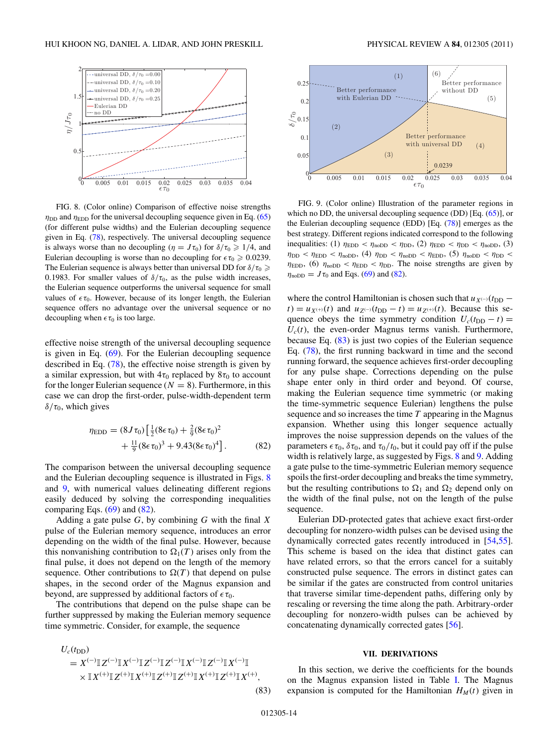<span id="page-13-0"></span>

FIG. 8. (Color online) Comparison of effective noise strengths  $\eta_{\text{DD}}$  and  $\eta_{\text{EDD}}$  for the universal decoupling sequence given in Eq. [\(65\)](#page-10-0) (for different pulse widths) and the Eulerian decoupling sequence given in Eq. [\(78\)](#page-12-0), respectively. The universal decoupling sequence is always worse than no decoupling  $(\eta = J\tau_0)$  for  $\delta/\tau_0 \geq 1/4$ , and Eulerian decoupling is worse than no decoupling for  $\epsilon \tau_0 \geqslant 0.0239$ . The Eulerian sequence is always better than universal DD for  $\delta/\tau_0 \geq$ 0.1983. For smaller values of  $\delta/\tau_0$ , as the pulse width increases, the Eulerian sequence outperforms the universal sequence for small values of  $\epsilon \tau_0$ . However, because of its longer length, the Eulerian sequence offers no advantage over the universal sequence or no decoupling when  $\epsilon \tau_0$  is too large.

effective noise strength of the universal decoupling sequence is given in Eq. [\(69\)](#page-10-0). For the Eulerian decoupling sequence described in Eq. [\(78\)](#page-12-0), the effective noise strength is given by a similar expression, but with  $4\tau_0$  replaced by  $8\tau_0$  to account for the longer Eulerian sequence  $(N = 8)$ . Furthermore, in this case we can drop the first-order, pulse-width-dependent term *δ/τ*0, which gives

$$
\eta_{\text{EDD}} = (8J\tau_0) \left[ \frac{1}{2} (8\epsilon \tau_0) + \frac{2}{9} (8\epsilon \tau_0)^2 + \frac{11}{9} (8\epsilon \tau_0)^3 + 9.43 (8\epsilon \tau_0)^4 \right].
$$
 (82)

The comparison between the universal decoupling sequence and the Eulerian decoupling sequence is illustrated in Figs. 8 and 9, with numerical values delineating different regions easily deduced by solving the corresponding inequalities comparing Eqs.  $(69)$  and  $(82)$ .

Adding a gate pulse *G*, by combining *G* with the final *X* pulse of the Eulerian memory sequence, introduces an error depending on the width of the final pulse. However, because this nonvanishing contribution to  $\Omega_1(T)$  arises only from the final pulse, it does not depend on the length of the memory sequence. Other contributions to  $\Omega(T)$  that depend on pulse shapes, in the second order of the Magnus expansion and beyond, are suppressed by additional factors of  $\epsilon \tau_0$ .

The contributions that depend on the pulse shape can be further suppressed by making the Eulerian memory sequence time symmetric. Consider, for example, the sequence

$$
U_c(t_{\text{DD}})
$$
  
=  $X^{(-)} \mathbb{I} Z^{(-)} \mathbb{I} X^{(-)} \mathbb{I} Z^{(-)} \mathbb{I} Z^{(-)} \mathbb{I} X^{(-)} \mathbb{I} Z^{(-)} \mathbb{I} X^{(-)} \mathbb{I}$   
  $\times \mathbb{I} X^{(+)} \mathbb{I} Z^{(+)} \mathbb{I} X^{(+)} \mathbb{I} Z^{(+)} \mathbb{I} Z^{(+)} \mathbb{I} X^{(+)} \mathbb{I} Z^{(+)} \mathbb{I} X^{(+)},$   
(83)



FIG. 9. (Color online) Illustration of the parameter regions in which no DD, the universal decoupling sequence (DD) [Eq. [\(65\)](#page-10-0)], or the Eulerian decoupling sequence (EDD) [Eq. [\(78\)](#page-12-0)] emerges as the best strategy. Different regions indicated correspond to the following inequalities: (1)  $\eta_{EDD} < \eta_{nOD} < \eta_{DD}$ , (2)  $\eta_{EDD} < \eta_{DD} < \eta_{nOD}$ , (3)  $\eta_{\text{DD}}$  *<*  $\eta_{\text{EDD}}$  *<i><*  $\eta_{\text{noDD}}$ *, (4)*  $\eta_{\text{DD}}$  *<*  $\eta_{\text{noDD}}$  *<i>* $\eta_{\text{EDD}}$ *, (5)*  $\eta_{\text{noDD}}$  *<*  $\eta_{\text{DD}}$  *<*  $\eta_{\text{DD}}$  *<*  $\eta_{EDD}$ , (6)  $\eta_{\text{noDD}} < \eta_{EDD} < \eta_{DD}$ . The noise strengths are given by  $\eta_{\text{noDD}} = J \tau_0$  and Eqs. [\(69\)](#page-10-0) and (82).

where the control Hamiltonian is chosen such that  $u_{X^{(-)}}(t_{\text{DD}}$ *t*) =  $u_{X^{(+)}}(t)$  and  $u_{Z^{(-)}}(t_{DD} - t) = u_{Z^{(+)}}(t)$ . Because this sequence obeys the time symmetry condition  $U_c(t_{\text{DD}} - t) =$  $U_c(t)$ , the even-order Magnus terms vanish. Furthermore, because Eq. (83) is just two copies of the Eulerian sequence Eq. [\(78\)](#page-12-0), the first running backward in time and the second running forward, the sequence achieves first-order decoupling for any pulse shape. Corrections depending on the pulse shape enter only in third order and beyond. Of course, making the Eulerian sequence time symmetric (or making the time-symmetric sequence Eulerian) lengthens the pulse sequence and so increases the time *T* appearing in the Magnus expansion. Whether using this longer sequence actually improves the noise suppression depends on the values of the parameters  $\epsilon \tau_0$ ,  $\delta \tau_0$ , and  $\tau_0/t_0$ , but it could pay off if the pulse width is relatively large, as suggested by Figs. 8 and 9. Adding a gate pulse to the time-symmetric Eulerian memory sequence spoils the first-order decoupling and breaks the time symmetry, but the resulting contributions to  $\Omega_1$  and  $\Omega_2$  depend only on the width of the final pulse, not on the length of the pulse sequence.

Eulerian DD-protected gates that achieve exact first-order decoupling for nonzero-width pulses can be devised using the dynamically corrected gates recently introduced in [\[54,55\]](#page-37-0). This scheme is based on the idea that distinct gates can have related errors, so that the errors cancel for a suitably constructed pulse sequence. The errors in distinct gates can be similar if the gates are constructed from control unitaries that traverse similar time-dependent paths, differing only by rescaling or reversing the time along the path. Arbitrary-order decoupling for nonzero-width pulses can be achieved by concatenating dynamically corrected gates [\[56\]](#page-37-0).

## **VII. DERIVATIONS**

In this section, we derive the coefficients for the bounds on the Magnus expansion listed in Table [I.](#page-7-0) The Magnus expansion is computed for the Hamiltonian  $H_M(t)$  given in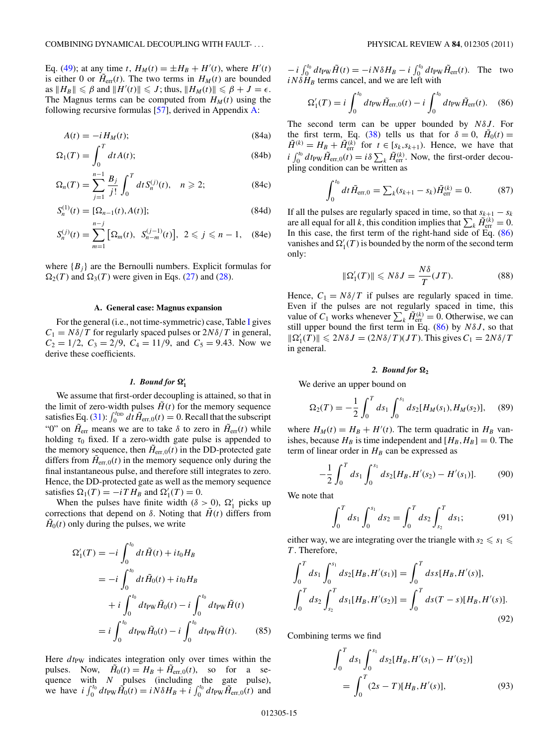<span id="page-14-0"></span>Eq. [\(49\)](#page-7-0); at any time *t*,  $H_M(t) = \pm H_B + H'(t)$ , where  $H'(t)$ is either 0 or  $\tilde{H}_{err}(t)$ . The two terms in  $H_M(t)$  are bounded as  $||H_B|| \le \beta$  and  $||H'(t)|| \le J$ ; thus,  $||H_M(t)|| \le \beta + J = \epsilon$ . The Magnus terms can be computed from  $H_M(t)$  using the following recursive formulas [\[57\]](#page-37-0), derived in Appendix [A:](#page-28-0)

$$
A(t) = -i H_M(t); \tag{84a}
$$

$$
\Omega_1(T) = \int_0^T dt A(t); \tag{84b}
$$

$$
\Omega_n(T) = \sum_{j=1}^{n-1} \frac{B_j}{j!} \int_0^T dt S_n^{(j)}(t), \quad n \ge 2; \tag{84c}
$$

$$
S_n^{(1)}(t) = [\Omega_{n-1}(t), A(t)];
$$
\n(84d)

$$
S_n^{(j)}(t) = \sum_{m=1}^{n-j} \left[ \Omega_m(t), \ S_{n-m}^{(j-1)}(t) \right], \ 2 \leq j \leq n-1, \quad (84e)
$$

where  ${B_i}$  are the Bernoulli numbers. Explicit formulas for  $\Omega_2(T)$  and  $\Omega_3(T)$  were given in Eqs. [\(27\)](#page-4-0) and [\(28\)](#page-4-0).

### **A. General case: Magnus expansion**

For the general (i.e., not time-symmetric) case, Table [I](#page-7-0) gives  $C_1 = N\delta/T$  for regularly spaced pulses or  $2N\delta/T$  in general,  $C_2 = 1/2$ ,  $C_3 = 2/9$ ,  $C_4 = 11/9$ , and  $C_5 = 9.43$ . Now we derive these coefficients.

## **1.** Bound for  $\Omega'_1$

We assume that first-order decoupling is attained, so that in the limit of zero-width pulses  $H(t)$  for the memory sequence satisfies Eq. [\(31\)](#page-4-0):  $\int_0^{t_{\text{DD}}} dt \tilde{H}_{\text{err},0}(t) = 0$ . Recall that the subscript "0" on  $\tilde{H}_{err}$  means we are to take  $\delta$  to zero in  $\tilde{H}_{err}(t)$  while holding  $\tau_0$  fixed. If a zero-width gate pulse is appended to the memory sequence, then  $H_{\text{err},0}(t)$  in the DD-protected gate differs from  $\tilde{H}_{err,0}(t)$  in the memory sequence only during the final instantaneous pulse, and therefore still integrates to zero. Hence, the DD-protected gate as well as the memory sequence satisfies  $\Omega_1(T) = -iTH_B$  and  $\Omega'_1(T) = 0$ .

When the pulses have finite width ( $\delta > 0$ ),  $\Omega'_1$  picks up corrections that depend on  $\delta$ . Noting that  $\hat{H}(t)$  differs from  $H<sub>0</sub>(t)$  only during the pulses, we write

$$
\Omega'_{1}(T) = -i \int_{0}^{t_{0}} dt \tilde{H}(t) + it_{0}H_{B}
$$
  
=  $-i \int_{0}^{t_{0}} dt \tilde{H}_{0}(t) + it_{0}H_{B}$   
+  $i \int_{0}^{t_{0}} dt_{PW} \tilde{H}_{0}(t) - i \int_{0}^{t_{0}} dt_{PW} \tilde{H}(t)$   
=  $i \int_{0}^{t_{0}} dt_{PW} \tilde{H}_{0}(t) - i \int_{0}^{t_{0}} dt_{PW} \tilde{H}(t).$  (85)

Here  $dt_{PW}$  indicates integration only over times within the pulses. Now,  $\tilde{H}_0(t) = H_B + \tilde{H}_{err,0}(t)$ , so for a sequence with *N* pulses (including the gate pulse), we have  $i \int_0^{t_0} dt_{\text{PW}} \vec{H}_0(t) = i \dot{N} \delta H_B + i \int_0^{t_0} dt_{\text{PW}} \vec{H}_{\text{err},0}(t)$  and

 $-i \int_0^{t_0} dt_{\text{PW}} \tilde{H}(t) = -i N \delta H_B - i \int_0^{t_0} dt_{\text{PW}} \tilde{H}_{\text{err}}(t)$ . The two  $iN\delta H_B$  terms cancel, and we are left with

$$
\Omega_1'(T) = i \int_0^{t_0} dt_{\rm PW} \tilde{H}_{\rm err,0}(t) - i \int_0^{t_0} dt_{\rm PW} \tilde{H}_{\rm err}(t). \quad (86)
$$

The second term can be upper bounded by *NδJ* . For the first term, Eq. [\(38\)](#page-5-0) tells us that for  $\delta = 0$ ,  $\tilde{H}_0(t) =$  $\tilde{H}^{(k)} = H_B + \tilde{H}_{\text{err}}^{(k)}$  for  $t \in [s_k, s_{k+1})$ . Hence, we have that  $i \int_0^{t_0} dt_{\text{PW}} \tilde{H}_{\text{err},0}(t) = i \delta \sum_k \tilde{H}_{\text{err}}^{(k)}$ . Now, the first-order decoupling condition can be written as

$$
\int_0^{t_0} dt \tilde{H}_{\text{err},0} = \sum_k (s_{k+1} - s_k) \tilde{H}_{\text{err}}^{(k)} = 0.
$$
 (87)

If all the pulses are regularly spaced in time, so that  $s_{k+1} - s_k$ are all equal for all *k*, this condition implies that  $\sum_{k} \tilde{H}_{err}^{(k)} = 0$ . In this case, the first term of the right-hand side of Eq. (86) vanishes and  $\Omega'_1(T)$  is bounded by the norm of the second term only:

$$
\|\Omega'_1(T)\| \le N\delta J = \frac{N\delta}{T}(JT). \tag{88}
$$

Hence,  $C_1 = N\delta/T$  if pulses are regularly spaced in time. Even if the pulses are not regularly spaced in time, this value of  $C_1$  works whenever  $\sum_k \tilde{H}_{err}^{(k)} = 0$ . Otherwise, we can still upper bound the first term in Eq.  $(86)$  by  $N\delta J$ , so that  $\|\Omega'_{1}(T)\| \le 2N\delta J = (2N\delta/T)(JT)$ . This gives  $C_1 = 2N\delta/T$ in general.

## 2. *Bound for*  $\Omega_2$

We derive an upper bound on

$$
\Omega_2(T) = -\frac{1}{2} \int_0^T ds_1 \int_0^{s_1} ds_2[H_M(s_1), H_M(s_2)], \quad (89)
$$

where  $H_M(t) = H_B + H'(t)$ . The term quadratic in  $H_B$  vanishes, because  $H_B$  is time independent and  $[H_B, H_B] = 0$ . The term of linear order in  $H_B$  can be expressed as

$$
-\frac{1}{2}\int_0^T ds_1 \int_0^{s_1} ds_2 [H_B, H'(s_2) - H'(s_1)]. \tag{90}
$$

We note that

$$
\int_0^T ds_1 \int_0^{s_1} ds_2 = \int_0^T ds_2 \int_{s_2}^T ds_1; \tag{91}
$$

either way, we are integrating over the triangle with  $s_2 \le s_1 \le$ *T* . Therefore,

$$
\int_0^T ds_1 \int_0^{s_1} ds_2[H_B, H'(s_1)] = \int_0^T ds s[H_B, H'(s)],
$$
  

$$
\int_0^T ds_2 \int_{s_2}^T ds_1[H_B, H'(s_2)] = \int_0^T ds (T - s)[H_B, H'(s)].
$$
\n(92)

Combining terms we find

$$
\int_0^T ds_1 \int_0^{s_1} ds_2 [H_B, H'(s_1) - H'(s_2)]
$$
  
= 
$$
\int_0^T (2s - T) [H_B, H'(s)],
$$
 (93)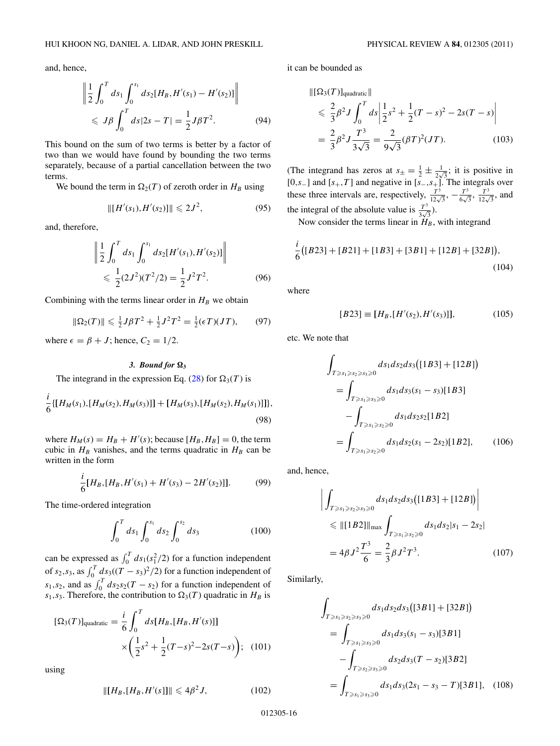and, hence,

$$
\left\| \frac{1}{2} \int_0^T ds_1 \int_0^{s_1} ds_2 [H_B, H'(s_1) - H'(s_2)] \right\|
$$
  
\$\leqslant J\beta \int\_0^T ds \, |2s - T| = \frac{1}{2} J\beta T^2. \tag{94}

This bound on the sum of two terms is better by a factor of two than we would have found by bounding the two terms separately, because of a partial cancellation between the two terms.

We bound the term in  $\Omega_2(T)$  of zeroth order in  $H_B$  using

$$
\| [H'(s_1), H'(s_2)] \| \leq 2J^2, \tag{95}
$$

and, therefore,

$$
\left\| \frac{1}{2} \int_0^T ds_1 \int_0^{s_1} ds_2[H'(s_1), H'(s_2)] \right\|
$$
  
\$\leq \frac{1}{2} (2J^2)(T^2/2) = \frac{1}{2} J^2 T^2. \tag{96}

Combining with the terms linear order in  $H_B$  we obtain

$$
\|\Omega_2(T)\| \leq \frac{1}{2}J\beta T^2 + \frac{1}{2}J^2T^2 = \frac{1}{2}(\epsilon T)(JT), \qquad (97)
$$

where  $\epsilon = \beta + J$ ; hence,  $C_2 = 1/2$ .

## 3. Bound for  $\Omega_3$

The integrand in the expression Eq. [\(28\)](#page-4-0) for  $\Omega_3(T)$  is

$$
\frac{i}{6}\{[H_M(s_1), [H_M(s_2), H_M(s_3)]] + [H_M(s_3), [H_M(s_2), H_M(s_1)]]\},\tag{98}
$$

where  $H_M(s) = H_B + H'(s)$ ; because  $[H_B, H_B] = 0$ , the term cubic in  $H_B$  vanishes, and the terms quadratic in  $H_B$  can be written in the form

$$
\frac{i}{6}[H_B,[H_B,H'(s_1)+H'(s_3)-2H'(s_2)]].\tag{99}
$$

The time-ordered integration

$$
\int_0^T ds_1 \int_0^{s_1} ds_2 \int_0^{s_2} ds_3 \tag{100}
$$

can be expressed as  $\int_0^T ds_1(s_1^2/2)$  for a function independent of  $s_2$ ,  $s_3$ , as  $\int_0^T ds_3((T - s_3)^2/2)$  for a function independent of  $s_1, s_2$ , and as  $\int_0^T ds_2 s_2(T - s_2)$  for a function independent of  $s_1, s_3$ . Therefore, the contribution to  $\Omega_3(T)$  quadratic in  $H_B$  is

$$
[\Omega_3(T)]_{\text{quadratic}} = \frac{i}{6} \int_0^T ds [H_B, [H_B, H'(s)]]
$$

$$
\times \left(\frac{1}{2}s^2 + \frac{1}{2}(T-s)^2 - 2s(T-s)\right); \quad (101)
$$

using

$$
\|[H_B, [H_B, H'(s]]\| \leq 4\beta^2 J,\tag{102}
$$

it can be bounded as

$$
\begin{aligned} \|\left[\Omega_3(T)\right]_{\text{quadratic}} \| \\ &\leq \frac{2}{3} \beta^2 J \int_0^T ds \left| \frac{1}{2} s^2 + \frac{1}{2} (T - s)^2 - 2s (T - s) \right| \\ &= \frac{2}{3} \beta^2 J \frac{T^3}{3\sqrt{3}} = \frac{2}{9\sqrt{3}} (\beta T)^2 (JT). \end{aligned} \tag{103}
$$

(The integrand has zeros at  $s_{\pm} = \frac{1}{2} \pm \frac{1}{2\sqrt{3}}$ ; it is positive in  $[0,s_-]$  and  $[s_+,T]$  and negative in  $[s_-,s_+]$ . The integrals over these three intervals are, respectively,  $\frac{T^3}{12\sqrt{3}}, -\frac{T^3}{6\sqrt{3}}, \frac{T^3}{12\sqrt{3}}$ , and the integral of the absolute value is  $\frac{T^3}{3\sqrt{3}}$ ).

Now consider the terms linear in  $H_B$ , with integrand

$$
\frac{i}{6}([B23] + [B21] + [1B3] + [3B1] + [12B] + [32B]),
$$
\n(104)

where

$$
[B23] \equiv [H_B, [H'(s_2), H'(s_3)]], \tag{105}
$$

etc. We note that

$$
\int_{T \ge s_1 \ge s_2 \ge s_3 \ge 0} ds_1 ds_2 ds_3 ([1B3] + [12B])
$$
\n
$$
= \int_{T \ge s_1 \ge s_3 \ge 0} ds_1 ds_3 (s_1 - s_3) [1B3]
$$
\n
$$
- \int_{T \ge s_1 \ge s_2 \ge 0} ds_1 ds_2 s_2 [1B2]
$$
\n
$$
= \int_{T \ge s_1 \ge s_2 \ge 0} ds_1 ds_2 (s_1 - 2s_2) [1B2], \qquad (106)
$$

and, hence,

$$
\left| \int_{T \ge s_1 \ge s_2 \ge s_3 \ge 0} ds_1 ds_2 ds_3 \left( [1B3] + [12B] \right) \right|
$$
  
\n
$$
\leq \| [1B2] \|_{\max} \int_{T \ge s_1 \ge s_2 \ge 0} ds_1 ds_2 |s_1 - 2s_2|
$$
  
\n
$$
= 4\beta J^2 \frac{T^3}{6} = \frac{2}{3} \beta J^2 T^3. \tag{107}
$$

Similarly,

$$
\int_{T \ge s_1 \ge s_2 \ge s_3 \ge 0} ds_1 ds_2 ds_3 ([3B1] + [32B])
$$
\n
$$
= \int_{T \ge s_1 \ge s_3 \ge 0} ds_1 ds_3 (s_1 - s_3) [3B1]
$$
\n
$$
- \int_{T \ge s_2 \ge s_3 \ge 0} ds_2 ds_3 (T - s_2) [3B2]
$$
\n
$$
= \int_{T \ge s_1 \ge s_3 \ge 0} ds_1 ds_3 (2s_1 - s_3 - T) [3B1], \quad (108)
$$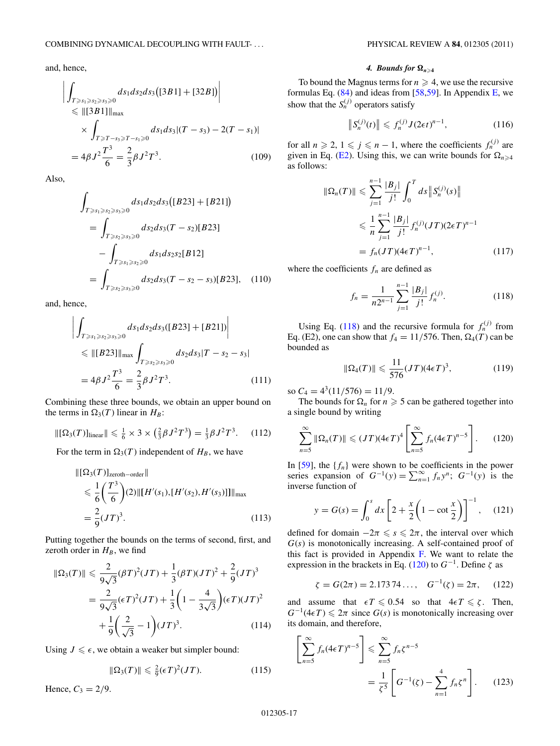<span id="page-16-0"></span>and, hence,  $\overline{\phantom{a}}$ 

 $\overline{\phantom{a}}$  $\overline{\phantom{a}}$  $\overline{\phantom{a}}$ 

$$
\int_{T \ge s_1 \ge s_2 \ge s_3 \ge 0} ds_1 ds_2 ds_3 ([3B1] + [32B])
$$
\n
$$
\le ||[3B1]||_{\text{max}}
$$
\n
$$
\times \int_{T \ge T - s_3 \ge T - s_1 \ge 0} ds_1 ds_3 |(T - s_3) - 2(T - s_1)|
$$
\n
$$
= 4\beta J^2 \frac{T^3}{6} = \frac{2}{3} \beta J^2 T^3. \tag{109}
$$

Also,

$$
\int_{T \ge s_1 \ge s_2 \ge s_3 \ge 0} ds_1 ds_2 ds_3 ([B23] + [B21])
$$
\n
$$
= \int_{T \ge s_2 \ge s_3 \ge 0} ds_2 ds_3 (T - s_2)[B23]
$$
\n
$$
- \int_{T \ge s_1 \ge s_2 \ge 0} ds_1 ds_2 s_2 [B12]
$$
\n
$$
= \int_{T \ge s_2 \ge s_3 \ge 0} ds_2 ds_3 (T - s_2 - s_3)[B23], \quad (110)
$$

and, hence,

$$
\left| \int_{T \ge s_1 \ge s_2 \ge s_3 \ge 0} ds_1 ds_2 ds_3([B23] + [B21]) \right|
$$
  
\n
$$
\leq \| [B23] \|_{\max} \int_{T \ge s_2 \ge s_3 \ge 0} ds_2 ds_3 |T - s_2 - s_3|
$$
  
\n
$$
= 4\beta J^2 \frac{T^3}{6} = \frac{2}{3} \beta J^2 T^3.
$$
\n(111)

Combining these three bounds, we obtain an upper bound on the terms in  $\Omega_3(T)$  linear in  $H_B$ :

$$
\|[\Omega_3(T)]_{\text{linear}}\| \leq \frac{1}{6} \times 3 \times \left(\frac{2}{3}\beta J^2 T^3\right) = \frac{1}{3}\beta J^2 T^3. \quad (112)
$$

For the term in  $\Omega_3(T)$  independent of  $H_B$ , we have

$$
\begin{aligned} &\|[\Omega_3(T)]_{\text{zeroth-order}}\| \\ &\leqslant \frac{1}{6} \left(\frac{T^3}{6}\right) (2) \|[H'(s_1), [H'(s_2), H'(s_3)]\|_{\text{max}} \\ &= \frac{2}{9} (JT)^3. \end{aligned} \tag{113}
$$

Putting together the bounds on the terms of second, first, and zeroth order in  $H_B$ , we find

$$
\|\Omega_3(T)\| \leq \frac{2}{9\sqrt{3}} (\beta T)^2 (JT) + \frac{1}{3} (\beta T)(JT)^2 + \frac{2}{9} (JT)^3
$$
  
=  $\frac{2}{9\sqrt{3}} (\epsilon T)^2 (JT) + \frac{1}{3} \left( 1 - \frac{4}{3\sqrt{3}} \right) (\epsilon T) (JT)^2$   
+  $\frac{1}{9} \left( \frac{2}{\sqrt{3}} - 1 \right) (JT)^3.$  (114)

Using  $J \leq \epsilon$ , we obtain a weaker but simpler bound:

$$
\|\Omega_3(T)\| \leqslant \frac{2}{9} (\epsilon T)^2 (JT). \tag{115}
$$

Hence,  $C_3 = 2/9$ .

## **4.** Bounds for  $\Omega_{n\geqslant 4}$

To bound the Magnus terms for  $n \geqslant 4$ , we use the recursive formulas Eq.  $(84)$  and ideas from [\[58,59\]](#page-37-0). In Appendix [E,](#page-31-0) we show that the  $S_n^{(j)}$  operators satisfy

$$
\|S_n^{(j)}(t)\| \le f_n^{(j)} J(2\epsilon t)^{n-1},
$$
\n(116)

for all  $n \ge 2$ ,  $1 \le j \le n - 1$ , where the coefficients  $f_n^{(j)}$  are given in Eq. [\(E2\)](#page-31-0). Using this, we can write bounds for  $\Omega_{n\geq 4}$ as follows:

$$
\|\Omega_n(T)\| \leq \sum_{j=1}^{n-1} \frac{|B_j|}{j!} \int_0^T ds \|S_n^{(j)}(s)\|
$$
  

$$
\leq \frac{1}{n} \sum_{j=1}^{n-1} \frac{|B_j|}{j!} f_n^{(j)} (JT) (2\epsilon T)^{n-1}
$$
  

$$
= f_n(T) (4\epsilon T)^{n-1}, \qquad (117)
$$

where the coefficients  $f_n$  are defined as

$$
f_n = \frac{1}{n2^{n-1}} \sum_{j=1}^{n-1} \frac{|B_j|}{j!} f_n^{(j)}.
$$
 (118)

Using Eq. (118) and the recursive formula for  $f_n^{(j)}$  from Eq. (E2), one can show that  $f_4 = 11/576$ . Then,  $\Omega_4(T)$  can be bounded as

$$
\|\Omega_4(T)\| \leq \frac{11}{576} (JT)(4\epsilon T)^3, \tag{119}
$$

so  $C_4 = 4^3(11/576) = 11/9$ .

The bounds for  $\Omega_n$  for  $n \geq 5$  can be gathered together into a single bound by writing

$$
\sum_{n=5}^{\infty} \|\Omega_n(T)\| \leq (JT)(4\epsilon T)^4 \left[ \sum_{n=5}^{\infty} f_n (4\epsilon T)^{n-5} \right]. \tag{120}
$$

In [\[59\]](#page-37-0), the  $\{f_n\}$  were shown to be coefficients in the power series expansion of  $G^{-1}(y) = \sum_{n=1}^{\infty} f_n y^n$ ;  $G^{-1}(y)$  is the inverse function of

$$
y = G(s) = \int_0^s dx \left[ 2 + \frac{x}{2} \left( 1 - \cot \frac{x}{2} \right) \right]^{-1}, \quad (121)
$$

defined for domain  $-2\pi \le s \le 2\pi$ , the interval over which *G*(*s*) is monotonically increasing. A self-contained proof of this fact is provided in Appendix [F.](#page-32-0) We want to relate the expression in the brackets in Eq. (120) to *G*<sup>−</sup>1. Define *ζ* as

$$
\zeta = G(2\pi) = 2.17374\dots, \quad G^{-1}(\zeta) = 2\pi, \quad (122)
$$

and assume that  $\epsilon T \le 0.54$  so that  $4\epsilon T \le \zeta$ . Then,  $G^{-1}(4\epsilon T) \leq 2\pi$  since  $G(s)$  is monotonically increasing over its domain, and therefore,

$$
\left[\sum_{n=5}^{\infty} f_n (4\epsilon T)^{n-5}\right] \leq \sum_{n=5}^{\infty} f_n \zeta^{n-5}
$$

$$
= \frac{1}{\zeta^5} \left[G^{-1}(\zeta) - \sum_{n=1}^4 f_n \zeta^n\right].
$$
 (123)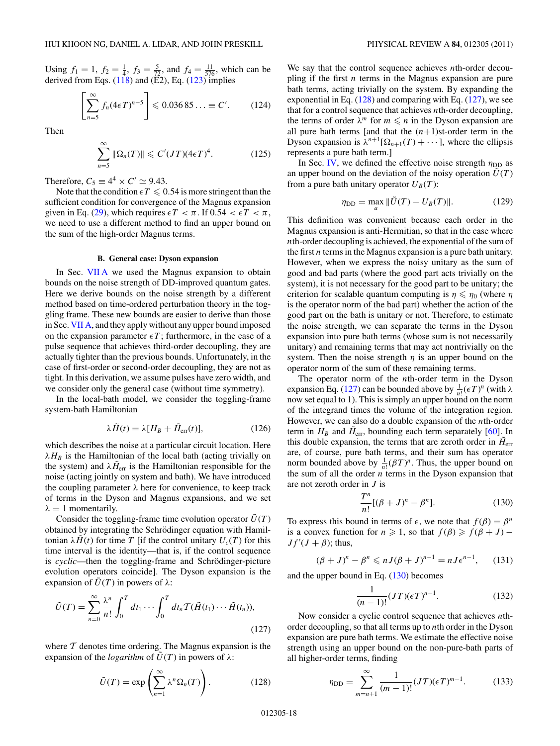<span id="page-17-0"></span>Using  $f_1 = 1$ ,  $f_2 = \frac{1}{4}$ ,  $f_3 = \frac{5}{72}$ , and  $f_4 = \frac{11}{576}$ , which can be derived from Eqs.  $(118)$  and  $(E2)$ , Eq.  $(123)$  implies

$$
\left[\sum_{n=5}^{\infty} f_n (4\epsilon T)^{n-5}\right] \leqslant 0.03685\ldots \equiv C'.\qquad (124)
$$

Then

$$
\sum_{n=5}^{\infty} \|\Omega_n(T)\| \leqslant C'(JT)(4\epsilon T)^4. \tag{125}
$$

Therefore,  $C_5 \equiv 4^4 \times C' \simeq 9.43$ .

Note that the condition  $\epsilon T \leq 0.54$  is more stringent than the sufficient condition for convergence of the Magnus expansion given in Eq. [\(29\)](#page-4-0), which requires  $\epsilon T < \pi$ . If  $0.54 < \epsilon T < \pi$ , we need to use a different method to find an upper bound on the sum of the high-order Magnus terms.

### **B. General case: Dyson expansion**

In Sec. VIIA we used the Magnus expansion to obtain bounds on the noise strength of DD-improved quantum gates. Here we derive bounds on the noise strength by a different method based on time-ordered perturbation theory in the toggling frame. These new bounds are easier to derive than those in Sec. [VII A,](#page-14-0) and they apply without any upper bound imposed on the expansion parameter  $\epsilon T$ ; furthermore, in the case of a pulse sequence that achieves third-order decoupling, they are actually tighter than the previous bounds. Unfortunately, in the case of first-order or second-order decoupling, they are not as tight. In this derivation, we assume pulses have zero width, and we consider only the general case (without time symmetry).

In the local-bath model, we consider the toggling-frame system-bath Hamiltonian

$$
\lambda \tilde{H}(t) = \lambda [H_B + \tilde{H}_{\text{err}}(t)],\tag{126}
$$

which describes the noise at a particular circuit location. Here  $\lambda H_B$  is the Hamiltonian of the local bath (acting trivially on the system) and  $\lambda \hat{H}_{\text{err}}$  is the Hamiltonian responsible for the noise (acting jointly on system and bath). We have introduced the coupling parameter  $\lambda$  here for convenience, to keep track of terms in the Dyson and Magnus expansions, and we set  $\lambda = 1$  momentarily.

Consider the toggling-frame time evolution operator  $U(T)$ obtained by integrating the Schrödinger equation with Hamiltonian  $\lambda \tilde{H}(t)$  for time *T* [if the control unitary  $U_c(T)$  for this time interval is the identity—that is, if the control sequence is *cyclic*—then the toggling-frame and Schrödinger-picture evolution operators coincide]. The Dyson expansion is the expansion of  $\hat{U}(T)$  in powers of  $\lambda$ :

$$
\tilde{U}(T) = \sum_{n=0}^{\infty} \frac{\lambda^n}{n!} \int_0^T dt_1 \cdots \int_0^T dt_n \mathcal{T}(\tilde{H}(t_1) \cdots \tilde{H}(t_n)),
$$
\n(127)

where  $T$  denotes time ordering. The Magnus expansion is the expansion of the *logarithm* of  $\tilde{U}(T)$  in powers of  $\lambda$ :

$$
\tilde{U}(T) = \exp\left(\sum_{n=1}^{\infty} \lambda^n \Omega_n(T)\right).
$$
 (128)

We say that the control sequence achieves *n*th-order decoupling if the first *n* terms in the Magnus expansion are pure bath terms, acting trivially on the system. By expanding the exponential in Eq.  $(128)$  and comparing with Eq.  $(127)$ , we see that for a control sequence that achieves *n*th-order decoupling, the terms of order  $\lambda^m$  for  $m \leq n$  in the Dyson expansion are all pure bath terms [and that the  $(n+1)$ st-order term in the Dyson expansion is  $\lambda^{n+1}[\Omega_{n+1}(T) + \cdots]$ , where the ellipsis represents a pure bath term.]

In Sec. [IV,](#page-5-0) we defined the effective noise strength  $\eta_{\text{DD}}$  as an upper bound on the deviation of the noisy operation  $\tilde{U}(T)$ from a pure bath unitary operator  $U_B(T)$ :

$$
\eta_{\rm DD} = \max_{a} \|\tilde{U}(T) - U_B(T)\|.
$$
 (129)

This definition was convenient because each order in the Magnus expansion is anti-Hermitian, so that in the case where *n*th-order decoupling is achieved, the exponential of the sum of the first *n* terms in the Magnus expansion is a pure bath unitary. However, when we express the noisy unitary as the sum of good and bad parts (where the good part acts trivially on the system), it is not necessary for the good part to be unitary; the criterion for scalable quantum computing is  $\eta \leq \eta_0$  (where  $\eta$ is the operator norm of the bad part) whether the action of the good part on the bath is unitary or not. Therefore, to estimate the noise strength, we can separate the terms in the Dyson expansion into pure bath terms (whose sum is not necessarily unitary) and remaining terms that may act nontrivially on the system. Then the noise strength  $\eta$  is an upper bound on the operator norm of the sum of these remaining terms.

The operator norm of the *n*th-order term in the Dyson expansion Eq. (127) can be bounded above by  $\frac{1}{n!} (\epsilon T)^n$  (with  $\lambda$ now set equal to 1). This is simply an upper bound on the norm of the integrand times the volume of the integration region. However, we can also do a double expansion of the *n*th-order term in  $H_B$  and  $\tilde{H}_{\text{err}}$ , bounding each term separately [\[60\]](#page-37-0). In this double expansion, the terms that are zeroth order in  $H_{\text{err}}$ are, of course, pure bath terms, and their sum has operator norm bounded above by  $\frac{1}{n!} (\beta T)^n$ . Thus, the upper bound on the sum of all the order *n* terms in the Dyson expansion that are not zeroth order in *J* is

$$
\frac{T^n}{n!}[(\beta+J)^n-\beta^n].\tag{130}
$$

To express this bound in terms of  $\epsilon$ , we note that  $f(\beta) = \beta^n$ is a convex function for  $n \ge 1$ , so that  $f(\beta) \ge f(\beta + J)$  –  $Jf'(J + \beta)$ ; thus,

$$
(\beta + J)^n - \beta^n \le n J (\beta + J)^{n-1} = n J \epsilon^{n-1}, \quad (131)
$$

and the upper bound in Eq. (130) becomes

$$
\frac{1}{(n-1)!}(JT)(\epsilon T)^{n-1}.
$$
 (132)

Now consider a cyclic control sequence that achieves *n*thorder decoupling, so that all terms up to *n*th order in the Dyson expansion are pure bath terms. We estimate the effective noise strength using an upper bound on the non-pure-bath parts of all higher-order terms, finding

$$
\eta_{\rm DD} = \sum_{m=n+1}^{\infty} \frac{1}{(m-1)!} (JT)(\epsilon T)^{m-1}.
$$
 (133)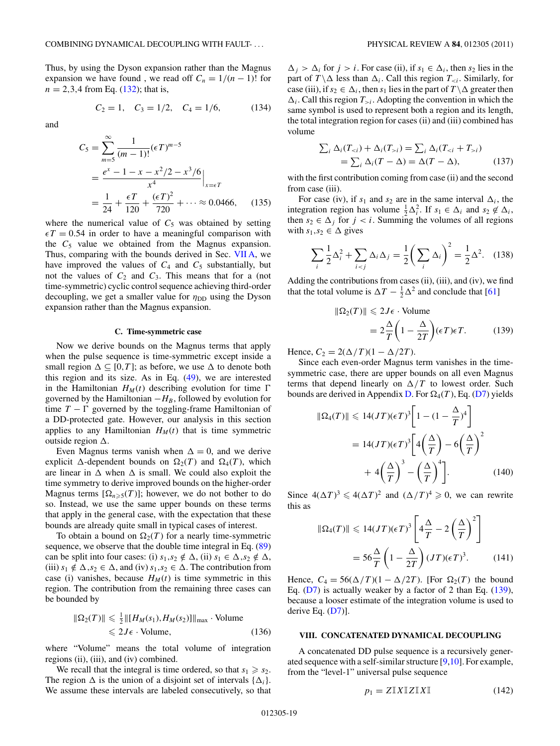<span id="page-18-0"></span>Thus, by using the Dyson expansion rather than the Magnus expansion we have found, we read off  $C_n = 1/(n - 1)!$  for  $n = 2,3,4$  from Eq. [\(132\)](#page-17-0); that is,

$$
C_2 = 1, \quad C_3 = 1/2, \quad C_4 = 1/6, \tag{134}
$$

and

$$
C_5 = \sum_{m=5}^{\infty} \frac{1}{(m-1)!} (\epsilon T)^{m-5}
$$
  
= 
$$
\frac{e^x - 1 - x - x^2/2 - x^3/6}{x^4} \Big|_{x=\epsilon T}
$$
  
= 
$$
\frac{1}{24} + \frac{\epsilon T}{120} + \frac{(\epsilon T)^2}{720} + \dots \approx 0.0466, \quad (135)
$$

where the numerical value of  $C_5$  was obtained by setting  $\epsilon T = 0.54$  in order to have a meaningful comparison with the  $C_5$  value we obtained from the Magnus expansion. Thus, comparing with the bounds derived in Sec. [VII A,](#page-14-0) we have improved the values of  $C_4$  and  $C_5$  substantially, but not the values of  $C_2$  and  $C_3$ . This means that for a (not time-symmetric) cyclic control sequence achieving third-order decoupling, we get a smaller value for *η*<sub>DD</sub> using the Dyson expansion rather than the Magnus expansion.

#### **C. Time-symmetric case**

Now we derive bounds on the Magnus terms that apply when the pulse sequence is time-symmetric except inside a small region  $\Delta \subseteq [0, T]$ ; as before, we use  $\Delta$  to denote both this region and its size. As in Eq. [\(49\)](#page-7-0), we are interested in the Hamiltonian  $H_M(t)$  describing evolution for time  $\Gamma$ governed by the Hamiltonian  $-H_B$ , followed by evolution for time  $T - \Gamma$  governed by the toggling-frame Hamiltonian of a DD-protected gate. However, our analysis in this section applies to any Hamiltonian  $H_M(t)$  that is time symmetric outside region  $\Delta$ .

Even Magnus terms vanish when  $\Delta = 0$ , and we derive explicit  $\Delta$ -dependent bounds on  $\Omega_2(T)$  and  $\Omega_4(T)$ , which are linear in  $\Delta$  when  $\Delta$  is small. We could also exploit the time symmetry to derive improved bounds on the higher-order Magnus terms  $\left[\Omega_{n\geqslant 5}(T)\right]$ ; however, we do not bother to do so. Instead, we use the same upper bounds on these terms that apply in the general case, with the expectation that these bounds are already quite small in typical cases of interest.

To obtain a bound on  $\Omega_2(T)$  for a nearly time-symmetric sequence, we observe that the double time integral in Eq. [\(89\)](#page-14-0) can be split into four cases: (i)  $s_1, s_2 \notin \Delta$ , (ii)  $s_1 \in \Delta$ ,  $s_2 \notin \Delta$ , (iii)  $s_1 \notin \Delta$ ,  $s_2 \in \Delta$ , and (iv)  $s_1, s_2 \in \Delta$ . The contribution from case (i) vanishes, because  $H_M(t)$  is time symmetric in this region. The contribution from the remaining three cases can be bounded by

$$
\|\Omega_2(T)\| \leq \frac{1}{2} \|[H_M(s_1), H_M(s_2)]\|_{\max} \cdot \text{Volume}
$$
  
\$\leq 2J\epsilon \cdot \text{Volume}, \qquad (136)\$

where "Volume" means the total volume of integration regions (ii), (iii), and (iv) combined.

We recall that the integral is time ordered, so that  $s_1 \geq s_2$ . The region  $\Delta$  is the union of a disjoint set of intervals  $\{\Delta_i\}$ . We assume these intervals are labeled consecutively, so that  $\Delta_i$  >  $\Delta_i$  for *j* > *i*. For case (ii), if  $s_1 \in \Delta_i$ , then  $s_2$  lies in the part of  $T \setminus \Delta$  less than  $\Delta_i$ . Call this region  $T_{\leq i}$ . Similarly, for case (iii), if  $s_2 \in \Delta_i$ , then  $s_1$  lies in the part of  $T \setminus \Delta$  greater then  $\Delta_i$ . Call this region  $T_{>i}$ . Adopting the convention in which the same symbol is used to represent both a region and its length, the total integration region for cases (ii) and (iii) combined has volume

$$
\sum_{i} \Delta_{i}(T_{i}) = \sum_{i} \Delta_{i}(T_{i})
$$
  
=  $\sum_{i} \Delta_{i}(T - \Delta) = \Delta(T - \Delta),$  (137)

with the first contribution coming from case (ii) and the second from case (iii).

For case (iv), if  $s_1$  and  $s_2$  are in the same interval  $\Delta_i$ , the integration region has volume  $\frac{1}{2}\Delta_i^2$ . If  $s_1 \in \Delta_i$  and  $s_2 \notin \Delta_i$ , then  $s_2 \in \Delta_j$  for  $j < i$ . Summing the volumes of all regions with  $s_1, s_2 \in \Delta$  gives

$$
\sum_{i} \frac{1}{2} \Delta_i^2 + \sum_{i < j} \Delta_i \Delta_j = \frac{1}{2} \left( \sum_{i} \Delta_i \right)^2 = \frac{1}{2} \Delta^2. \tag{138}
$$

Adding the contributions from cases (ii), (iii), and (iv), we find that the total volume is  $\Delta T - \frac{1}{2}\Delta^2$  and conclude that [\[61\]](#page-37-0)

$$
\|\Omega_2(T)\| \leq 2J\epsilon \cdot \text{Volume}
$$
  
=  $2\frac{\Delta}{T} \left(1 - \frac{\Delta}{2T}\right) (\epsilon T) \epsilon T.$  (139)

Hence,  $C_2 = 2(\Delta/T)(1 - \Delta/2T)$ .

Since each even-order Magnus term vanishes in the timesymmetric case, there are upper bounds on all even Magnus terms that depend linearly on  $\Delta/T$  to lowest order. Such bounds are derived in Appendix [D.](#page-30-0) For  $\Omega_4(T)$ , Eq. [\(D7\)](#page-31-0) yields

$$
\|\Omega_4(T)\| \leq 14(JT)(\epsilon T)^3 \left[1 - (1 - \frac{\Delta}{T})^4\right]
$$

$$
= 14(JT)(\epsilon T)^3 \left[4\left(\frac{\Delta}{T}\right) - 6\left(\frac{\Delta}{T}\right)^2\right]
$$

$$
+ 4\left(\frac{\Delta}{T}\right)^3 - \left(\frac{\Delta}{T}\right)^4\right]. \tag{140}
$$

Since  $4(\Delta T)^3 \le 4(\Delta T)^2$  and  $({\Delta} /T)^4 \ge 0$ , we can rewrite this as

$$
\|\Omega_4(T)\| \leq 14(JT)(\epsilon T)^3 \left[4\frac{\Delta}{T} - 2\left(\frac{\Delta}{T}\right)^2\right]
$$

$$
= 56\frac{\Delta}{T}\left(1 - \frac{\Delta}{2T}\right)(JT)(\epsilon T)^3. \tag{141}
$$

Hence,  $C_4 = 56(\Delta/T)(1 - \Delta/2T)$ . [For  $\Omega_2(T)$  the bound Eq. [\(D7\)](#page-31-0) is actually weaker by a factor of 2 than Eq. (139), because a looser estimate of the integration volume is used to derive Eq.  $(D7)$ ].

#### **VIII. CONCATENATED DYNAMICAL DECOUPLING**

A concatenated DD pulse sequence is a recursively generated sequence with a self-similar structure [\[9,10\]](#page-36-0). For example, from the "level-1" universal pulse sequence

$$
p_1 = Z\mathbb{I}X\mathbb{I}Z\mathbb{I}X\mathbb{I} \tag{142}
$$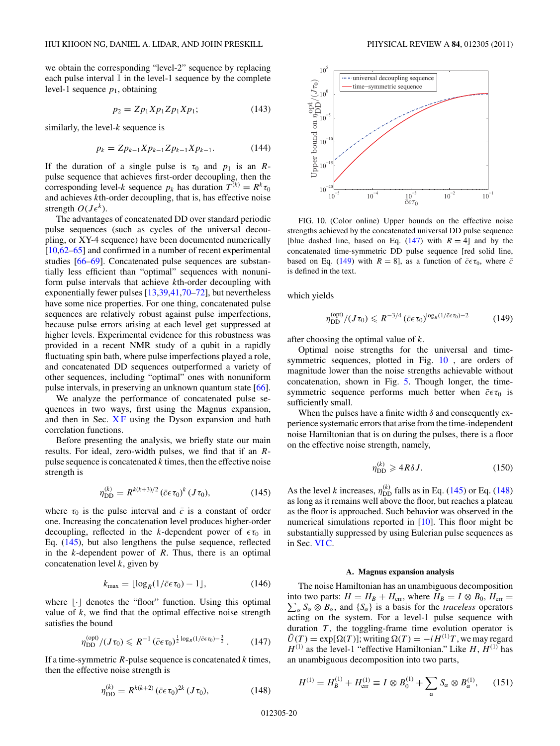<span id="page-19-0"></span>we obtain the corresponding "level-2" sequence by replacing each pulse interval  $\mathbb I$  in the level-1 sequence by the complete level-1 sequence  $p_1$ , obtaining

$$
p_2 = Zp_1Xp_1Zp_1Xp_1; \t\t(143)
$$

similarly, the level-*k* sequence is

$$
p_k = Zp_{k-1}Xp_{k-1}Zp_{k-1}Xp_{k-1}.
$$
 (144)

If the duration of a single pulse is  $\tau_0$  and  $p_1$  is an *R*pulse sequence that achieves first-order decoupling, then the corresponding level-*k* sequence  $p_k$  has duration  $T^{(k)} = R^k \tau_0$ and achieves *k*th-order decoupling, that is, has effective noise strength  $O(J\epsilon^k)$ .

The advantages of concatenated DD over standard periodic pulse sequences (such as cycles of the universal decoupling, or XY-4 sequence) have been documented numerically [\[10,](#page-36-0)[62–65\]](#page-37-0) and confirmed in a number of recent experimental studies [\[66–69\]](#page-37-0). Concatenated pulse sequences are substantially less efficient than "optimal" sequences with nonuniform pulse intervals that achieve *k*th-order decoupling with exponentially fewer pulses [\[13,](#page-36-0)[39,41,70–72\]](#page-37-0), but nevertheless have some nice properties. For one thing, concatenated pulse sequences are relatively robust against pulse imperfections, because pulse errors arising at each level get suppressed at higher levels. Experimental evidence for this robustness was provided in a recent NMR study of a qubit in a rapidly fluctuating spin bath, where pulse imperfections played a role, and concatenated DD sequences outperformed a variety of other sequences, including "optimal" ones with nonuniform pulse intervals, in preserving an unknown quantum state [\[66\]](#page-37-0).

We analyze the performance of concatenated pulse sequences in two ways, first using the Magnus expansion, and then in Sec.  $XF$  using the Dyson expansion and bath correlation functions.

Before presenting the analysis, we briefly state our main results. For ideal, zero-width pulses, we find that if an *R*pulse sequence is concatenated *k* times, then the effective noise strength is

$$
\eta_{\text{DD}}^{(k)} = R^{k(k+3)/2} \left( \bar{c} \epsilon \tau_0 \right)^k (J \tau_0), \tag{145}
$$

where  $\tau_0$  is the pulse interval and  $\bar{c}$  is a constant of order one. Increasing the concatenation level produces higher-order decoupling, reflected in the *k*-dependent power of  $\epsilon \tau_0$  in Eq. (145), but also lengthens the pulse sequence, reflected in the *k*-dependent power of *R*. Thus, there is an optimal concatenation level *k*, given by

$$
k_{\max} = \lfloor \log_R(1/\bar{c}\epsilon \tau_0) - 1 \rfloor, \tag{146}
$$

where  $\lfloor \cdot \rfloor$  denotes the "floor" function. Using this optimal value of *k*, we find that the optimal effective noise strength satisfies the bound

$$
\eta_{\text{DD}}^{(\text{opt})}/(J\tau_0) \leq R^{-1} \left(\bar{c}\epsilon\tau_0\right)^{\frac{1}{2}\log_R(1/\bar{c}\epsilon\tau_0) - \frac{3}{2}}.\tag{147}
$$

If a time-symmetric *R*-pulse sequence is concatenated *k* times, then the effective noise strength is

$$
\eta_{\text{DD}}^{(k)} = R^{k(k+2)} (\bar{c} \epsilon \tau_0)^{2k} (J \tau_0), \tag{148}
$$



FIG. 10. (Color online) Upper bounds on the effective noise strengths achieved by the concatenated universal DD pulse sequence [blue dashed line, based on Eq.  $(147)$  with  $R = 4$ ] and by the concatenated time-symmetric DD pulse sequence [red solid line, based on Eq. (149) with  $R = 8$ ], as a function of  $\bar{c} \in \tau_0$ , where  $\bar{c}$ is defined in the text.

which yields

$$
\eta_{\text{DD}}^{(\text{opt})}/(J\tau_0) \leqslant R^{-3/4} \left(\bar{c}\epsilon\tau_0\right)^{\log_R(1/\bar{c}\epsilon\tau_0) - 2} \tag{149}
$$

after choosing the optimal value of *k*.

Optimal noise strengths for the universal and timesymmetric sequences, plotted in Fig. 10 , are orders of magnitude lower than the noise strengths achievable without concatenation, shown in Fig. [5.](#page-10-0) Though longer, the timesymmetric sequence performs much better when  $\bar{c} \in \tau_0$  is sufficiently small.

When the pulses have a finite width *δ* and consequently experience systematic errors that arise from the time-independent noise Hamiltonian that is on during the pulses, there is a floor on the effective noise strength, namely,

$$
\eta_{\text{DD}}^{(k)} \geqslant 4R\delta J. \tag{150}
$$

As the level *k* increases,  $\eta_{\text{DD}}^{(k)}$  falls as in Eq. (145) or Eq. (148) as long as it remains well above the floor, but reaches a plateau as the floor is approached. Such behavior was observed in the numerical simulations reported in [\[10\]](#page-36-0). This floor might be substantially suppressed by using Eulerian pulse sequences as in Sec. VIC.

#### **A. Magnus expansion analysis**

The noise Hamiltonian has an unambiguous decomposition into two parts:  $H = H_B + H_{\text{err}}$ , where  $H_B = I \otimes B_0$ ,  $H_{\text{err}} = \sum_{\alpha} S_{\alpha} \otimes B_{\alpha}$ , and  $\{S_{\alpha}\}\$  is a basis for the *traceless* operators  $\sum_{\alpha} S_{\alpha} \otimes B_{\alpha}$ , and  $\{S_{\alpha}\}\$ is a basis for the *traceless* operators acting on the system. For a level-1 pulse sequence with duration  $T$ , the toggling-frame time evolution operator is  $\tilde{U}(T) = \exp[\Omega(T)]$ ; writing  $\Omega(T) = -i H^{(1)}T$ , we may regard  $H^{(1)}$  as the level-1 "effective Hamiltonian." Like *H*,  $H^{(1)}$  has an unambiguous decomposition into two parts,

$$
H^{(1)} = H_B^{(1)} + H_{\text{err}}^{(1)} \equiv I \otimes B_0^{(1)} + \sum_{\alpha} S_{\alpha} \otimes B_{\alpha}^{(1)}, \qquad (151)
$$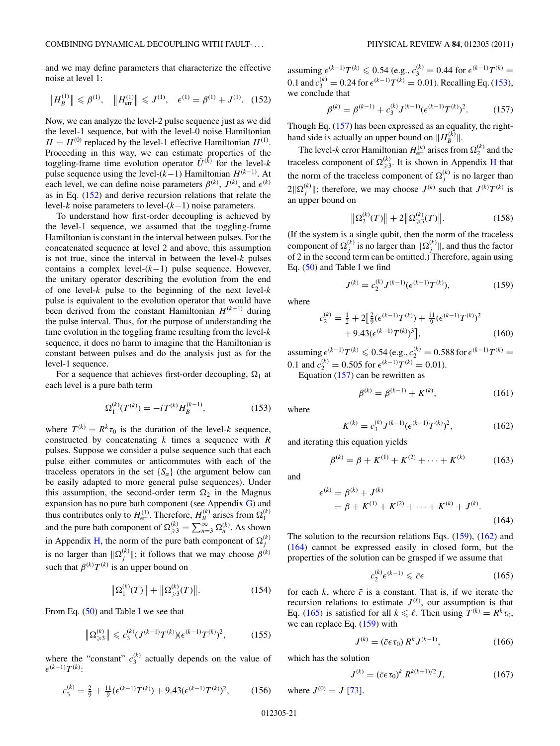<span id="page-20-0"></span>and we may define parameters that characterize the effective noise at level 1:

$$
\left\|H_B^{(1)}\right\| \leqslant \beta^{(1)}, \quad \left\|H_{\text{err}}^{(1)}\right\| \leqslant J^{(1)}, \quad \epsilon^{(1)} = \beta^{(1)} + J^{(1)}.\tag{152}
$$

Now, we can analyze the level-2 pulse sequence just as we did the level-1 sequence, but with the level-0 noise Hamiltonian  $H = H^{(0)}$  replaced by the level-1 effective Hamiltonian  $H^{(1)}$ . Proceeding in this way, we can estimate properties of the toggling-frame time evolution operator  $\tilde{U}^{(\tilde{k})}$  for the level-*k* pulse sequence using the level- $(k-1)$  Hamiltonian  $H^{(k-1)}$ . At each level, we can define noise parameters  $\beta^{(k)}$ ,  $J^{(k)}$ , and  $\epsilon^{(k)}$ as in Eq. (152) and derive recursion relations that relate the level-*k* noise parameters to level-(*k*−1) noise parameters.

To understand how first-order decoupling is achieved by the level-1 sequence, we assumed that the toggling-frame Hamiltonian is constant in the interval between pulses. For the concatenated sequence at level 2 and above, this assumption is not true, since the interval in between the level-*k* pulses contains a complex level-(*k*−1) pulse sequence. However, the unitary operator describing the evolution from the end of one level-*k* pulse to the beginning of the next level-*k* pulse is equivalent to the evolution operator that would have been derived from the constant Hamiltonian *H*(*k*−1) during the pulse interval. Thus, for the purpose of understanding the time evolution in the toggling frame resulting from the level-*k* sequence, it does no harm to imagine that the Hamiltonian is constant between pulses and do the analysis just as for the level-1 sequence.

For a sequence that achieves first-order decoupling,  $\Omega_1$  at each level is a pure bath term

$$
\Omega_1^{(k)}(T^{(k)}) = -i T^{(k)} H_B^{(k-1)},\tag{153}
$$

where  $T^{(k)} = R^k \tau_0$  is the duration of the level-*k* sequence, constructed by concatenating *k* times a sequence with *R* pulses. Suppose we consider a pulse sequence such that each pulse either commutes or anticommutes with each of the traceless operators in the set  ${S_\alpha}$  (the argument below can be easily adapted to more general pulse sequences). Under this assumption, the second-order term  $\Omega_2$  in the Magnus expansion has no pure bath component (see Appendix [G\)](#page-33-0) and thus contributes only to  $H_{\text{err}}^{(1)}$ . Therefore,  $H_B^{(k)}$  arises from  $\Omega_1^{(k)}$ and the pure bath component of  $\Omega_{\geq 3}^{(k)}$  $\sum_{k=3}^{(k)} \sum_{n=3}^{\infty} \Omega_n^{(k)}$ . As shown in Appendix [H,](#page-33-0) the norm of the pure bath component of  $\Omega_j^{(k)}$ is no larger than  $\|\Omega_j^{(k)}\|$ ; it follows that we may choose  $\beta^{(k)}$ such that  $\beta^{(k)}T^{(k)}$  is an upper bound on

$$
\|\Omega_1^{(k)}(T)\| + \|\Omega_{\geq 3}^{(k)}(T)\|.\tag{154}
$$

From Eq.  $(50)$  and Table [I](#page-7-0) we see that

$$
\left\|\Omega_{\geq 3}^{(k)}\right\| \leq c_3^{(k)}(J^{(k-1)}T^{(k)})(\epsilon^{(k-1)}T^{(k)})^2, \tag{155}
$$

where the "constant"  $c_3^{(k)}$  actually depends on the value of  $\epsilon^{(k-1)}T^{(k)}$ 

$$
c_3^{(k)} = \frac{2}{9} + \frac{11}{9} (\epsilon^{(k-1)} T^{(k)}) + 9.43 (\epsilon^{(k-1)} T^{(k)})^2, \qquad (156)
$$

assuming  $\epsilon^{(k-1)}T^{(k)} \le 0.54$  (e.g.,  $c_3^{(k)} = 0.44$  for  $\epsilon^{(k-1)}T^{(k)} =$ 0.1 and  $c_3^{(k)} = 0.24$  for  $\epsilon^{(k-1)}T^{(k)} = 0.01$ ). Recalling Eq. (153), we conclude that

$$
\beta^{(k)} = \beta^{(k-1)} + c_3^{(k)} J^{(k-1)} (\epsilon^{(k-1)} T^{(k)})^2.
$$
 (157)

Though Eq. (157) has been expressed as an equality, the righthand side is actually an upper bound on  $||H_B^{(k)}||$ .

The level-*k* error Hamiltonian  $H_{\text{err}}^{(k)}$  arises from  $\Omega_2^{(k)}$  and the traceless component of  $\Omega_{\geq 3}^{(k)}$  $\frac{K}{\geq 3}$ . It is shown in Appendix [H](#page-33-0) that the norm of the traceless component of  $\Omega_j^{(k)}$  is no larger than  $2\|\Omega_j^{(k)}\|$ ; therefore, we may choose  $J^{(k)}$  such that  $J^{(k)}T^{(k)}$  is an upper bound on

$$
\|\Omega_2^{(k)}(T)\| + 2\|\Omega_{\geq 3}^{(k)}(T)\|.\tag{158}
$$

(If the system is a single qubit, then the norm of the traceless component of  $\Omega_j^{(k)}$  is no larger than  $\|\Omega_j^{(k)}\|$ , and thus the factor of 2 in the second term can be omitted.) Therefore, again using Eq. (50) and Table [I](#page-7-0) we find

$$
J^{(k)} = c_2^{(k)} J^{(k-1)}(\epsilon^{(k-1)} T^{(k)}),\tag{159}
$$

where

$$
c_2^{(k)} = \frac{1}{2} + 2\left[\frac{2}{9}(\epsilon^{(k-1)}T^{(k)}) + \frac{11}{9}(\epsilon^{(k-1)}T^{(k)})^2 + 9.43(\epsilon^{(k-1)}T^{(k)})^3\right],
$$
 (160)

assuming  $\epsilon^{(k-1)}T^{(k)} \le 0.54$  (e.g.,  $c_2^{(k)} = 0.588$  for  $\epsilon^{(k-1)}T^{(k)} =$ 0.1 and  $c_2^{(k)} = 0.505$  for  $\epsilon^{(k-1)}T^{(k)} = 0.01$ .

Equation  $(157)$  can be rewritten as

$$
\beta^{(k)} = \beta^{(k-1)} + K^{(k)},\tag{161}
$$

where

$$
K^{(k)} = c_3^{(k)} J^{(k-1)} (\epsilon^{(k-1)} T^{(k)})^2, \qquad (162)
$$

and iterating this equation yields

$$
\beta^{(k)} = \beta + K^{(1)} + K^{(2)} + \dots + K^{(k)} \tag{163}
$$

and

$$
\epsilon^{(k)} = \beta^{(k)} + J^{(k)}
$$
  
=  $\beta + K^{(1)} + K^{(2)} + \dots + K^{(k)} + J^{(k)}$ . (164)

The solution to the recursion relations Eqs.  $(159)$ ,  $(162)$  and (164) cannot be expressed easily in closed form, but the properties of the solution can be grasped if we assume that

$$
c_2^{(k)} \epsilon^{(k-1)} \leq \bar{c} \epsilon \tag{165}
$$

for each  $k$ , where  $\bar{c}$  is a constant. That is, if we iterate the recursion relations to estimate  $J^{(\ell)}$ , our assumption is that Eq. (165) is satisfied for all  $k \leq \ell$ . Then using  $T^{(k)} = R^k \tau_0$ , we can replace Eq. (159) with

$$
J^{(k)} = (\bar{c}\epsilon\tau_0) R^k J^{(k-1)}, \qquad (166)
$$

which has the solution

$$
J^{(k)} = (\bar{c}\epsilon\tau_0)^k R^{k(k+1)/2} J, \qquad (167)
$$

where  $J^{(0)} = J$  [\[73\]](#page-37-0).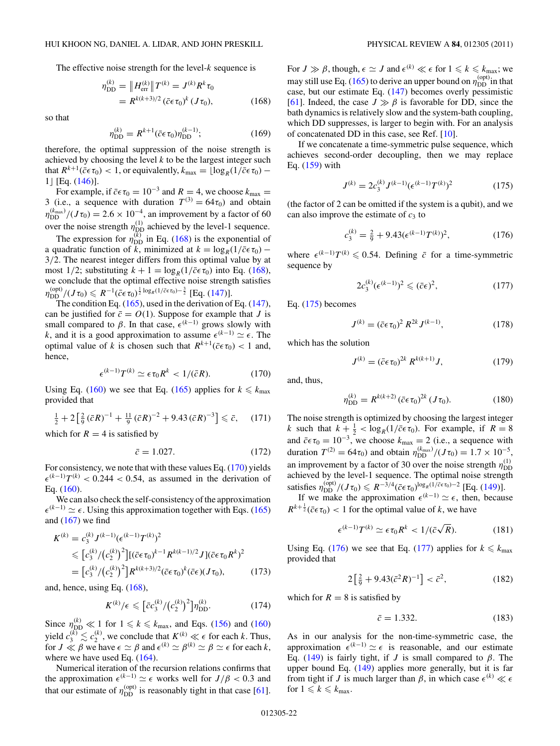<span id="page-21-0"></span>The effective noise strength for the level-*k* sequence is

$$
\eta_{\rm DD}^{(k)} = \| H_{\rm err}^{(k)} \| T^{(k)} = J^{(k)} R^k \tau_0
$$
  
=  $R^{k(k+3)/2} (\bar{c} \epsilon \tau_0)^k (J \tau_0),$  (168)

so that

$$
\eta_{\rm DD}^{(k)} = R^{k+1} (\bar{c} \epsilon \tau_0) \eta_{\rm DD}^{(k-1)}; \tag{169}
$$

therefore, the optimal suppression of the noise strength is achieved by choosing the level  $k$  to be the largest integer such that  $R^{k+1}(\bar{c}\epsilon\tau_0) < 1$ , or equivalently,  $k_{\max} = \lfloor \log_R(1/\bar{c}\epsilon\tau_0) - \frac{1}{2}\right)$ 1 [Eq.  $(146)$ ].

For example, if  $\bar{c} \epsilon \tau_0 = 10^{-3}$  and  $R = 4$ , we choose  $k_{\text{max}} =$ 3 (i.e., a sequence with duration  $T^{(3)} = 64\tau_0$ ) and obtain  $\eta_{\rm DD}^{(k_{\rm max})}/(J\tau_0) = 2.6 \times 10^{-4}$ , an improvement by a factor of 60 over the noise strength  $\eta_{DD}^{(1)}$  achieved by the level-1 sequence.

The expression for  $\eta_{\text{DD}}^{(k)}$  in Eq. (168) is the exponential of a quadratic function of *k*, minimized at  $k = \log_R(1/\bar{c}\epsilon \tau_0)$  – 3*/*2. The nearest integer differs from this optimal value by at most 1/2; substituting  $k + 1 = \log_R(1/\bar{c}\epsilon \tau_0)$  into Eq. (168), we conclude that the optimal effective noise strength satisfies  $\eta_{\mathrm{DD}}^{(\mathrm{opt})}/(J\tau_0) \leqslant R^{-1}(\bar{c}\epsilon\tau_0)^{\frac{1}{2}\log_R(1/\bar{c}\epsilon\tau_0) - \frac{3}{2}} \text{ [Eq. (147)]}.$  $\eta_{\mathrm{DD}}^{(\mathrm{opt})}/(J\tau_0) \leqslant R^{-1}(\bar{c}\epsilon\tau_0)^{\frac{1}{2}\log_R(1/\bar{c}\epsilon\tau_0) - \frac{3}{2}} \text{ [Eq. (147)]}.$  $\eta_{\mathrm{DD}}^{(\mathrm{opt})}/(J\tau_0) \leqslant R^{-1}(\bar{c}\epsilon\tau_0)^{\frac{1}{2}\log_R(1/\bar{c}\epsilon\tau_0) - \frac{3}{2}} \text{ [Eq. (147)]}.$ 

The condition Eq. [\(165\)](#page-20-0), used in the derivation of Eq. [\(147\)](#page-19-0), can be justified for  $\bar{c} = O(1)$ . Suppose for example that *J* is small compared to  $\beta$ . In that case,  $\epsilon^{(k-1)}$  grows slowly with *k*, and it is a good approximation to assume  $\epsilon^{(k-1)} \simeq \epsilon$ . The optimal value of *k* is chosen such that  $R^{k+1}(\bar{c}\epsilon \tau_0) < 1$  and, hence,

$$
\epsilon^{(k-1)} T^{(k)} \simeq \epsilon \tau_0 R^k < 1/(\bar{c}R). \tag{170}
$$

Using Eq. [\(160\)](#page-20-0) we see that Eq. [\(165\)](#page-20-0) applies for  $k \le k_{\text{max}}$ provided that

$$
\frac{1}{2} + 2\left[\frac{2}{9}(\bar{c}R)^{-1} + \frac{11}{9}(\bar{c}R)^{-2} + 9.43(\bar{c}R)^{-3}\right] \leq \bar{c}, \quad (171)
$$

which for  $R = 4$  is satisfied by

$$
\bar{c} = 1.027.\tag{172}
$$

For consistency, we note that with these values Eq. (170) yields  $\epsilon^{(k-1)}T^{(k)}$  < 0.244 < 0.54, as assumed in the derivation of Eq. [\(160\)](#page-20-0).

We can also check the self-consistency of the approximation  $\epsilon^{(k-1)}$   $\simeq$   $\epsilon$ . Using this approximation together with Eqs. [\(165\)](#page-20-0) and  $(167)$  we find

$$
K^{(k)} = c_3^{(k)} J^{(k-1)} (\epsilon^{(k-1)} T^{(k)})^2
$$
  
\n
$$
\leq [c_3^{(k)}/(c_2^{(k)})^2] [(\bar{c} \epsilon \tau_0)^{k-1} R^{k(k-1)/2} J] (\bar{c} \epsilon \tau_0 R^k)^2
$$
  
\n
$$
= [c_3^{(k)}/(c_2^{(k)})^2] R^{k(k+3)/2} (\bar{c} \epsilon \tau_0)^k (\bar{c} \epsilon) (J \tau_0), \qquad (173)
$$

and, hence, using Eq. (168),

$$
K^{(k)}/\epsilon \leqslant \left[\bar{c}c_3^{(k)}/\left(c_2^{(k)}\right)^2\right]\eta_{\text{DD}}^{(k)}.\tag{174}
$$

Since  $\eta_{\text{DD}}^{(k)} \ll 1$  for  $1 \leq k \leq k_{\text{max}}$ , and Eqs. [\(156\)](#page-20-0) and [\(160\)](#page-20-0) yield  $c_3^{(k)} \lesssim c_2^{(k)}$ , we conclude that  $K^{(k)} \ll \epsilon$  for each *k*. Thus, for  $J \ll \beta$  we have  $\epsilon \simeq \beta$  and  $\epsilon^{(k)} \simeq \beta^{(k)} \simeq \beta \simeq \epsilon$  for each *k*, where we have used Eq.  $(164)$ .

Numerical iteration of the recursion relations confirms that the approximation  $\epsilon^{(k-1)} \simeq \epsilon$  works well for  $J/\beta < 0.3$  and that our estimate of  $\eta_{\text{DD}}^{(\text{opt})}$  is reasonably tight in that case [\[61\]](#page-37-0).

For  $J \gg \beta$ , though,  $\epsilon \simeq J$  and  $\epsilon^{(k)} \ll \epsilon$  for  $1 \leq k \leq k_{\text{max}}$ ; we may still use Eq. [\(165\)](#page-20-0) to derive an upper bound on  $\eta_{\text{DD}}^{\text{(opt)}}$  in that case, but our estimate Eq. [\(147\)](#page-19-0) becomes overly pessimistic [\[61\]](#page-37-0). Indeed, the case  $J \gg \beta$  is favorable for DD, since the bath dynamics is relatively slow and the system-bath coupling, which DD suppresses, is larger to begin with. For an analysis of concatenated DD in this case, see Ref. [\[10\]](#page-36-0).

If we concatenate a time-symmetric pulse sequence, which achieves second-order decoupling, then we may replace Eq.  $(159)$  with

$$
J^{(k)} = 2c_3^{(k)} J^{(k-1)} (\epsilon^{(k-1)} T^{(k)})^2
$$
 (175)

(the factor of 2 can be omitted if the system is a qubit), and we can also improve the estimate of  $c_3$  to

$$
c_3^{(k)} = \frac{2}{9} + 9.43(\epsilon^{(k-1)}T^{(k)})^2, \tag{176}
$$

where  $\epsilon^{(k-1)}T^{(k)} \leq 0.54$ . Defining  $\bar{c}$  for a time-symmetric sequence by

$$
2c_3^{(k)}(\epsilon^{(k-1)})^2 \leqslant (\bar{c}\epsilon)^2,\tag{177}
$$

Eq.  $(175)$  becomes

$$
J^{(k)} = (\bar{c}\epsilon\tau_0)^2 R^{2k} J^{(k-1)}, \qquad (178)
$$

which has the solution

$$
J^{(k)} = (\bar{c}\epsilon \tau_0)^{2k} R^{k(k+1)} J, \qquad (179)
$$

and, thus,

$$
\eta_{\text{DD}}^{(k)} = R^{k(k+2)} (\bar{c} \epsilon \tau_0)^{2k} (J \tau_0).
$$
 (180)

The noise strength is optimized by choosing the largest integer *k* such that  $k + \frac{1}{2} < \log_R(1/\bar{c} \epsilon \tau_0)$ . For example, if  $R = 8$ and  $\bar{c}\epsilon\tau_0 = 10^{-3}$ , we choose  $k_{\text{max}} = 2$  (i.e., a sequence with duration  $T^{(2)} = 64\tau_0$ ) and obtain  $\eta_{\text{DD}}^{(k_{\text{max}})} / (J\tau_0) = 1.7 \times 10^{-5}$ , an improvement by a factor of 30 over the noise strength  $\eta_{DD}^{(1)}$ achieved by the level-1 sequence. The optimal noise strength satisfies  $\eta_{\text{DD}}^{\text{(opt)}}/(J\tau_0) \le R^{-3/4}(\bar{c}\epsilon\tau_0)^{\log_R(1/\bar{c}\epsilon\tau_0)-2}$  [Eq. [\(149\)](#page-19-0)].

If we make the approximation  $\epsilon^{(k-1)}$   $\simeq$   $\epsilon$ , then, because  $R^{k+\frac{1}{2}}(\bar{c}\epsilon\tau_0) < 1$  for the optimal value of *k*, we have

$$
\epsilon^{(k-1)} T^{(k)} \simeq \epsilon \tau_0 R^k < 1/(\bar{c}\sqrt{R}).\tag{181}
$$

Using Eq. (176) we see that Eq. (177) applies for  $k \le k_{\text{max}}$ provided that

$$
2\left[\frac{2}{9} + 9.43(\bar{c}^2 R)^{-1}\right] < \bar{c}^2,\tag{182}
$$

which for  $R = 8$  is satisfied by

$$
\bar{c} = 1.332.\tag{183}
$$

As in our analysis for the non-time-symmetric case, the approximation  $\epsilon^{(k-1)} \simeq \epsilon$  is reasonable, and our estimate Eq. [\(149\)](#page-19-0) is fairly tight, if *J* is small compared to *β*. The upper bound Eq. [\(149\)](#page-19-0) applies more generally, but it is far from tight if *J* is much larger than  $\beta$ , in which case  $\epsilon^{(k)} \ll \epsilon$ for  $1 \leq k \leq k_{\text{max}}$ .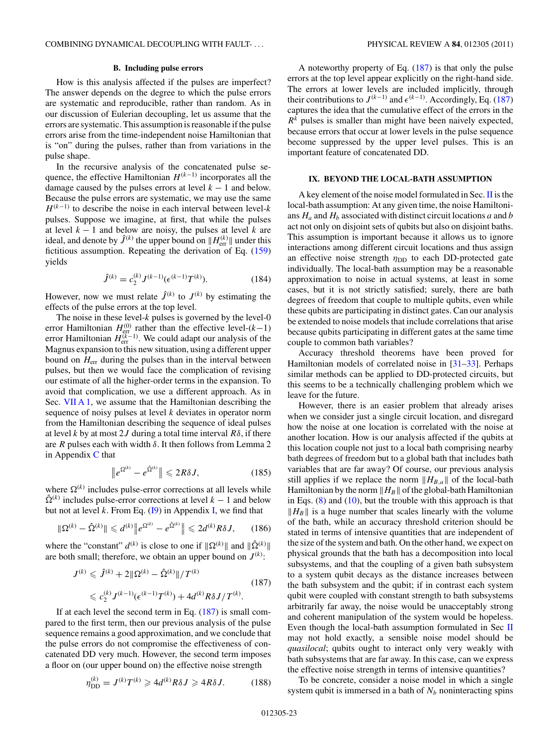#### **B. Including pulse errors**

<span id="page-22-0"></span>How is this analysis affected if the pulses are imperfect? The answer depends on the degree to which the pulse errors are systematic and reproducible, rather than random. As in our discussion of Eulerian decoupling, let us assume that the errors are systematic. This assumption is reasonable if the pulse errors arise from the time-independent noise Hamiltonian that is "on" during the pulses, rather than from variations in the pulse shape.

In the recursive analysis of the concatenated pulse sequence, the effective Hamiltonian *H*(*k*−1) incorporates all the damage caused by the pulses errors at level  $k - 1$  and below. Because the pulse errors are systematic, we may use the same *H*<sup>(*k*−1)</sup> to describe the noise in each interval between level-*k* pulses. Suppose we imagine, at first, that while the pulses at level *k* − 1 and below are noisy, the pulses at level *k* are ideal, and denote by  $\hat{J}^{(k)}$  the upper bound on  $||H_{\text{err}}^{(k)}||$  under this fictitious assumption. Repeating the derivation of Eq. [\(159\)](#page-20-0) yields

$$
\hat{J}^{(k)} = c_2^{(k)} J^{(k-1)} (\epsilon^{(k-1)} T^{(k)}).
$$
 (184)

However, now we must relate  $\hat{J}^{(k)}$  to  $J^{(k)}$  by estimating the effects of the pulse errors at the top level.

The noise in these level-*k* pulses is governed by the level-0 error Hamiltonian  $H_{\text{err}}^{(0)}$  rather than the effective level-(*k*-1) error Hamiltonian  $H_{\text{err}}^{(k-1)}$ . We could adapt our analysis of the Magnus expansion to this new situation, using a different upper bound on *H*err during the pulses than in the interval between pulses, but then we would face the complication of revising our estimate of all the higher-order terms in the expansion. To avoid that complication, we use a different approach. As in Sec. [VII A 1,](#page-14-0) we assume that the Hamiltonian describing the sequence of noisy pulses at level *k* deviates in operator norm from the Hamiltonian describing the sequence of ideal pulses at level *k* by at most 2*J* during a total time interval *Rδ*, if there are *R* pulses each with width *δ*. It then follows from Lemma 2 in Appendix [C](#page-30-0) that

$$
\left\|e^{\Omega^{(k)}} - e^{\hat{\Omega}^{(k)}}\right\| \leqslant 2R\delta J,\tag{185}
$$

where  $\Omega^{(k)}$  includes pulse-error corrections at all levels while  $\hat{\Omega}^{(k)}$  includes pulse-error corrections at level  $k-1$  and below but not at level  $k$ . From Eq.  $(19)$  in Appendix [I,](#page-34-0) we find that

$$
\|\Omega^{(k)} - \hat{\Omega}^{(k)}\| \leq d^{(k)} \|e^{\Omega^{(k)}} - e^{\hat{\Omega}^{(k)}}\| \leq 2d^{(k)}R\delta J, \qquad (186)
$$

where the "constant"  $d^{(k)}$  is close to one if  $\|\Omega^{(k)}\|$  and  $\|\hat{\Omega}^{(k)}\|$ are both small; therefore, we obtain an upper bound on  $J^{(k)}$ :

$$
J^{(k)} \leq \hat{J}^{(k)} + 2\|\Omega^{(k)} - \hat{\Omega}^{(k)}\| / T^{(k)}
$$
  

$$
\leq c_2^{(k)} J^{(k-1)}(\epsilon^{(k-1)} T^{(k)}) + 4d^{(k)} R\delta J / T^{(k)}.
$$
 (187)

If at each level the second term in Eq. (187) is small compared to the first term, then our previous analysis of the pulse sequence remains a good approximation, and we conclude that the pulse errors do not compromise the effectiveness of concatenated DD very much. However, the second term imposes a floor on (our upper bound on) the effective noise strength

$$
\eta_{\text{DD}}^{(k)} = J^{(k)} T^{(k)} \geqslant 4d^{(k)} R \delta J \geqslant 4R \delta J. \tag{188}
$$

A noteworthy property of Eq. (187) is that only the pulse errors at the top level appear explicitly on the right-hand side. The errors at lower levels are included implicitly, through their contributions to  $J^{(k-1)}$  and  $\epsilon^{(k-1)}$ . Accordingly, Eq. (187) captures the idea that the cumulative effect of the errors in the  $R<sup>k</sup>$  pulses is smaller than might have been naively expected, because errors that occur at lower levels in the pulse sequence become suppressed by the upper level pulses. This is an important feature of concatenated DD.

## **IX. BEYOND THE LOCAL-BATH ASSUMPTION**

A key element of the noise model formulated in Sec. [II](#page-1-0) is the local-bath assumption: At any given time, the noise Hamiltonians *Ha* and *Hb* associated with distinct circuit locations *a* and *b* act not only on disjoint sets of qubits but also on disjoint baths. This assumption is important because it allows us to ignore interactions among different circuit locations and thus assign an effective noise strength *η*<sub>DD</sub> to each DD-protected gate individually. The local-bath assumption may be a reasonable approximation to noise in actual systems, at least in some cases, but it is not strictly satisfied; surely, there are bath degrees of freedom that couple to multiple qubits, even while these qubits are participating in distinct gates. Can our analysis be extended to noise models that include correlations that arise because qubits participating in different gates at the same time couple to common bath variables?

Accuracy threshold theorems have been proved for Hamiltonian models of correlated noise in [\[31–33\]](#page-37-0). Perhaps similar methods can be applied to DD-protected circuits, but this seems to be a technically challenging problem which we leave for the future.

However, there is an easier problem that already arises when we consider just a single circuit location, and disregard how the noise at one location is correlated with the noise at another location. How is our analysis affected if the qubits at this location couple not just to a local bath comprising nearby bath degrees of freedom but to a global bath that includes bath variables that are far away? Of course, our previous analysis still applies if we replace the norm  $||H_{B,a}||$  of the local-bath Hamiltonian by the norm  $||H_B||$  of the global-bath Hamiltonian in Eqs.  $(8)$  and  $(10)$ , but the trouble with this approach is that  $||H_B||$  is a huge number that scales linearly with the volume of the bath, while an accuracy threshold criterion should be stated in terms of intensive quantities that are independent of the size of the system and bath. On the other hand, we expect on physical grounds that the bath has a decomposition into local subsystems, and that the coupling of a given bath subsystem to a system qubit decays as the distance increases between the bath subsystem and the qubit; if in contrast each system qubit were coupled with constant strength to bath subsystems arbitrarily far away, the noise would be unacceptably strong and coherent manipulation of the system would be hopeless. Even though the local-bath assumption formulated in Sec [II](#page-1-0) may not hold exactly, a sensible noise model should be *quasilocal*; qubits ought to interact only very weakly with bath subsystems that are far away. In this case, can we express the effective noise strength in terms of intensive quantities?

To be concrete, consider a noise model in which a single system qubit is immersed in a bath of  $N_b$  noninteracting spins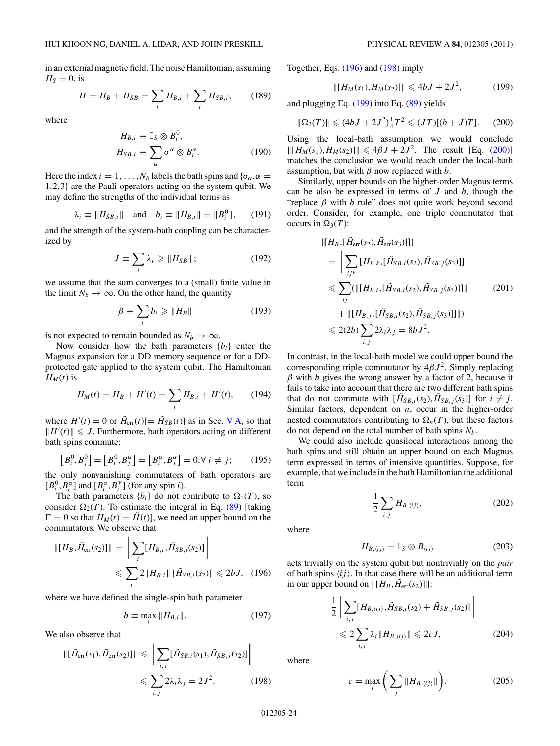in an external magnetic field. The noise Hamiltonian, assuming  $H<sub>S</sub> = 0$ , is

$$
H = H_B + H_{SB} = \sum_i H_{B,i} + \sum_i H_{SB,i}, \qquad (189)
$$

where

$$
H_{B,i} \equiv \mathbb{I}_S \otimes B_i^0,
$$
  
\n
$$
H_{SB,i} \equiv \sum_{\alpha} \sigma^{\alpha} \otimes B_i^{\alpha}.
$$
\n(190)

Here the index  $i = 1, \ldots, N_b$  labels the bath spins and { $\sigma_{\alpha}, \alpha$  = 1*,*2*,*3} are the Pauli operators acting on the system qubit. We may define the strengths of the individual terms as

$$
\lambda_i \equiv ||H_{SB,i}||
$$
 and  $b_i \equiv ||H_{B,i}|| = ||B_i^0||,$  (191)

and the strength of the system-bath coupling can be characterized by

$$
J \equiv \sum_{i} \lambda_{i} \geqslant \|H_{SB}\| \, ; \tag{192}
$$

we assume that the sum converges to a (small) finite value in the limit  $N_b \to \infty$ . On the other hand, the quantity

$$
\beta \equiv \sum_{i} b_i \ge \|H_B\| \tag{193}
$$

is not expected to remain bounded as  $N_b \to \infty$ .

Now consider how the bath parameters  ${b_i}$  enter the Magnus expansion for a DD memory sequence or for a DDprotected gate applied to the system qubit. The Hamiltonian  $H_M(t)$  is

$$
H_M(t) = H_B + H'(t) = \sum_i H_{B,i} + H'(t), \qquad (194)
$$

where  $H'(t) = 0$  or  $\tilde{H}_{err}(t)$ [=  $\tilde{H}_{SB}(t)$ ] as in Sec. [V A,](#page-7-0) so that  $||H'(t)|| \leq J$ . Furthermore, bath operators acting on different bath spins commute:

$$
\left[B_i^0, B_j^0\right] = \left[B_i^0, B_j^\alpha\right] = \left[B_i^\alpha, B_j^\alpha\right] = 0, \forall i \neq j; \qquad (195)
$$

the only nonvanishing commutators of bath operators are  $[B_i^0, B_i^\alpha]$  and  $[B_i^\alpha, B_i^\gamma]$  (for any spin *i*).

The bath parameters  $\{b_i\}$  do not contribute to  $\Omega_1(T)$ , so consider  $\Omega_2(T)$ . To estimate the integral in Eq. [\(89\)](#page-14-0) [taking  $\Gamma = 0$  so that  $H_M(t) = \tilde{H}(t)$ , we need an upper bound on the commutators. We observe that

$$
\begin{aligned} ||[H_B, \tilde{H}_{\text{err}}(s_2)]|| &= \left\| \sum_i [H_{B,i}, \tilde{H}_{SB,i}(s_2)] \right\| \\ &\leqslant \sum_i 2||H_{B,i}|| \|\tilde{H}_{SB,i}(s_2)\| \leqslant 2bJ, \quad (196) \end{aligned}
$$

where we have defined the single-spin bath parameter

$$
b \equiv \max_{i} \|H_{B,i}\|.\tag{197}
$$

We also observe that

$$
\|[\tilde{H}_{\text{err}}(s_1), \tilde{H}_{\text{err}}(s_2)]\| \leqslant \left\| \sum_{i,j} [\tilde{H}_{SB,i}(s_1), \tilde{H}_{SB,j}(s_2)] \right\|
$$
  

$$
\leqslant \sum_{i,j} 2\lambda_i \lambda_j = 2J^2.
$$
 (198)

Together, Eqs. (196) and (198) imply

$$
\| [H_M(s_1), H_M(s_2)] \| \leq 4bJ + 2J^2, \tag{199}
$$

and plugging Eq. (199) into Eq. [\(89\)](#page-14-0) yields

$$
\|\Omega_2(T)\| \leq (4bJ + 2J^2)^{\frac{1}{4}}T^2 \leq (JT)[(b+J)T]. \tag{200}
$$

Using the local-bath assumption we would conclude  $||[H_M(s_1), H_M(s_2)]|| \leq 4\beta J + 2J^2$ . The result [Eq. (200)] matches the conclusion we would reach under the local-bath assumption, but with *β* now replaced with *b*.

Similarly, upper bounds on the higher-order Magnus terms can be also be expressed in terms of *J* and *b*, though the "replace  $\beta$  with  $b$  rule" does not quite work beyond second order. Consider, for example, one triple commutator that occurs in  $\Omega_3(T)$ :

$$
\begin{aligned}\n\| [H_B, [\tilde{H}_{\text{err}}(s_2), \tilde{H}_{\text{err}}(s_3)]] \| \\
&= \left\| \sum_{ijk} [H_{B,k}, [\tilde{H}_{SB,i}(s_2), \tilde{H}_{SB,j}(s_3)]] \right\| \\
&\leqslant \sum_{ij} (\|[H_{B,i}, [\tilde{H}_{SB,i}(s_2), \tilde{H}_{SB,j}(s_3)]] \| \\
&+ \| [H_{B,j}, [\tilde{H}_{SB,i}(s_2), \tilde{H}_{SB,j}(s_3)]] \|) \\
&\leqslant 2(2b) \sum_{i,j} 2\lambda_i \lambda_j = 8bJ^2.\n\end{aligned} \tag{201}
$$

In contrast, in the local-bath model we could upper bound the corresponding triple commutator by  $4\beta J^2$ . Simply replacing *β* with *b* gives the wrong answer by a factor of 2, because it fails to take into account that there are two different bath spins that do not commute with  $[\tilde{H}_{SB,i}(s_2), \tilde{H}_{SB,j}(s_3)]$  for  $i \neq j$ . Similar factors, dependent on *n*, occur in the higher-order nested commutators contributing to  $\Omega_n(T)$ , but these factors do not depend on the total number of bath spins  $N<sub>b</sub>$ .

We could also include quasilocal interactions among the bath spins and still obtain an upper bound on each Magnus term expressed in terms of intensive quantities. Suppose, for example, that we include in the bath Hamiltonian the additional term

$$
\frac{1}{2}\sum_{i,j}H_{B,\langle ij\rangle},\tag{202}
$$

where

$$
H_{B,\langle ij\rangle} = \mathbb{I}_S \otimes B_{\langle ij\rangle} \tag{203}
$$

acts trivially on the system qubit but nontrivially on the *pair* of bath spins  $\langle ij \rangle$ . In that case there will be an additional term in our upper bound on  $\left\| [H_B, \tilde{H}_{err}(s_2)] \right\|$ :

$$
\frac{1}{2} \left\| \sum_{i,j} [H_{B,\langle ij \rangle}, \tilde{H}_{SB,i}(s_2) + \tilde{H}_{SB,j}(s_2)] \right\|
$$
  

$$
\leq 2 \sum_{i,j} \lambda_i \| H_{B,\langle ij \rangle} \| \leq 2cJ,
$$
 (204)

where

$$
c = \max_{i} \left( \sum_{j} \|H_{B,\langle ij\rangle}\| \right). \tag{205}
$$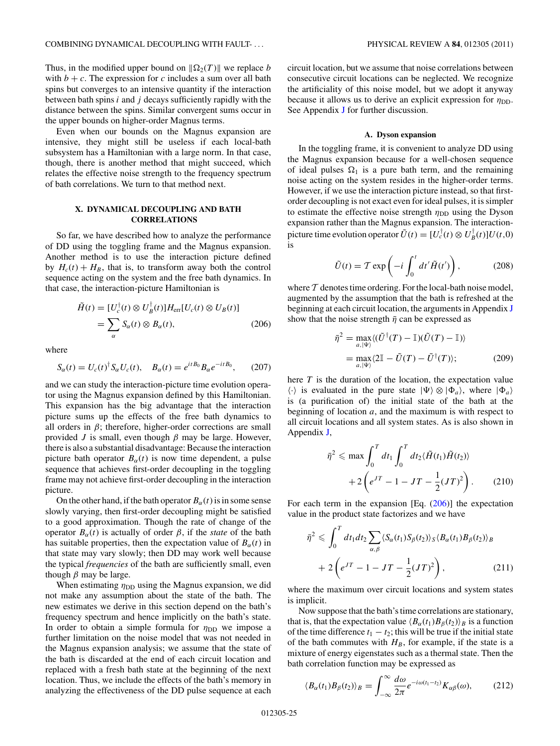<span id="page-24-0"></span>Thus, in the modified upper bound on  $\|\Omega_2(T)\|$  we replace *b* with  $b + c$ . The expression for *c* includes a sum over all bath spins but converges to an intensive quantity if the interaction between bath spins *i* and *j* decays sufficiently rapidly with the distance between the spins. Similar convergent sums occur in the upper bounds on higher-order Magnus terms.

Even when our bounds on the Magnus expansion are intensive, they might still be useless if each local-bath subsystem has a Hamiltonian with a large norm. In that case, though, there is another method that might succeed, which relates the effective noise strength to the frequency spectrum of bath correlations. We turn to that method next.

## **X. DYNAMICAL DECOUPLING AND BATH CORRELATIONS**

So far, we have described how to analyze the performance of DD using the toggling frame and the Magnus expansion. Another method is to use the interaction picture defined by  $H_c(t) + H_B$ , that is, to transform away both the control sequence acting on the system and the free bath dynamics. In that case, the interaction-picture Hamiltonian is

$$
\tilde{H}(t) = [U_c^{\dagger}(t) \otimes U_B^{\dagger}(t)] H_{\text{err}}[U_c(t) \otimes U_B(t)]
$$
\n
$$
= \sum_{\alpha} S_{\alpha}(t) \otimes B_{\alpha}(t), \tag{206}
$$

where

$$
S_{\alpha}(t) = U_{c}(t)^{\dagger} S_{\alpha} U_{c}(t), \quad B_{\alpha}(t) = e^{itB_{0}} B_{\alpha} e^{-itB_{0}}, \quad (207)
$$

and we can study the interaction-picture time evolution operator using the Magnus expansion defined by this Hamiltonian. This expansion has the big advantage that the interaction picture sums up the effects of the free bath dynamics to all orders in  $\beta$ ; therefore, higher-order corrections are small provided *J* is small, even though  $\beta$  may be large. However, there is also a substantial disadvantage: Because the interaction picture bath operator  $B_\alpha(t)$  is now time dependent, a pulse sequence that achieves first-order decoupling in the toggling frame may not achieve first-order decoupling in the interaction picture.

On the other hand, if the bath operator  $B_\alpha(t)$  is in some sense slowly varying, then first-order decoupling might be satisfied to a good approximation. Though the rate of change of the operator  $B_\alpha(t)$  is actually of order  $\beta$ , if the *state* of the bath has suitable properties, then the expectation value of  $B_\alpha(t)$  in that state may vary slowly; then DD may work well because the typical *frequencies* of the bath are sufficiently small, even though  $\beta$  may be large.

When estimating *η*<sub>DD</sub> using the Magnus expansion, we did not make any assumption about the state of the bath. The new estimates we derive in this section depend on the bath's frequency spectrum and hence implicitly on the bath's state. In order to obtain a simple formula for *η*<sub>DD</sub> we impose a further limitation on the noise model that was not needed in the Magnus expansion analysis; we assume that the state of the bath is discarded at the end of each circuit location and replaced with a fresh bath state at the beginning of the next location. Thus, we include the effects of the bath's memory in analyzing the effectiveness of the DD pulse sequence at each

circuit location, but we assume that noise correlations between consecutive circuit locations can be neglected. We recognize the artificiality of this noise model, but we adopt it anyway because it allows us to derive an explicit expression for  $\eta_{\text{DD}}$ . See Appendix [J](#page-35-0) for further discussion.

## **A. Dyson expansion**

In the toggling frame, it is convenient to analyze DD using the Magnus expansion because for a well-chosen sequence of ideal pulses  $\Omega_1$  is a pure bath term, and the remaining noise acting on the system resides in the higher-order terms. However, if we use the interaction picture instead, so that firstorder decoupling is not exact even for ideal pulses, it is simpler to estimate the effective noise strength *η*<sub>DD</sub> using the Dyson expansion rather than the Magnus expansion. The interactionpicture time evolution operator  $\tilde{U}(t) = [U_c^{\dagger}(t) \otimes U_B^{\dagger}(t)] U(t,0)$ is

$$
\tilde{U}(t) = \mathcal{T} \exp\left(-i \int_0^t dt' \tilde{H}(t')\right),\tag{208}
$$

where  $T$  denotes time ordering. For the local-bath noise model, augmented by the assumption that the bath is refreshed at the beginning at each circuit location, the arguments in Appendix [J](#page-35-0) show that the noise strength  $\bar{\eta}$  can be expressed as

$$
\bar{\eta}^2 = \max_{a,|\Psi\rangle} \langle (\tilde{U}^\dagger(T) - \mathbb{I})(\tilde{U}(T) - \mathbb{I}) \rangle
$$
  
= 
$$
\max_{a,|\Psi\rangle} \langle 2\mathbb{I} - \tilde{U}(T) - \tilde{U}^\dagger(T) \rangle; \tag{209}
$$

here *T* is the duration of the location, the expectation value  $\langle \cdot \rangle$  is evaluated in the pure state  $|\Psi\rangle \otimes |\Phi_a\rangle$ , where  $|\Phi_a\rangle$ is (a purification of) the initial state of the bath at the beginning of location *a*, and the maximum is with respect to all circuit locations and all system states. As is also shown in Appendix [J,](#page-35-0)

$$
\bar{\eta}^2 \le \max \int_0^T dt_1 \int_0^T dt_2 \langle \tilde{H}(t_1) \tilde{H}(t_2) \rangle
$$
  
+2\left(e^{JT} - 1 - JT - \frac{1}{2}(JT)^2\right). (210)

For each term in the expansion [Eq. (206)] the expectation value in the product state factorizes and we have

$$
\bar{\eta}^2 \leqslant \int_0^T dt_1 dt_2 \sum_{\alpha,\beta} \langle S_{\alpha}(t_1) S_{\beta}(t_2) \rangle_{S} \langle B_{\alpha}(t_1) B_{\beta}(t_2) \rangle_{B}
$$

$$
+ 2 \left( e^{JT} - 1 - JT - \frac{1}{2} (JT)^2 \right), \tag{211}
$$

where the maximum over circuit locations and system states is implicit.

Now suppose that the bath's time correlations are stationary, that is, that the expectation value  $\langle B_{\alpha}(t_1)B_{\beta}(t_2) \rangle_B$  is a function of the time difference  $t_1 - t_2$ ; this will be true if the initial state of the bath commutes with  $H_B$ , for example, if the state is a mixture of energy eigenstates such as a thermal state. Then the bath correlation function may be expressed as

$$
\langle B_{\alpha}(t_1)B_{\beta}(t_2)\rangle_B = \int_{-\infty}^{\infty} \frac{d\omega}{2\pi} e^{-i\omega(t_1 - t_2)} K_{\alpha\beta}(\omega), \tag{212}
$$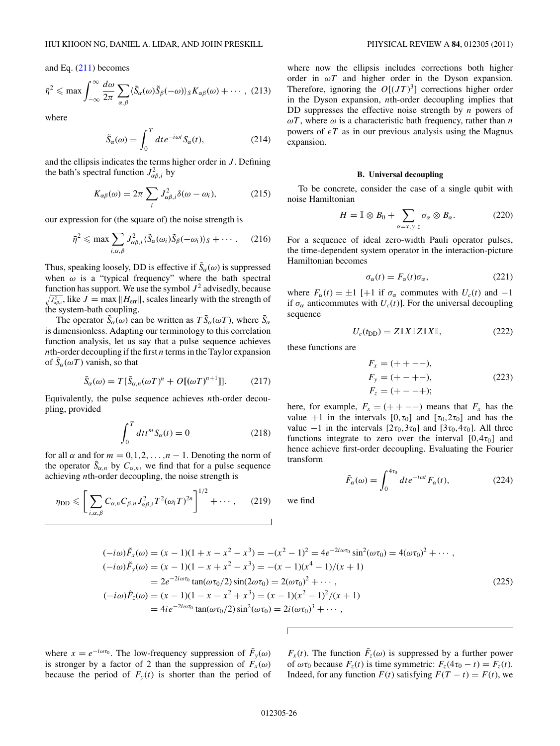<span id="page-25-0"></span>and Eq. [\(211\)](#page-24-0) becomes

$$
\bar{\eta}^2 \leqslant \max \int_{-\infty}^{\infty} \frac{d\omega}{2\pi} \sum_{\alpha,\beta} \langle \tilde{S}_{\alpha}(\omega) \tilde{S}_{\beta}(-\omega) \rangle_S K_{\alpha\beta}(\omega) + \cdots, (213)
$$

where

$$
\tilde{S}_{\alpha}(\omega) = \int_0^T dt e^{-i\omega t} S_{\alpha}(t), \qquad (214)
$$

and the ellipsis indicates the terms higher order in *J* . Defining the bath's spectral function  $J_{\alpha\beta,i}^2$  by

$$
K_{\alpha\beta}(\omega) = 2\pi \sum_{i} J_{\alpha\beta,i}^{2} \delta(\omega - \omega_{i}), \qquad (215)
$$

our expression for (the square of) the noise strength is

$$
\bar{\eta}^2 \leqslant \max \sum_{i,\alpha,\beta} J_{\alpha\beta,i}^2 \langle \tilde{S}_{\alpha}(\omega_i) \tilde{S}_{\beta}(-\omega_i) \rangle_S + \cdots. \tag{216}
$$

Thus, speaking loosely, DD is effective if  $\tilde{S}_\alpha(\omega)$  is suppressed when  $\omega$  is a "typical frequency" where the bath spectral function has support. We use the symbol  $J^2$  advisedly, because  $\sqrt{J_{\alpha\beta,i}^2}$ , like  $J = \max ||H_{\text{err}}||$ , scales linearly with the strength of the system-bath coupling.

The operator  $\tilde{S}_{\alpha}(\omega)$  can be written as  $T\bar{S}_{\alpha}(\omega T)$ , where  $\bar{S}_{\alpha}$ is dimensionless. Adapting our terminology to this correlation function analysis, let us say that a pulse sequence achieves *n*th-order decoupling if the first *n* terms in the Taylor expansion of  $\bar{S}_\alpha(\omega T)$  vanish, so that

$$
\tilde{S}_{\alpha}(\omega) = T[\bar{S}_{\alpha,n}(\omega T)^{n} + O[(\omega T)^{n+1}]].
$$
 (217)

Equivalently, the pulse sequence achieves *n*th-order decoupling, provided

$$
\int_0^T dt t^m S_\alpha(t) = 0 \tag{218}
$$

for all  $\alpha$  and for  $m = 0, 1, 2, \ldots, n - 1$ . Denoting the norm of the operator  $\bar{S}_{\alpha,n}$  by  $C_{\alpha,n}$ , we find that for a pulse sequence achieving *n*th-order decoupling, the noise strength is

$$
\eta_{\text{DD}} \leqslant \left[ \sum_{i,\alpha,\beta} C_{\alpha,n} C_{\beta,n} J_{\alpha\beta,i}^2 T^2 (\omega_i T)^{2n} \right]^{1/2} + \cdots, \qquad (219)
$$

where now the ellipsis includes corrections both higher order in *ωT* and higher order in the Dyson expansion. Therefore, ignoring the  $O[(JT)^3]$  corrections higher order in the Dyson expansion, *n*th-order decoupling implies that DD suppresses the effective noise strength by *n* powers of  $ωT$ , where  $ω$  is a characteristic bath frequency, rather than *n* powers of  $\epsilon T$  as in our previous analysis using the Magnus expansion.

#### **B. Universal decoupling**

To be concrete, consider the case of a single qubit with noise Hamiltonian

$$
H = \mathbb{I} \otimes B_0 + \sum_{\alpha=x,y,z} \sigma_\alpha \otimes B_\alpha. \tag{220}
$$

For a sequence of ideal zero-width Pauli operator pulses, the time-dependent system operator in the interaction-picture Hamiltonian becomes

$$
\sigma_{\alpha}(t) = F_{\alpha}(t)\sigma_{\alpha},\tag{221}
$$

where  $F_\alpha(t) = \pm 1$  [+1 if  $\sigma_\alpha$  commutes with  $U_c(t)$  and  $-1$ if  $\sigma_{\alpha}$  anticommutes with  $U_c(t)$ ]. For the universal decoupling sequence

$$
U_c(t_{\rm DD}) = Z\mathbb{I} X \mathbb{I} Z\mathbb{I} X\mathbb{I},\tag{222}
$$

these functions are

$$
F_x = (+ - -),F_y = (+ - + -),F_z = (+ - - +);
$$
 (223)

here, for example,  $F_x = (+ + - -)$  means that  $F_x$  has the value +1 in the intervals  $[0, \tau_0]$  and  $[\tau_0, 2\tau_0]$  and has the value  $-1$  in the intervals  $[2\tau_0, 3\tau_0]$  and  $[3\tau_0, 4\tau_0]$ . All three functions integrate to zero over the interval  $[0,4\tau_0]$  and hence achieve first-order decoupling. Evaluating the Fourier transform

$$
\tilde{F}_{\alpha}(\omega) = \int_0^{4\tau_0} dt \, e^{-i\omega t} F_{\alpha}(t),\tag{224}
$$

we find

$$
(-i\omega)\tilde{F}_x(\omega) = (x - 1)(1 + x - x^2 - x^3) = -(x^2 - 1)^2 = 4e^{-2i\omega\tau_0} \sin^2(\omega\tau_0) = 4(\omega\tau_0)^2 + \cdots,
$$
  
\n
$$
(-i\omega)\tilde{F}_y(\omega) = (x - 1)(1 - x + x^2 - x^3) = -(x - 1)(x^4 - 1)/(x + 1)
$$
  
\n
$$
= 2e^{-2i\omega\tau_0} \tan(\omega\tau_0/2) \sin(2\omega\tau_0) = 2(\omega\tau_0)^2 + \cdots,
$$
  
\n
$$
(-i\omega)\tilde{F}_z(\omega) = (x - 1)(1 - x - x^2 + x^3) = (x - 1)(x^2 - 1)^2/(x + 1)
$$
  
\n
$$
= 4ie^{-2i\omega\tau_0} \tan(\omega\tau_0/2) \sin^2(\omega\tau_0) = 2i(\omega\tau_0)^3 + \cdots,
$$
\n(225)

where  $x = e^{-i\omega\tau_0}$ . The low-frequency suppression of  $\tilde{F}_y(\omega)$ is stronger by a factor of 2 than the suppression of  $F_x(\omega)$ because the period of  $F_y(t)$  is shorter than the period of *F<sub>x</sub>*(*t*). The function  $\tilde{F}_z(\omega)$  is suppressed by a further power of  $\omega \tau_0$  because  $F_z(t)$  is time symmetric:  $F_z(4\tau_0 - t) = F_z(t)$ . Indeed, for any function  $F(t)$  satisfying  $F(T - t) = F(t)$ , we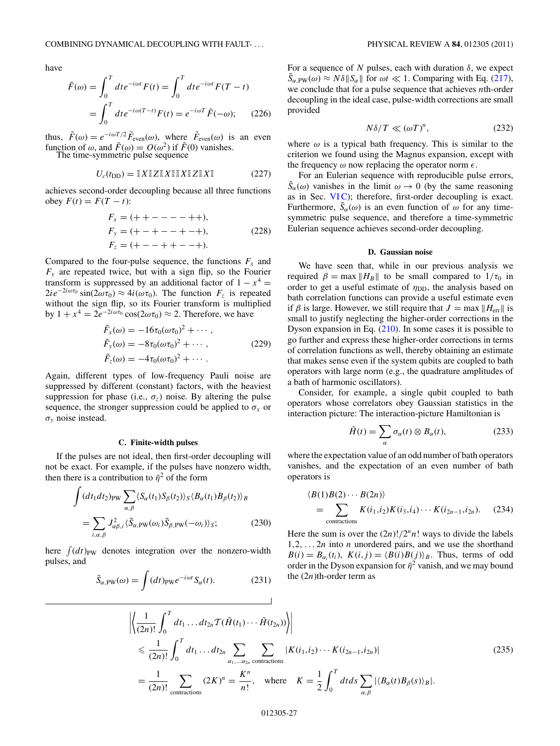<span id="page-26-0"></span>have

$$
\tilde{F}(\omega) = \int_0^T dt e^{-i\omega t} F(t) = \int_0^T dt e^{-i\omega t} F(T - t)
$$

$$
= \int_0^T dt e^{-i\omega (T - t)} F(t) = e^{-i\omega T} \tilde{F}(-\omega); \qquad (226)
$$

thus,  $\tilde{F}(\omega) = e^{-i\omega T/2} \tilde{F}_{\text{even}}(\omega)$ , where  $\tilde{F}_{\text{even}}(\omega)$  is an even function of  $\omega$ , and  $\tilde{F}(\omega) = O(\omega^2)$  if  $\tilde{F}(0)$  vanishes. The time-symmetric pulse sequence

$$
U_c(t_{\rm DD}) = \mathbb{I} X \mathbb{I} Z \mathbb{I} X \mathbb{I} \mathbb{I} X \mathbb{I} Z \mathbb{I} X \mathbb{I} \tag{227}
$$

achieves second-order decoupling because all three functions  $\text{obey } F(t) = F(T - t)$ :

$$
F_x = (+ + - - - + +),
$$
  
\n
$$
F_y = (+ - + - - + - +),
$$
  
\n
$$
F_z = (+ - - + + - - +).
$$
\n(228)

Compared to the four-pulse sequence, the functions  $F_x$  and  $F<sub>y</sub>$  are repeated twice, but with a sign flip, so the Fourier transform is suppressed by an additional factor of  $1 - x^4 =$  $2i e^{-2i\omega\tau_0} \sin(2\omega\tau_0) \approx 4i(\omega\tau_0)$ . The function  $F_z$  is repeated without the sign flip, so its Fourier transform is multiplied by  $1 + x^4 = 2e^{-2i\omega\tau_0} \cos(2\omega\tau_0) \approx 2$ . Therefore, we have

$$
\tilde{F}_x(\omega) = -16\tau_0(\omega \tau_0)^2 + \cdots ,
$$
\n
$$
\tilde{F}_y(\omega) = -8\tau_0(\omega \tau_0)^2 + \cdots ,
$$
\n
$$
\tilde{F}_z(\omega) = -4\tau_0(\omega \tau_0)^2 + \cdots .
$$
\n(229)

Again, different types of low-frequency Pauli noise are suppressed by different (constant) factors, with the heaviest suppression for phase (i.e.,  $\sigma_z$ ) noise. By altering the pulse sequence, the stronger suppression could be applied to  $\sigma_x$  or *σy* noise instead.

#### **C. Finite-width pulses**

If the pulses are not ideal, then first-order decoupling will not be exact. For example, if the pulses have nonzero width, then there is a contribution to  $\bar{\eta}^2$  of the form

$$
\int (dt_1 dt_2)_{PW} \sum_{\alpha,\beta} \langle S_{\alpha}(t_1) S_{\beta}(t_2) \rangle_S \langle B_{\alpha}(t_1) B_{\beta}(t_2) \rangle_B
$$
  
= 
$$
\sum_{i,\alpha,\beta} J_{\alpha\beta,i}^2 \langle \tilde{S}_{\alpha,PW}(\omega_i) \tilde{S}_{\beta,PW}(-\omega_i) \rangle_S;
$$
 (230)

here  $\int (dt)_{\text{PW}}$  denotes integration over the nonzero-width pulses, and

$$
\tilde{S}_{\alpha, \text{PW}}(\omega) = \int (dt)_{\text{PW}} e^{-i\omega t} S_{\alpha}(t). \tag{231}
$$

For a sequence of *N* pulses, each with duration *δ*, we expect  $\tilde{S}_{\alpha, PW}(\omega) \approx N\delta \|S_{\alpha}\|$  for  $\omega t \ll 1$ . Comparing with Eq. [\(217\)](#page-25-0), we conclude that for a pulse sequence that achieves *n*th-order decoupling in the ideal case, pulse-width corrections are small provided

$$
N\delta/T \ll (\omega T)^n, \tag{232}
$$

where  $\omega$  is a typical bath frequency. This is similar to the criterion we found using the Magnus expansion, except with the frequency  $\omega$  now replacing the operator norm  $\epsilon$ .

For an Eulerian sequence with reproducible pulse errors,  $\tilde{S}_\alpha(\omega)$  vanishes in the limit  $\omega \to 0$  (by the same reasoning as in Sec. VIC); therefore, first-order decoupling is exact. Furthermore,  $\tilde{S}_{\alpha}(\omega)$  is an even function of  $\omega$  for any timesymmetric pulse sequence, and therefore a time-symmetric Eulerian sequence achieves second-order decoupling.

## **D. Gaussian noise**

We have seen that, while in our previous analysis we required  $\beta = \max ||H_B||$  to be small compared to  $1/\tau_0$  in order to get a useful estimate of *η*<sub>DD</sub>, the analysis based on bath correlation functions can provide a useful estimate even if  $\beta$  is large. However, we still require that  $J = \max ||H_{\text{err}}||$  is small to justify neglecting the higher-order corrections in the Dyson expansion in Eq. [\(210\)](#page-24-0). In some cases it is possible to go further and express these higher-order corrections in terms of correlation functions as well, thereby obtaining an estimate that makes sense even if the system qubits are coupled to bath operators with large norm (e.g., the quadrature amplitudes of a bath of harmonic oscillators).

Consider, for example, a single qubit coupled to bath operators whose correlators obey Gaussian statistics in the interaction picture: The interaction-picture Hamiltonian is

$$
\tilde{H}(t) = \sum_{\alpha} \sigma_{\alpha}(t) \otimes B_{\alpha}(t), \qquad (233)
$$

where the expectation value of an odd number of bath operators vanishes, and the expectation of an even number of bath operators is

$$
\langle B(1)B(2)\cdots B(2n)\rangle
$$
  
= 
$$
\sum_{\text{contractions}} K(i_1, i_2)K(i_3, i_4)\cdots K(i_{2n-1}, i_{2n}).
$$
 (234)

Here the sum is over the  $(2n)!/2<sup>n</sup>n!$  ways to divide the labels 1*,*2*,...* 2*n* into *n* unordered pairs, and we use the shorthand  $B(i) = B_{\alpha_i}(t_i)$ ,  $K(i, j) = \langle B(i)B(j) \rangle_B$ . Thus, terms of odd order in the Dyson expansion for  $\bar{\eta}^2$  vanish, and we may bound the  $(2n)$ th-order term as

$$
\left| \left\langle \frac{1}{(2n)!} \int_0^T dt_1 \dots dt_{2n} \mathcal{T}(\tilde{H}(t_1) \dots \tilde{H}(t_{2n})) \right\rangle \right|
$$
\n
$$
\leq \frac{1}{(2n)!} \int_0^T dt_1 \dots dt_{2n} \sum_{\alpha_1, \dots, \alpha_{2n} \text{ contractions}} \sum_{K(i_1, i_2) \dots K(i_{2n-1}, i_{2n})} |K(i_1, i_2) \dots K(i_{2n-1}, i_{2n})|
$$
\n
$$
= \frac{1}{(2n)!} \sum_{\text{contractions}} (2K)^n = \frac{K^n}{n!}, \quad \text{where} \quad K = \frac{1}{2} \int_0^T dt ds \sum_{\alpha, \beta} |\langle B_\alpha(t)B_\beta(s) \rangle_B|.
$$
\n(235)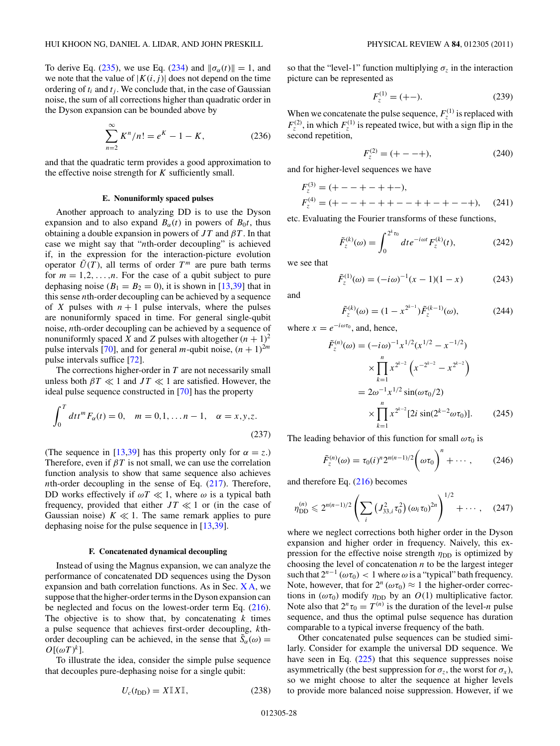<span id="page-27-0"></span>To derive Eq. [\(235\)](#page-26-0), we use Eq. [\(234\)](#page-26-0) and  $\|\sigma_{\alpha}(t)\| = 1$ , and we note that the value of  $|K(i, j)|$  does not depend on the time ordering of  $t_i$  and  $t_j$ . We conclude that, in the case of Gaussian noise, the sum of all corrections higher than quadratic order in the Dyson expansion can be bounded above by

$$
\sum_{n=2}^{\infty} K^n/n! = e^K - 1 - K,\tag{236}
$$

and that the quadratic term provides a good approximation to the effective noise strength for  $K$  sufficiently small.

#### **E. Nonuniformly spaced pulses**

Another approach to analyzing DD is to use the Dyson expansion and to also expand  $B_\alpha(t)$  in powers of  $B_0t$ , thus obtaining a double expansion in powers of *J T* and *βT* . In that case we might say that "*n*th-order decoupling" is achieved if, in the expression for the interaction-picture evolution operator  $\tilde{U}(T)$ , all terms of order  $T^m$  are pure bath terms for  $m = 1, 2, \ldots, n$ . For the case of a qubit subject to pure dephasing noise  $(B_1 = B_2 = 0)$ , it is shown in [\[13,](#page-36-0)[39\]](#page-37-0) that in this sense *n*th-order decoupling can be achieved by a sequence of *X* pulses with  $n + 1$  pulse intervals, where the pulses are nonuniformly spaced in time. For general single-qubit noise, *n*th-order decoupling can be achieved by a sequence of nonuniformly spaced *X* and *Z* pulses with altogether  $(n + 1)^2$ pulse intervals [\[70\]](#page-37-0), and for general *m*-qubit noise,  $(n + 1)^{2m}$ pulse intervals suffice [\[72\]](#page-37-0).

The corrections higher-order in *T* are not necessarily small unless both  $\beta T \ll 1$  and  $JT \ll 1$  are satisfied. However, the ideal pulse sequence constructed in [\[70\]](#page-37-0) has the property

$$
\int_0^T dt t^m F_\alpha(t) = 0, \quad m = 0, 1, \dots n - 1, \quad \alpha = x, y, z.
$$
\n(237)

(The sequence in [\[13,](#page-36-0)[39\]](#page-37-0) has this property only for  $\alpha = z$ .) Therefore, even if  $\beta T$  is not small, we can use the correlation function analysis to show that same sequence also achieves *nth-order decoupling in the sense of Eq. [\(217\)](#page-25-0). Therefore,* DD works effectively if  $\omega T \ll 1$ , where  $\omega$  is a typical bath frequency, provided that either  $JT \ll 1$  or (in the case of Gaussian noise)  $K \ll 1$ . The same remark applies to pure dephasing noise for the pulse sequence in [\[13,](#page-36-0)[39\]](#page-37-0).

#### **F. Concatenated dynamical decoupling**

Instead of using the Magnus expansion, we can analyze the performance of concatenated DD sequences using the Dyson expansion and bath correlation functions. As in Sec.  $X A$ , we suppose that the higher-order terms in the Dyson expansion can be neglected and focus on the lowest-order term Eq. [\(216\)](#page-25-0). The objective is to show that, by concatenating *k* times a pulse sequence that achieves first-order decoupling, *k*thorder decoupling can be achieved, in the sense that  $\tilde{S}_\alpha(\omega) =$  $O[(\omega T)^k]$ .

To illustrate the idea, consider the simple pulse sequence that decouples pure-dephasing noise for a single qubit:

$$
U_c(t_{\rm DD}) = X \mathbb{I} X \mathbb{I},\tag{238}
$$

so that the "level-1" function multiplying  $\sigma_z$  in the interaction picture can be represented as

$$
F_z^{(1)} = (+-). \tag{239}
$$

When we concatenate the pulse sequence,  $F_z^{(1)}$  is replaced with  $F_z^{(2)}$ , in which  $F_z^{(1)}$  is repeated twice, but with a sign flip in the second repetition,

$$
F_z^{(2)} = (+ - - +), \tag{240}
$$

and for higher-level sequences we have

$$
F_z^{(3)} = (+ - - + - + + -),
$$
  
\n
$$
F_z^{(4)} = (+ - - + - + + - - + + - - +),
$$
 (241)

etc. Evaluating the Fourier transforms of these functions,

$$
\tilde{F}_z^{(k)}(\omega) = \int_0^{2^k \tau_0} dt \, e^{-i\omega t} F_z^{(k)}(t),\tag{242}
$$

we see that

$$
\tilde{F}_z^{(1)}(\omega) = (-i\omega)^{-1}(x-1)(1-x) \tag{243}
$$

and

$$
\tilde{F}_z^{(k)}(\omega) = (1 - x^{2^{k-1}}) \tilde{F}_z^{(k-1)}(\omega),
$$
\n(244)

where  $x = e^{-i\omega\tau_0}$ , and, hence,

$$
\tilde{F}_z^{(n)}(\omega) = (-i\omega)^{-1} x^{1/2} (x^{1/2} - x^{-1/2})
$$
\n
$$
\times \prod_{k=1}^n x^{2^{k-2}} \left( x^{-2^{k-2}} - x^{2^{k-2}} \right)
$$
\n
$$
= 2\omega^{-1} x^{1/2} \sin(\omega \tau_0/2)
$$
\n
$$
\times \prod_{k=1}^n x^{2^{k-2}} [2i \sin(2^{k-2}\omega \tau_0)].
$$
\n(245)

The leading behavior of this function for small  $\omega \tau_0$  is

$$
\tilde{F}_z^{(n)}(\omega) = \tau_0(i)^n 2^{n(n-1)/2} \left(\omega \tau_0\right)^n + \cdots, \qquad (246)
$$

and therefore Eq. [\(216\)](#page-25-0) becomes

$$
\eta_{\text{DD}}^{(n)} \leq 2^{n(n-1)/2} \left( \sum_{i} \left( J_{33,i}^2 \tau_0^2 \right) (\omega_i \tau_0)^{2n} \right)^{1/2} + \cdots, \quad (247)
$$

where we neglect corrections both higher order in the Dyson expansion and higher order in frequency. Naively, this expression for the effective noise strength  $\eta_{\text{DD}}$  is optimized by choosing the level of concatenation *n* to be the largest integer such that  $2^{n-1}$  ( $\omega \tau_0$ ) < 1 where  $\omega$  is a "typical" bath frequency. Note, however, that for  $2^n (\omega \tau_0) \approx 1$  the higher-order corrections in  $(\omega \tau_0)$  modify  $\eta_{\text{DD}}$  by an  $O(1)$  multiplicative factor. Note also that  $2^n \tau_0 = T^{(n)}$  is the duration of the level-*n* pulse sequence, and thus the optimal pulse sequence has duration comparable to a typical inverse frequency of the bath.

Other concatenated pulse sequences can be studied similarly. Consider for example the universal DD sequence. We have seen in Eq. [\(225\)](#page-25-0) that this sequence suppresses noise asymmetrically (the best suppression for  $\sigma_z$ , the worst for  $\sigma_x$ ), so we might choose to alter the sequence at higher levels to provide more balanced noise suppression. However, if we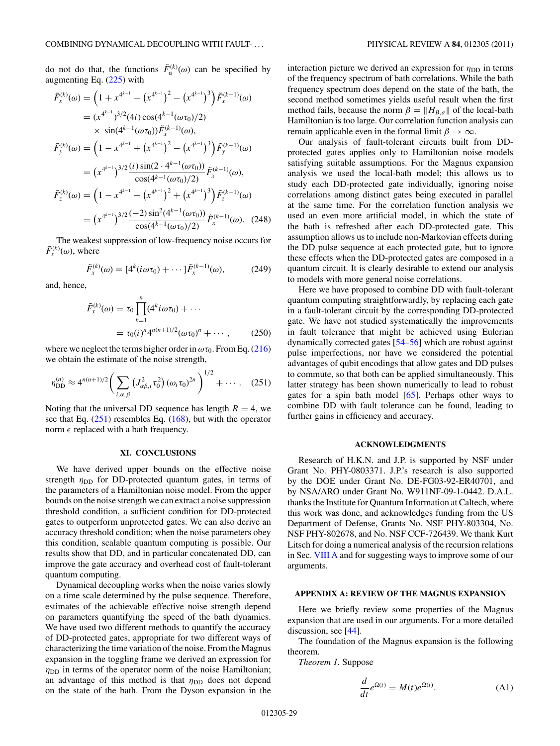<span id="page-28-0"></span>do not do that, the functions  $\tilde{F}_{\alpha}^{(k)}(\omega)$  can be specified by augmenting Eq. [\(225\)](#page-25-0) with

$$
\tilde{F}_{x}^{(k)}(\omega) = \left(1 + x^{4^{k-1}} - \left(x^{4^{k-1}}\right)^2 - \left(x^{4^{k-1}}\right)^3\right) \tilde{F}_{x}^{(k-1)}(\omega)
$$
\n
$$
= (x^{4^{k-1}})^{3/2} (4i) \cos(4^{k-1}(\omega \tau_0)/2)
$$
\n
$$
\times \sin(4^{k-1}(\omega \tau_0)) \tilde{F}_{x}^{(k-1)}(\omega),
$$
\n
$$
\tilde{F}_{y}^{(k)}(\omega) = \left(1 - x^{4^{k-1}} + \left(x^{4^{k-1}}\right)^2 - \left(x^{4^{k-1}}\right)^3\right) \tilde{F}_{y}^{(k-1)}(\omega)
$$
\n
$$
= (x^{4^{k-1}})^{3/2} \frac{(i) \sin(2 \cdot 4^{k-1}(\omega \tau_0))}{\cos(4^{k-1}(\omega \tau_0)/2)} \tilde{F}_{x}^{(k-1)}(\omega),
$$
\n
$$
\tilde{F}_{z}^{(k)}(\omega) = \left(1 - x^{4^{k-1}} - \left(x^{4^{k-1}}\right)^2 + \left(x^{4^{k-1}}\right)^3\right) \tilde{F}_{z}^{(k-1)}(\omega)
$$
\n
$$
= (x^{4^{k-1}})^{3/2} \frac{(-2) \sin^2(4^{k-1}(\omega \tau_0))}{\cos(4^{k-1}(\omega \tau_0)/2)} \tilde{F}_{x}^{(k-1)}(\omega). \quad (248)
$$

The weakest suppression of low-frequency noise occurs for  $\tilde{F}^{(k)}_{r}(\omega)$ , where

$$
\tilde{F}_x^{(k)}(\omega) = [4^k(i\omega\tau_0) + \cdots] \tilde{F}_x^{(k-1)}(\omega), \tag{249}
$$

and, hence,

$$
\tilde{F}_x^{(k)}(\omega) = \tau_0 \prod_{k=1}^n (4^k i \omega \tau_0) + \cdots
$$
  
=  $\tau_0 (i)^n 4^{n(n+1)/2} (\omega \tau_0)^n + \cdots,$  (250)

where we neglect the terms higher order in  $\omega \tau_0$ . From Eq. [\(216\)](#page-25-0) we obtain the estimate of the noise strength,

$$
\eta_{\text{DD}}^{(n)} \approx 4^{n(n+1)/2} \bigg( \sum_{i,\alpha,\beta} \left( J_{\alpha\beta,i}^2 \tau_0^2 \right) (\omega_i \tau_0)^{2n} \bigg)^{1/2} + \cdots. \quad (251)
$$

Noting that the universal DD sequence has length  $R = 4$ , we see that Eq.  $(251)$  resembles Eq.  $(168)$ , but with the operator norm  $\epsilon$  replaced with a bath frequency.

## **XI. CONCLUSIONS**

We have derived upper bounds on the effective noise strength  $\eta_{\text{DD}}$  for DD-protected quantum gates, in terms of the parameters of a Hamiltonian noise model. From the upper bounds on the noise strength we can extract a noise suppression threshold condition, a sufficient condition for DD-protected gates to outperform unprotected gates. We can also derive an accuracy threshold condition; when the noise parameters obey this condition, scalable quantum computing is possible. Our results show that DD, and in particular concatenated DD, can improve the gate accuracy and overhead cost of fault-tolerant quantum computing.

Dynamical decoupling works when the noise varies slowly on a time scale determined by the pulse sequence. Therefore, estimates of the achievable effective noise strength depend on parameters quantifying the speed of the bath dynamics. We have used two different methods to quantify the accuracy of DD-protected gates, appropriate for two different ways of characterizing the time variation of the noise. From the Magnus expansion in the toggling frame we derived an expression for  $\eta_{\text{DD}}$  in terms of the operator norm of the noise Hamiltonian; an advantage of this method is that *η*<sub>DD</sub> does not depend on the state of the bath. From the Dyson expansion in the interaction picture we derived an expression for  $\eta_{\text{DD}}$  in terms of the frequency spectrum of bath correlations. While the bath frequency spectrum does depend on the state of the bath, the second method sometimes yields useful result when the first method fails, because the norm  $\beta = ||H_{B,a}||$  of the local-bath Hamiltonian is too large. Our correlation function analysis can remain applicable even in the formal limit  $\beta \to \infty$ .

Our analysis of fault-tolerant circuits built from DDprotected gates applies only to Hamiltonian noise models satisfying suitable assumptions. For the Magnus expansion analysis we used the local-bath model; this allows us to study each DD-protected gate individually, ignoring noise correlations among distinct gates being executed in parallel at the same time. For the correlation function analysis we used an even more artificial model, in which the state of the bath is refreshed after each DD-protected gate. This assumption allows us to include non-Markovian effects during the DD pulse sequence at each protected gate, but to ignore these effects when the DD-protected gates are composed in a quantum circuit. It is clearly desirable to extend our analysis to models with more general noise correlations.

Here we have proposed to combine DD with fault-tolerant quantum computing straightforwardly, by replacing each gate in a fault-tolerant circuit by the corresponding DD-protected gate. We have not studied systematically the improvements in fault tolerance that might be achieved using Eulerian dynamically corrected gates [\[54–56\]](#page-37-0) which are robust against pulse imperfections, nor have we considered the potential advantages of qubit encodings that allow gates and DD pulses to commute, so that both can be applied simultaneously. This latter strategy has been shown numerically to lead to robust gates for a spin bath model [\[65\]](#page-37-0). Perhaps other ways to combine DD with fault tolerance can be found, leading to further gains in efficiency and accuracy.

#### **ACKNOWLEDGMENTS**

Research of H.K.N. and J.P. is supported by NSF under Grant No. PHY-0803371. J.P.'s research is also supported by the DOE under Grant No. DE-FG03-92-ER40701, and by NSA/ARO under Grant No. W911NF-09-1-0442. D.A.L. thanks the Institute for Quantum Information at Caltech, where this work was done, and acknowledges funding from the US Department of Defense, Grants No. NSF PHY-803304, No. NSF PHY-802678, and No. NSF CCF-726439. We thank Kurt Litsch for doing a numerical analysis of the recursion relations in Sec. [VIII A](#page-19-0) and for suggesting ways to improve some of our arguments.

#### **APPENDIX A: REVIEW OF THE MAGNUS EXPANSION**

Here we briefly review some properties of the Magnus expansion that are used in our arguments. For a more detailed discussion, see [\[44\]](#page-37-0).

The foundation of the Magnus expansion is the following theorem.

*Theorem 1.* Suppose

$$
\frac{d}{dt}e^{\Omega(t)} = M(t)e^{\Omega(t)}.
$$
 (A1)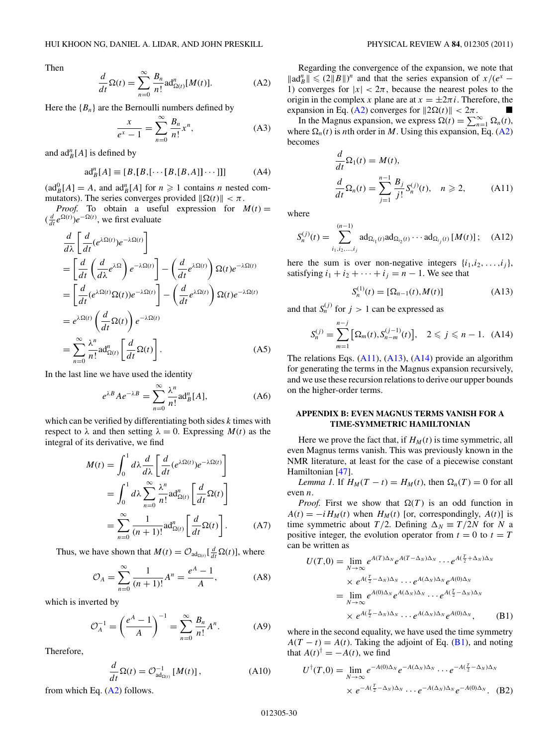<span id="page-29-0"></span>Then

$$
\frac{d}{dt}\Omega(t) = \sum_{n=0}^{\infty} \frac{B_n}{n!} \text{ad}_{\Omega(t)}^n[M(t)].
$$
\n(A2)

Here the  ${B_n}$  are the Bernoulli numbers defined by

$$
\frac{x}{e^x - 1} = \sum_{n=0}^{\infty} \frac{B_n}{n!} x^n,
$$
 (A3)

and  $\text{ad}_B^n[A]$  is defined by

$$
\mathrm{ad}^n_B[A] \equiv [B, [B, [\cdots [B, [B, A]] \cdots]]]
$$
 (A4)

 $\text{(ad}_{B}^{0}[A] = A$ , and  $\text{ad}_{B}^{n}[A]$  for  $n \geq 1$  contains *n* nested commutators). The series converges provided  $\|\Omega(t)\| < \pi$ .

*Proof.* To obtain a useful expression for  $M(t) =$  $(\frac{d}{dt}e^{\Omega(t)})e^{-\Omega(t)}$ , we first evaluate

$$
\frac{d}{d\lambda} \left[ \frac{d}{dt} (e^{\lambda \Omega(t)}) e^{-\lambda \Omega(t)} \right]
$$
\n
$$
= \left[ \frac{d}{dt} \left( \frac{d}{d\lambda} e^{\lambda \Omega} \right) e^{-\lambda \Omega(t)} \right] - \left( \frac{d}{dt} e^{\lambda \Omega(t)} \right) \Omega(t) e^{-\lambda \Omega(t)}
$$
\n
$$
= \left[ \frac{d}{dt} (e^{\lambda \Omega(t)} \Omega(t)) e^{-\lambda \Omega(t)} \right] - \left( \frac{d}{dt} e^{\lambda \Omega(t)} \right) \Omega(t) e^{-\lambda \Omega(t)}
$$
\n
$$
= e^{\lambda \Omega(t)} \left( \frac{d}{dt} \Omega(t) \right) e^{-\lambda \Omega(t)}
$$
\n
$$
= \sum_{n=0}^{\infty} \frac{\lambda^n}{n!} \text{ad}_{\Omega(t)}^n \left[ \frac{d}{dt} \Omega(t) \right]. \tag{A5}
$$

In the last line we have used the identity

$$
e^{\lambda B} A e^{-\lambda B} = \sum_{n=0}^{\infty} \frac{\lambda^n}{n!} \text{ad}_B^n[A],\tag{A6}
$$

which can be verified by differentiating both sides *k* times with respect to  $\lambda$  and then setting  $\lambda = 0$ . Expressing  $M(t)$  as the integral of its derivative, we find

$$
M(t) = \int_0^1 d\lambda \frac{d}{d\lambda} \left[ \frac{d}{dt} (e^{\lambda \Omega(t)}) e^{-\lambda \Omega(t)} \right]
$$
  
= 
$$
\int_0^1 d\lambda \sum_{n=0}^\infty \frac{\lambda^n}{n!} \text{ad}_{\Omega(t)}^n \left[ \frac{d}{dt} \Omega(t) \right]
$$
  
= 
$$
\sum_{n=0}^\infty \frac{1}{(n+1)!} \text{ad}_{\Omega(t)}^n \left[ \frac{d}{dt} \Omega(t) \right].
$$
 (A7)

Thus, we have shown that  $M(t) = \mathcal{O}_{\text{ad}_{\Omega(t)}}[\frac{d}{dt}\Omega(t)]$ , where

$$
\mathcal{O}_A = \sum_{n=0}^{\infty} \frac{1}{(n+1)!} A^n = \frac{e^A - 1}{A},
$$
 (A8)

which is inverted by

$$
\mathcal{O}_A^{-1} = \left(\frac{e^A - 1}{A}\right)^{-1} = \sum_{n=0}^{\infty} \frac{B_n}{n!} A^n.
$$
 (A9)

Therefore,

$$
\frac{d}{dt}\Omega(t) = \mathcal{O}_{\text{ad}_{\Omega(t)}}^{-1}[M(t)],\qquad (A10)
$$

from which Eq. (A2) follows.

Regarding the convergence of the expansion, we note that  $\Vert ad_B^n \Vert \leq (2||B||)^n$  and that the series expansion of *x/*(*e<sup>x</sup>* − 1) converges for  $|x| < 2\pi$ , because the nearest poles to the origin in the complex *x* plane are at  $x = \pm 2\pi i$ . Therefore, the expansion in Eq. (A2) converges for  $||2\Omega(t)|| < 2\pi$ .

In the Magnus expansion, we express  $\Omega(t) = \sum_{n=1}^{\infty} \Omega_n(t)$ , where  $\Omega_n(t)$  is *n*th order in *M*. Using this expansion, Eq. (A2) becomes

$$
\frac{d}{dt}\Omega_1(t) = M(t),
$$
\n
$$
\frac{d}{dt}\Omega_n(t) = \sum_{j=1}^{n-1} \frac{B_j}{j!} S_n^{(j)}(t), \quad n \ge 2,
$$
\n(A11)

where

$$
S_n^{(j)}(t) = \sum_{i_1, i_2, \dots, i_j}^{(n-1)} \text{ad}_{\Omega_{i_1}(t)} \text{ad}_{\Omega_{i_2}(t)} \cdots \text{ad}_{\Omega_{i_j}(t)} [M(t)]; \quad (A12)
$$

here the sum is over non-negative integers  $\{i_1, i_2, \ldots, i_j\}$ , satisfying  $i_1 + i_2 + \cdots + i_j = n - 1$ . We see that

$$
S_n^{(1)}(t) = [\Omega_{n-1}(t), M(t)]
$$
 (A13)

and that  $S_n^{(j)}$  for  $j > 1$  can be expressed as

$$
S_n^{(j)} = \sum_{m=1}^{n-j} \left[ \Omega_m(t), S_{n-m}^{(j-1)}(t) \right], \quad 2 \le j \le n-1. \quad \text{(A14)}
$$

The relations Eqs. (A11), (A13), (A14) provide an algorithm for generating the terms in the Magnus expansion recursively, and we use these recursion relations to derive our upper bounds on the higher-order terms.

## **APPENDIX B: EVEN MAGNUS TERMS VANISH FOR A TIME-SYMMETRIC HAMILTONIAN**

Here we prove the fact that, if  $H_M(t)$  is time symmetric, all even Magnus terms vanish. This was previously known in the NMR literature, at least for the case of a piecewise constant Hamiltonian [\[47\]](#page-37-0).

*Lemma 1.* If  $H_M(T - t) = H_M(t)$ , then  $\Omega_n(T) = 0$  for all even *n*.

*Proof.* First we show that  $\Omega(T)$  is an odd function in  $A(t) = -iH_M(t)$  when  $H_M(t)$  [or, correspondingly,  $A(t)$ ] is time symmetric about *T*/2. Defining  $\Delta_N = T/2N$  for *N* a positive integer, the evolution operator from  $t = 0$  to  $t = T$ can be written as

$$
U(T,0) = \lim_{N \to \infty} e^{A(T)\Delta_N} e^{A(T-\Delta_N)\Delta_N} \cdots e^{A(\frac{T}{2}+\Delta_N)\Delta_N}
$$
  
 
$$
\times e^{A(\frac{T}{2}-\Delta_N)\Delta_N} \cdots e^{A(\Delta_N)\Delta_N} e^{A(0)\Delta_N}
$$
  
= 
$$
\lim_{N \to \infty} e^{A(0)\Delta_N} e^{A(\Delta_N)\Delta_N} \cdots e^{A(\frac{T}{2}-\Delta_N)\Delta_N}
$$
  
 
$$
\times e^{A(\frac{T}{2}-\Delta_N)\Delta_N} \cdots e^{A(\Delta_N)\Delta_N} e^{A(0)\Delta_N},
$$
 (B1)

where in the second equality, we have used the time symmetry  $A(T - t) = A(t)$ . Taking the adjoint of Eq. (B1), and noting that  $A(t)^{\dagger} = -A(t)$ , we find

$$
U^{\dagger}(T,0) = \lim_{N \to \infty} e^{-A(0)\Delta_N} e^{-A(\Delta_N)\Delta_N} \cdots e^{-A(\frac{T}{2} - \Delta_N)\Delta_N}
$$
  
 
$$
\times e^{-A(\frac{T}{2} - \Delta_N)\Delta_N} \cdots e^{-A(\Delta_N)\Delta_N} e^{-A(0)\Delta_N}.
$$
 (B2)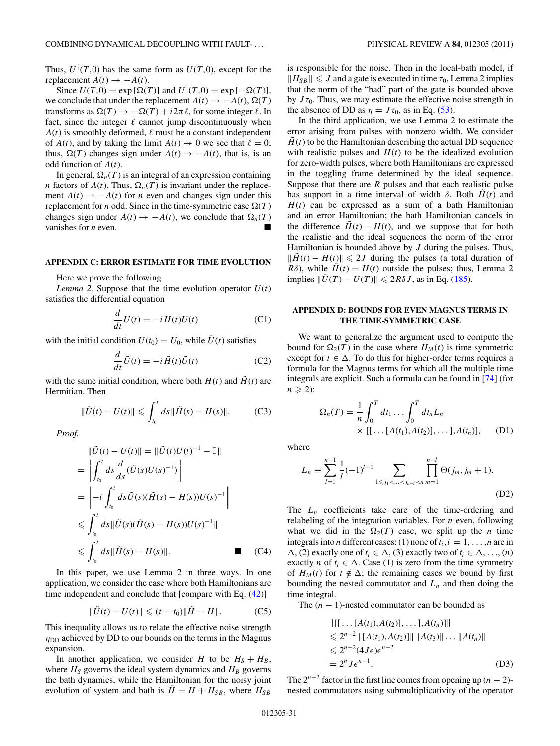<span id="page-30-0"></span>Thus,  $U^{\dagger}(T,0)$  has the same form as  $U(T,0)$ , except for the replacement  $A(t) \rightarrow -A(t)$ .

Since  $U(T,0) = \exp [\Omega(T)]$  and  $U^{\dagger}(T,0) = \exp[-\Omega(T)]$ , we conclude that under the replacement  $A(t) \rightarrow -A(t), \Omega(T)$ transforms as  $\Omega(T) \to -\Omega(T) + i2\pi \ell$ , for some integer  $\ell$ . In fact, since the integer  $\ell$  cannot jump discontinuously when  $A(t)$  is smoothly deformed,  $\ell$  must be a constant independent of *A*(*t*), and by taking the limit  $A(t) \rightarrow 0$  we see that  $\ell = 0$ ; thus,  $\Omega(T)$  changes sign under  $A(t) \rightarrow -A(t)$ , that is, is an odd function of *A*(*t*).

In general,  $\Omega_n(T)$  is an integral of an expression containing *n* factors of  $A(t)$ . Thus,  $\Omega_n(T)$  is invariant under the replacement  $A(t) \rightarrow -A(t)$  for *n* even and changes sign under this replacement for *n* odd. Since in the time-symmetric case  $\Omega(T)$ changes sign under  $A(t) \rightarrow -A(t)$ , we conclude that  $\Omega_n(T)$ vanishes for *n* even.

## **APPENDIX C: ERROR ESTIMATE FOR TIME EVOLUTION**

Here we prove the following.

*Lemma* 2. Suppose that the time evolution operator  $U(t)$ satisfies the differential equation

$$
\frac{d}{dt}U(t) = -iH(t)U(t)
$$
\n(C1)

with the initial condition  $U(t_0) = U_0$ , while  $\tilde{U}(t)$  satisfies

$$
\frac{d}{dt}\tilde{U}(t) = -i\tilde{H}(t)\tilde{U}(t)
$$
\n(C2)

with the same initial condition, where both  $H(t)$  and  $\tilde{H}(t)$  are Hermitian. Then

$$
\|\tilde{U}(t) - U(t)\| \leq \int_{t_0}^t ds \|\tilde{H}(s) - H(s)\|.
$$
 (C3)

*Proof.*

$$
\|\tilde{U}(t) - U(t)\| = \|\tilde{U}(t)U(t)^{-1} - \mathbb{I}\|
$$
  
\n
$$
= \left\| \int_{t_0}^t ds \frac{d}{ds} (\tilde{U}(s)U(s)^{-1}) \right\|
$$
  
\n
$$
= \left\| -i \int_{t_0}^t ds \tilde{U}(s) (\tilde{H}(s) - H(s))U(s)^{-1} \right\|
$$
  
\n
$$
\leqslant \int_{t_0}^t ds \|\tilde{U}(s)(\tilde{H}(s) - H(s))U(s)^{-1}\|
$$
  
\n
$$
\leqslant \int_{t_0}^t ds \|\tilde{H}(s) - H(s)\|.
$$

In this paper, we use Lemma 2 in three ways. In one application, we consider the case where both Hamiltonians are time independent and conclude that  $[compare with Eq. (42)]$  $[compare with Eq. (42)]$  $[compare with Eq. (42)]$ 

$$
\|\tilde{U}(t) - U(t)\| \le (t - t_0) \|\tilde{H} - H\|.
$$
 (C5)

This inequality allows us to relate the effective noise strength  $\eta_{\text{DD}}$  achieved by DD to our bounds on the terms in the Magnus expansion.

In another application, we consider *H* to be  $H_S + H_B$ , where  $H_S$  governs the ideal system dynamics and  $H_B$  governs the bath dynamics, while the Hamiltonian for the noisy joint evolution of system and bath is  $\tilde{H} = H + H_{SB}$ , where  $H_{SB}$ 

is responsible for the noise. Then in the local-bath model, if  $||H_{SB}|| \leq J$  and a gate is executed in time  $\tau_0$ , Lemma 2 implies that the norm of the "bad" part of the gate is bounded above by  $J\tau_0$ . Thus, we may estimate the effective noise strength in the absence of DD as  $\eta = J\tau_0$ , as in Eq. [\(53\)](#page-8-0).

In the third application, we use Lemma 2 to estimate the error arising from pulses with nonzero width. We consider  $\tilde{H}(t)$  to be the Hamiltonian describing the actual DD sequence with realistic pulses and  $H(t)$  to be the idealized evolution for zero-width pulses, where both Hamiltonians are expressed in the toggling frame determined by the ideal sequence. Suppose that there are *R* pulses and that each realistic pulse has support in a time interval of width  $\delta$ . Both  $\tilde{H}(t)$  and  $H(t)$  can be expressed as a sum of a bath Hamiltonian and an error Hamiltonian; the bath Hamiltonian cancels in the difference  $\tilde{H}(t) - H(t)$ , and we suppose that for both the realistic and the ideal sequences the norm of the error Hamiltonian is bounded above by *J* during the pulses. Thus,  $||H(t) - H(t)|| \le 2J$  during the pulses (a total duration of *Rδ*), while  $\tilde{H}(t) = H(t)$  outside the pulses; thus, Lemma 2 implies  $\|\tilde{U}(T) - U(T)\|$  ≤ 2*RδJ*, as in Eq. [\(185\)](#page-22-0).

## **APPENDIX D: BOUNDS FOR EVEN MAGNUS TERMS IN THE TIME-SYMMETRIC CASE**

We want to generalize the argument used to compute the bound for  $\Omega_2(T)$  in the case where  $H_M(t)$  is time symmetric except for  $t \in \Delta$ . To do this for higher-order terms requires a formula for the Magnus terms for which all the multiple time integrals are explicit. Such a formula can be found in [\[74\]](#page-37-0) (for  $n \geqslant 2$ :

$$
\Omega_n(T) = \frac{1}{n} \int_0^T dt_1 \dots \int_0^T dt_n L_n
$$
  
× [ [... [A(t<sub>1</sub>), A(t<sub>2</sub>)], ...], A(t<sub>n</sub>)], (D1)

where

$$
L_n = \sum_{l=1}^{n-1} \frac{1}{l} (-1)^{l+1} \sum_{1 \le j_1 < \dots < j_{n-l} < n} \prod_{m=1}^{n-l} \Theta(j_m, j_m + 1).
$$
\n(D2)

The  $L_n$  coefficients take care of the time-ordering and relabeling of the integration variables. For *n* even, following what we did in the  $\Omega_2(T)$  case, we split up the *n* time integrals into *n* different cases: (1) none of  $t_i$ ,  $i = 1, \ldots, n$  are in  $\Delta$ , (2) exactly one of  $t_i \in \Delta$ , (3) exactly two of  $t_i \in \Delta$ , ..., (*n*) exactly *n* of  $t_i \in \Delta$ . Case (1) is zero from the time symmetry of  $H_M(t)$  for  $t \notin \Delta$ ; the remaining cases we bound by first bounding the nested commutator and  $L_n$  and then doing the time integral.

The  $(n - 1)$ -nested commutator can be bounded as

$$
\begin{aligned} & \|\left[\left[\ldots\left[A(t_1), A(t_2)\right], \ldots\right], A(t_n)\right]\|\| \\ &\le 2^{n-2} \left\|\left[A(t_1), A(t_2)\right]\right\| \left\|A(t_3)\right\| \ldots \left\|A(t_n)\right\| \\ &\le 2^{n-2} (4J\epsilon)\epsilon^{n-2} \\ &= 2^n J\epsilon^{n-1} . \end{aligned} \tag{D3}
$$

The  $2^{n-2}$  factor in the first line comes from opening up  $(n-2)$ nested commutators using submultiplicativity of the operator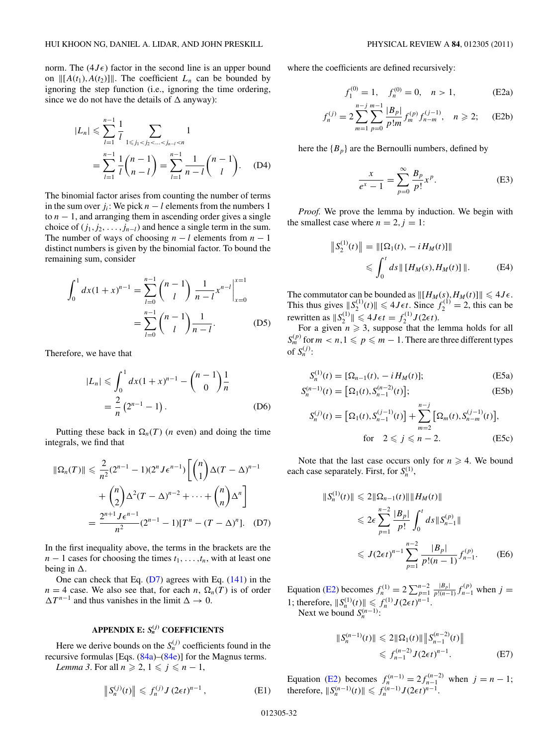<span id="page-31-0"></span>norm. The  $(4J\epsilon)$  factor in the second line is an upper bound on  $\|[A(t_1),A(t_2)]\|$ . The coefficient  $L_n$  can be bounded by ignoring the step function (i.e., ignoring the time ordering, since we do not have the details of  $\Delta$  anyway):

$$
|L_n| \leqslant \sum_{l=1}^{n-1} \frac{1}{l} \sum_{\substack{1 \leqslant j_1 < j_2 < \ldots < j_{n-l} < n}} 1
$$
  
= 
$$
\sum_{l=1}^{n-1} \frac{1}{l} {n-1 \choose n-l} = \sum_{l=1}^{n-1} \frac{1}{n-l} {n-1 \choose l}. \quad (D4)
$$

The binomial factor arises from counting the number of terms in the sum over  $j_i$ : We pick  $n - l$  elements from the numbers 1 to  $n - 1$ , and arranging them in ascending order gives a single choice of  $(j_1, j_2, \ldots, j_{n-l})$  and hence a single term in the sum. The number of ways of choosing  $n - l$  elements from  $n - 1$ distinct numbers is given by the binomial factor. To bound the remaining sum, consider

$$
\int_0^1 dx (1+x)^{n-1} = \sum_{l=0}^{n-1} {n-1 \choose l} \frac{1}{n-l} x^{n-l} \Big|_{x=0}^{x=1}
$$

$$
= \sum_{l=0}^{n-1} {n-1 \choose l} \frac{1}{n-l}.
$$
 (D5)

Therefore, we have that

$$
|L_n| \leq \int_0^1 dx (1+x)^{n-1} - {n-1 \choose 0} \frac{1}{n}
$$
  
=  $\frac{2}{n} (2^{n-1} - 1).$  (D6)

Putting these back in  $\Omega_n(T)$  (*n* even) and doing the time integrals, we find that

$$
\|\Omega_n(T)\| \leq \frac{2}{n^2} (2^{n-1} - 1)(2^n J \epsilon^{n-1}) \left[ \binom{n}{1} \Delta (T - \Delta)^{n-1} + \binom{n}{2} \Delta^2 (T - \Delta)^{n-2} + \dots + \binom{n}{n} \Delta^n \right]
$$
  
= 
$$
\frac{2^{n+1} J \epsilon^{n-1}}{n^2} (2^{n-1} - 1) [T^n - (T - \Delta)^n].
$$
 (D7)

In the first inequality above, the terms in the brackets are the  $n-1$  cases for choosing the times  $t_1, \ldots, t_n$ , with at least one being in  $\Delta$ .

One can check that Eq.  $(D7)$  agrees with Eq.  $(141)$  in the  $n = 4$  case. We also see that, for each *n*,  $\Omega_n(T)$  is of order  $\Delta T^{n-1}$  and thus vanishes in the limit  $\Delta \to 0$ .

# **APPENDIX E:** *S***(** *<sup>j</sup>***)** *<sup>n</sup>* **COEFFICIENTS**

Here we derive bounds on the  $S_n^{(j)}$  coefficients found in the recursive formulas [Eqs. [\(84a\)](#page-14-0)–[\(84e\)](#page-14-0)] for the Magnus terms.

*Lemma 3*. For all  $n \ge 2$ ,  $1 \le j \le n-1$ ,

$$
\left\|S_n^{(j)}(t)\right\| \leqslant f_n^{(j)} J \left(2\epsilon t\right)^{n-1},\tag{E1}
$$

where the coefficients are defined recursively:

$$
f_1^{(0)} = 1, \quad f_n^{(0)} = 0, \quad n > 1,
$$
 (E2a)

$$
f_n^{(j)} = 2 \sum_{m=1}^{n-j} \sum_{p=0}^{m-1} \frac{|B_p|}{p!m} f_m^{(p)} f_{n-m}^{(j-1)}, \quad n \ge 2; \quad \text{(E2b)}
$$

here the  ${B_p}$  are the Bernoulli numbers, defined by

$$
\frac{x}{e^x - 1} = \sum_{p=0}^{\infty} \frac{B_p}{p!} x^p.
$$
 (E3)

*Proof.* We prove the lemma by induction. We begin with the smallest case where  $n = 2, j = 1$ :

$$
\|S_2^{(1)}(t)\| = \|[\Omega_1(t), -iH_M(t)]\|
$$
  
\$\leqslant \int\_0^t ds \| [H\_M(s), H\_M(t)] \|.\$ \qquad (E4)\$

The commutator can be bounded as  $\|[H_M(s), H_M(t)]\| \leq 4J\epsilon$ . This thus gives  $||S_2^{(1)}(t)|| \leq 4J\epsilon t$ . Since  $f_2^{(1)} = 2$ , this can be rewritten as  $||S_2^{(1)}|| \le 4J\epsilon t = f_2^{(1)}J(2\epsilon t)$ .

For a given  $n \geqslant 3$ , suppose that the lemma holds for all *S*<sup>(*p*)</sup> *for*  $m < n, 1 \leqslant p \leqslant m - 1$ . There are three different types of  $S_n^{(j)}$ :

$$
S_n^{(1)}(t) = [\Omega_{n-1}(t), -i H_M(t)];
$$
 (E5a)

$$
S_n^{(n-1)}(t) = \left[\Omega_1(t), S_{n-1}^{(n-2)}(t)\right];\tag{E5b}
$$

$$
S_n^{(j)}(t) = \left[\Omega_1(t), S_{n-1}^{(j-1)}(t)\right] + \sum_{m=2}^{n-j} \left[\Omega_m(t), S_{n-m}^{(j-1)}(t)\right],
$$
  
for  $2 \le j \le n-2$ . (E5c)

Note that the last case occurs only for  $n \geq 4$ . We bound each case separately. First, for  $S_n^{(1)}$ ,

$$
||S_n^{(1)}(t)|| \le 2||\Omega_{n-1}(t)|| ||H_M(t)||
$$
  
\n
$$
\le 2\epsilon \sum_{p=1}^{n-2} \frac{|B_p|}{p!} \int_0^t ds ||S_{n-1}^{(p)}||
$$
  
\n
$$
\le J(2\epsilon t)^{n-1} \sum_{p=1}^{n-2} \frac{|B_p|}{p!(n-1)} f_{n-1}^{(p)}.
$$
 (E6)

Equation (E2) becomes  $f_n^{(1)} = 2 \sum_{p=1}^{n-2} \frac{|B_p|}{p!(n-1)} f_{n-1}^{(p)}$  when  $j =$ 1; therefore,  $||S_n^{(1)}(t)|| \le f_n^{(1)} J(2\epsilon t)^{n-1}$ . Next we bound  $S_n^{(n-1)}$ :

$$
||S_n^{(n-1)}(t)|| \leq 2||\Omega_1(t)|| ||S_{n-1}^{(n-2)}(t)||
$$
  
 
$$
\leq f_{n-1}^{(n-2)} J(2\epsilon t)^{n-1}.
$$
 (E7)

Equation (E2) becomes  $f_n^{(n-1)} = 2f_{n-1}^{(n-2)}$  when  $j = n - 1$ ; therefore,  $||S_n^{(n-1)}(t)|| \le f_n^{(n-1)} J(2\epsilon t)^{n-1}$ .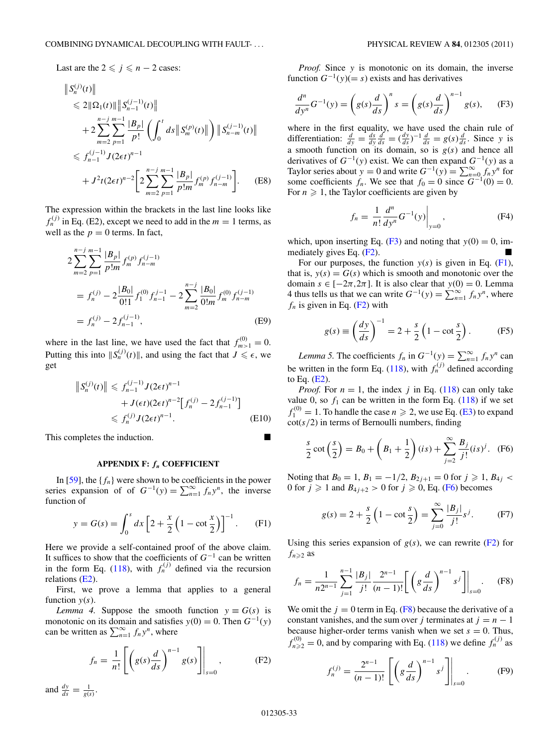<span id="page-32-0"></span>Last are the  $2 \leq j \leq n - 2$  cases:

$$
\|S_n^{(j)}(t)\|
$$
  
\n
$$
\leq 2\|\Omega_1(t)\| \|S_{n-1}^{(j-1)}(t)\|
$$
  
\n
$$
+ 2\sum_{m=2}^{n-j} \sum_{p=1}^{m-1} \frac{|B_p|}{p!} \left( \int_0^t ds \|S_m^{(p)}(t)\| \right) \|S_{n-m}^{(j-1)}(t)\|
$$
  
\n
$$
\leq f_{n-1}^{(j-1)} J(2\epsilon t)^{n-1}
$$
  
\n
$$
+ J^2 t (2\epsilon t)^{n-2} \left[ 2\sum_{m=2}^{n-j} \sum_{p=1}^{m-1} \frac{|B_p|}{p!m} f_m^{(p)} f_{n-m}^{(j-1)} \right].
$$
 (E8)

The expression within the brackets in the last line looks like  $f_n^{(j)}$  in Eq. (E2), except we need to add in the  $m = 1$  terms, as well as the  $p = 0$  terms. In fact,

$$
2\sum_{m=2}^{n-j} \sum_{p=1}^{m-1} \frac{|B_p|}{p!m} f_m^{(p)} f_{n-m}^{(j-1)}
$$
  
=  $f_n^{(j)} - 2\frac{|B_0|}{0!1} f_1^{(0)} f_{n-1}^{j-1} - 2\sum_{m=2}^{n-j} \frac{|B_0|}{0!m} f_m^{(0)} f_{n-m}^{(j-1)}$   
=  $f_n^{(j)} - 2f_{n-1}^{(j-1)}$ , (E9)

where in the last line, we have used the fact that  $f_{m>1}^{(0)} = 0$ . Putting this into  $||S_n^{(j)}(t)||$ , and using the fact that  $J \leq \epsilon$ , we get

$$
\|S_n^{(j)}(t)\| \le f_{n-1}^{(j-1)} J(2\epsilon t)^{n-1} + J(\epsilon t) (2\epsilon t)^{n-2} \big[f_n^{(j)} - 2f_{n-1}^{(j-1)}\big] \le f_n^{(j)} J(2\epsilon t)^{n-1}.
$$
 (E10)

This completes the induction.

## **APPENDIX F:** *fn* **COEFFICIENT**

In  $[59]$ , the  $\{f_n\}$  were shown to be coefficients in the power series expansion of of  $G^{-1}(y) = \sum_{n=1}^{\infty} f_n y^n$ , the inverse function of

$$
y = G(s) = \int_0^s dx \left[ 2 + \frac{x}{2} \left( 1 - \cot \frac{x}{2} \right) \right]^{-1}.
$$
 (F1)

Here we provide a self-contained proof of the above claim. It suffices to show that the coefficients of *G*<sup>−</sup><sup>1</sup> can be written in the form Eq. [\(118\)](#page-16-0), with  $f_n^{(j)}$  defined via the recursion relations (E2).

First, we prove a lemma that applies to a general function  $y(s)$ .

*Lemma 4.* Suppose the smooth function  $y \equiv G(s)$  is monotonic on its domain and satisfies  $y(0) = 0$ . Then  $G^{-1}(y)$ can be written as  $\sum_{n=1}^{\infty} f_n y^n$ , where

$$
f_n = \frac{1}{n!} \left[ \left( g(s) \frac{d}{ds} \right)^{n-1} g(s) \right] \Big|_{s=0}, \tag{F2}
$$

and  $\frac{dy}{ds} = \frac{1}{g(s)}$ .

*Proof.* Since *y* is monotonic on its domain, the inverse function  $G^{-1}(y)(=s)$  exists and has derivatives

$$
\frac{d^n}{dy^n}G^{-1}(y) = \left(g(s)\frac{d}{ds}\right)^n s = \left(g(s)\frac{d}{ds}\right)^{n-1} g(s),\qquad \text{(F3)}
$$

where in the first equality, we have used the chain rule of differentiation:  $\frac{d}{dy} = \frac{ds}{dy}\frac{d}{ds} = (\frac{dy}{ds})^{-1}\frac{d}{ds} = g(s)\frac{d}{ds}$ . Since *y* is a smooth function on its domain, so is  $g(s)$  and hence all derivatives of  $G^{-1}(y)$  exist. We can then expand  $G^{-1}(y)$  as a Taylor series about  $y = 0$  and write  $G^{-1}(y) = \sum_{n=0}^{\infty} f_n y^n$  for some coefficients  $f_n$ . We see that  $f_0 = 0$  since  $G^{-1}(0) = 0$ . For  $n \geqslant 1$ , the Taylor coefficients are given by

$$
f_n = \left. \frac{1}{n!} \frac{d^n}{dy^n} G^{-1}(y) \right|_{y=0}, \tag{F4}
$$

which, upon inserting Eq. (F3) and noting that  $y(0) = 0$ , immediately gives Eq. (F2).

For our purposes, the function  $y(s)$  is given in Eq. (F1), that is,  $y(s) = G(s)$  which is smooth and monotonic over the domain  $s \in [-2\pi, 2\pi]$ . It is also clear that  $y(0) = 0$ . Lemma 4 thus tells us that we can write  $G^{-1}(y) = \sum_{n=1}^{\infty} f_n y^n$ , where  $f_n$  is given in Eq. (F2) with

$$
g(s) \equiv \left(\frac{dy}{ds}\right)^{-1} = 2 + \frac{s}{2} \left(1 - \cot\frac{s}{2}\right). \tag{F5}
$$

*Lemma 5.* The coefficients  $f_n$  in  $G^{-1}(y) = \sum_{n=1}^{\infty} f_n y^n$  can be written in the form Eq. [\(118\)](#page-16-0), with  $f_n^{(j)}$  defined according to Eq.  $(E2)$ .

*Proof.* For  $n = 1$ , the index *j* in Eq. [\(118\)](#page-16-0) can only take value 0, so  $f_1$  can be written in the form Eq. [\(118\)](#page-16-0) if we set  $f_1^{(0)} = 1$ . To handle the case  $n \ge 2$ , we use Eq. [\(E3\)](#page-31-0) to expand cot(*s/*2) in terms of Bernoulli numbers, finding

$$
\frac{s}{2}\cot\left(\frac{s}{2}\right) = B_0 + \left(B_1 + \frac{1}{2}\right)(is) + \sum_{j=2}^{\infty} \frac{B_j}{j!}(is)^j. \quad (F6)
$$

Noting that  $B_0 = 1$ ,  $B_1 = -1/2$ ,  $B_{2j+1} = 0$  for  $j \ge 1$ ,  $B_{4j} <$ 0 for  $j \ge 1$  and  $B_{4j+2} > 0$  for  $j \ge 0$ , Eq. (F6) becomes

$$
g(s) = 2 + \frac{s}{2} \left( 1 - \cot \frac{s}{2} \right) = \sum_{j=0}^{\infty} \frac{|B_j|}{j!} s^j.
$$
 (F7)

Using this series expansion of  $g(s)$ , we can rewrite  $(F2)$  for  $f_{n\geqslant 2}$  as

$$
f_n = \frac{1}{n2^{n-1}} \sum_{j=1}^{n-1} \frac{|B_j|}{j!} \frac{2^{n-1}}{(n-1)!} \left[ \left( g \frac{d}{ds} \right)^{n-1} s^j \right] \Big|_{s=0}.
$$
 (F8)

We omit the  $j = 0$  term in Eq. (F8) because the derivative of a constant vanishes, and the sum over *j* terminates at  $j = n - 1$ because higher-order terms vanish when we set  $s = 0$ . Thus,  $f_{n \geq 2}^{(0)} = 0$ , and by comparing with Eq. [\(118\)](#page-16-0) we define  $f_n^{(j)}$  as

$$
f_n^{(j)} = \frac{2^{n-1}}{(n-1)!} \left[ \left( g \frac{d}{ds} \right)^{n-1} s^j \right] \Big|_{s=0} . \tag{F9}
$$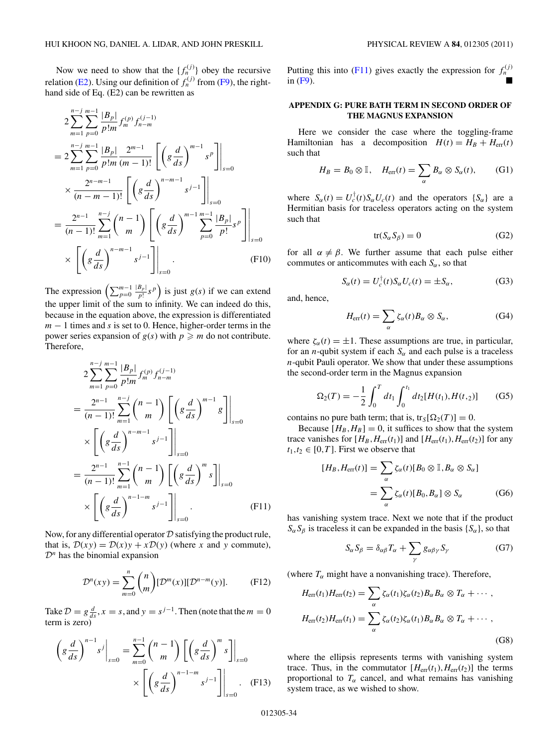<span id="page-33-0"></span>Now we need to show that the  $\{f_n^{(j)}\}$  obey the recursive relation (E2). Using our definition of  $f_n^{(j)}$  from [\(F9\)](#page-32-0), the righthand side of Eq. (E2) can be rewritten as

$$
2\sum_{m=1}^{n-j} \sum_{p=0}^{m-1} \frac{|B_p|}{p!m} f_m^{(p)} f_{n-m}^{(j-1)}
$$
  
= 
$$
2\sum_{m=1}^{n-j} \sum_{p=0}^{m-1} \frac{|B_p|}{p!m} \frac{2^{m-1}}{(m-1)!} \left[ \left( g \frac{d}{ds} \right)^{m-1} s^p \right] \Big|_{s=0}
$$
  

$$
\times \frac{2^{n-m-1}}{(n-m-1)!} \left[ \left( g \frac{d}{ds} \right)^{n-m-1} s^{j-1} \right] \Big|_{s=0}
$$
  
= 
$$
\frac{2^{n-1}}{(n-1)!} \sum_{m=1}^{n-j} {n-1 \choose m} \left[ \left( g \frac{d}{ds} \right)^{m-1} \sum_{p=0}^{m-1} \frac{|B_p|}{p!} s^p \right] \Big|_{s=0}
$$
  

$$
\times \left[ \left( g \frac{d}{ds} \right)^{n-m-1} s^{j-1} \right] \Big|_{s=0} .
$$
 (F10)

The expression  $\left(\sum_{p=0}^{m-1} \frac{|B_p|}{p!} s^p\right)$  is just *g*(*s*) if we can extend the upper limit of the sum to infinity. We can indeed do this, because in the equation above, the expression is differentiated *m* − 1 times and *s* is set to 0. Hence, higher-order terms in the power series expansion of  $g(s)$  with  $p \ge m$  do not contribute. Therefore,

$$
2\sum_{m=1}^{n-j} \sum_{p=0}^{m-1} \frac{|B_p|}{p!m} f_m^{(p)} f_{n-m}^{(j-1)}
$$
  
= 
$$
\frac{2^{n-1}}{(n-1)!} \sum_{m=1}^{n-j} {n-1 \choose m} \left[ \left( g \frac{d}{ds} \right)^{m-1} g \right]_{s=0}
$$
  

$$
\times \left[ \left( g \frac{d}{ds} \right)^{n-m-1} s^{j-1} \right] \Big|_{s=0}
$$
  
= 
$$
\frac{2^{n-1}}{(n-1)!} \sum_{m=1}^{n-1} {n-1 \choose m} \left[ \left( g \frac{d}{ds} \right)^m s \right] \Big|_{s=0}
$$
  

$$
\times \left[ \left( g \frac{d}{ds} \right)^{n-1-m} s^{j-1} \right] \Big|_{s=0} .
$$
 (F11)

Now, for any differential operator  $D$  satisfying the product rule, that is,  $\mathcal{D}(xy) = \mathcal{D}(x)y + x\mathcal{D}(y)$  (where *x* and *y* commute),  $\mathcal{D}^n$  has the binomial expansion

$$
\mathcal{D}^n(xy) = \sum_{m=0}^n \binom{n}{m} [\mathcal{D}^m(x)][\mathcal{D}^{n-m}(y)].
$$
 (F12)

Take  $\mathcal{D} = g \frac{d}{ds}$ ,  $x = s$ , and  $y = s^{j-1}$ . Then (note that the  $m = 0$ term is zero)

$$
\left(g\frac{d}{ds}\right)^{n-1} s^j\Big|_{s=0} = \sum_{m=0}^{n-1} {n-1 \choose m} \left[ \left(g\frac{d}{ds}\right)^m s \right] \Big|_{s=0}
$$

$$
\times \left[ \left( g\frac{d}{ds} \right)^{n-1-m} s^{j-1} \right] \Big|_{s=0} . \quad \text{(F13)}
$$

Putting this into (F11) gives exactly the expression for  $f_n^{(j)}$ in  $(F9)$ .

## **APPENDIX G: PURE BATH TERM IN SECOND ORDER OF THE MAGNUS EXPANSION**

Here we consider the case where the toggling-frame Hamiltonian has a decomposition  $H(t) = H_B + H_{\text{err}}(t)$ such that

$$
H_B = B_0 \otimes \mathbb{I}, \quad H_{\text{err}}(t) = \sum_{\alpha} B_{\alpha} \otimes S_{\alpha}(t), \quad (G1)
$$

where  $S_\alpha(t) = U_c^{\dagger}(t)S_\alpha U_c(t)$  and the operators  $\{S_\alpha\}$  are a Hermitian basis for traceless operators acting on the system such that

$$
tr(S_{\alpha}S_{\beta}) = 0
$$
 (G2)

for all  $\alpha \neq \beta$ . We further assume that each pulse either commutes or anticommutes with each  $S_\alpha$ , so that

$$
S_{\alpha}(t) = U_c^{\dagger}(t) S_{\alpha} U_c(t) = \pm S_{\alpha}, \qquad (G3)
$$

and, hence,

$$
H_{\rm err}(t) = \sum_{\alpha} \zeta_{\alpha}(t) B_{\alpha} \otimes S_{\alpha}, \qquad (G4)
$$

where  $\zeta_{\alpha}(t) = \pm 1$ . These assumptions are true, in particular, for an *n*-qubit system if each  $S_\alpha$  and each pulse is a traceless *n*-qubit Pauli operator. We show that under these assumptions the second-order term in the Magnus expansion

$$
\Omega_2(T) = -\frac{1}{2} \int_0^T dt_1 \int_0^{t_1} dt_2 [H(t_1), H(t_2)] \qquad (G5)
$$

contains no pure bath term; that is,  $\text{tr}_{S}[\Omega_2(T)] = 0$ .

Because  $[H_B, H_B] = 0$ , it suffices to show that the system trace vanishes for  $[H_B, H_{\text{err}}(t_1)]$  and  $[H_{\text{err}}(t_1), H_{\text{err}}(t_2)]$  for any  $t_1, t_2 \in [0, T]$ . First we observe that

$$
[H_B, H_{\text{err}}(t)] = \sum_{\alpha} \zeta_{\alpha}(t) [B_0 \otimes \mathbb{I}, B_{\alpha} \otimes S_{\alpha}]
$$

$$
= \sum_{\alpha} \zeta_{\alpha}(t) [B_0, B_{\alpha}] \otimes S_{\alpha} \qquad (G6)
$$

has vanishing system trace. Next we note that if the product  $S_{\alpha}S_{\beta}$  is traceless it can be expanded in the basis  $\{S_{\alpha}\}\$ , so that

$$
S_{\alpha} S_{\beta} = \delta_{\alpha\beta} T_{\alpha} + \sum_{\gamma} g_{\alpha\beta\gamma} S_{\gamma}
$$
 (G7)

(where  $T_{\alpha}$  might have a nonvanishing trace). Therefore,

$$
H_{\text{err}}(t_1)H_{\text{err}}(t_2) = \sum_{\alpha} \zeta_{\alpha}(t_1)\zeta_{\alpha}(t_2)B_{\alpha}B_{\alpha} \otimes T_{\alpha} + \cdots,
$$
  

$$
H_{\text{err}}(t_2)H_{\text{err}}(t_1) = \sum_{\alpha} \zeta_{\alpha}(t_2)\zeta_{\alpha}(t_1)B_{\alpha}B_{\alpha} \otimes T_{\alpha} + \cdots,
$$
 (G8)

where the ellipsis represents terms with vanishing system trace. Thus, in the commutator  $[H_{\text{err}}(t_1), H_{\text{err}}(t_2)]$  the terms proportional to  $T_\alpha$  cancel, and what remains has vanishing system trace, as we wished to show.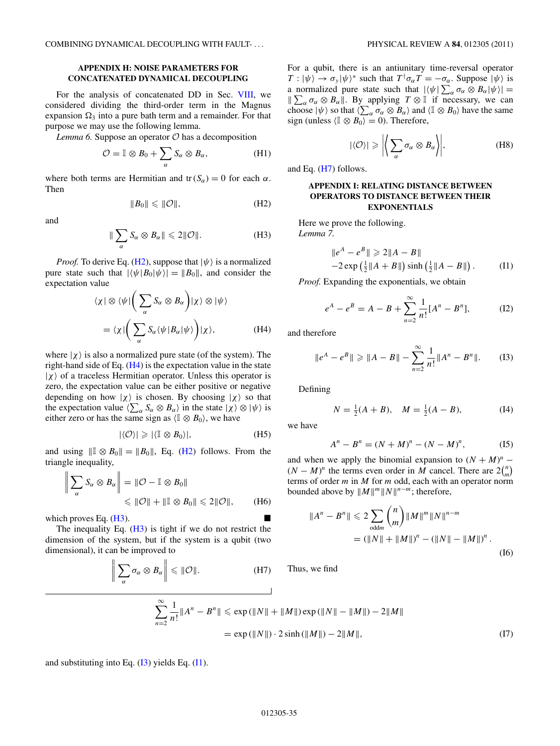## <span id="page-34-0"></span>**APPENDIX H: NOISE PARAMETERS FOR CONCATENATED DYNAMICAL DECOUPLING**

For the analysis of concatenated DD in Sec. [VIII,](#page-18-0) we considered dividing the third-order term in the Magnus expansion  $\Omega_3$  into a pure bath term and a remainder. For that purpose we may use the following lemma.

*Lemma 6.* Suppose an operator  $\mathcal O$  has a decomposition

$$
\mathcal{O} = \mathbb{I} \otimes B_0 + \sum_{\alpha} S_{\alpha} \otimes B_{\alpha}, \tag{H1}
$$

where both terms are Hermitian and tr  $(S_\alpha) = 0$  for each  $\alpha$ . Then

$$
||B_0|| \leq ||\mathcal{O}||, \tag{H2}
$$

and

$$
\|\sum_{\alpha} S_{\alpha} \otimes B_{\alpha}\| \leq 2 \|\mathcal{O}\|.\tag{H3}
$$

*Proof.* To derive Eq. (H2), suppose that  $|\psi\rangle$  is a normalized pure state such that  $|\langle \psi | B_0 | \psi \rangle| = ||B_0||$ , and consider the expectation value

$$
\langle \chi | \otimes \langle \psi | \left( \sum_{\alpha} S_{\alpha} \otimes B_{\alpha} \right) | \chi \rangle \otimes | \psi \rangle
$$
  
=\langle \chi | \left( \sum\_{\alpha} S\_{\alpha} \langle \psi | B\_{\alpha} | \psi \rangle \right) | \chi \rangle, \qquad (H4)

where  $|\chi\rangle$  is also a normalized pure state (of the system). The right-hand side of Eq.  $(H4)$  is the expectation value in the state  $|\chi\rangle$  of a traceless Hermitian operator. Unless this operator is zero, the expectation value can be either positive or negative depending on how  $|\chi\rangle$  is chosen. By choosing  $|\chi\rangle$  so that the expectation value  $\langle \sum_{\alpha} S_{\alpha} \otimes B_{\alpha} \rangle$  in the state  $|\chi \rangle \otimes |\psi \rangle$  is either zero or has the same sign as  $\langle \mathbb{I} \otimes B_0 \rangle$ , we have

$$
|\langle \mathcal{O} \rangle| \geqslant |\langle \mathbb{I} \otimes B_0 \rangle|, \tag{H5}
$$

and using  $\|\mathbb{I} \otimes B_0\| = \|B_0\|$ , Eq. (H2) follows. From the triangle inequality,

$$
\left\| \sum_{\alpha} S_{\alpha} \otimes B_{\alpha} \right\| = \left\| \mathcal{O} - \mathbb{I} \otimes B_{0} \right\|
$$
  
\$\leqslant \|\mathcal{O}\| + \|\mathbb{I} \otimes B\_{0}\| \leqslant 2\|\mathcal{O}\|\$, (H6)

which proves Eq. (H3).

 $\mathbf{u}$  .

The inequality Eq.  $(H3)$  is tight if we do not restrict the dimension of the system, but if the system is a qubit (two dimensional), it can be improved to

$$
\left\| \sum_{\alpha} \sigma_{\alpha} \otimes B_{\alpha} \right\| \leq \|\mathcal{O}\|.
$$
 (H7)

For a qubit, there is an antiunitary time-reversal operator  $T : |\psi\rangle \rightarrow \sigma_y |\psi\rangle^*$  such that  $T^{\dagger} \sigma_\alpha T = -\sigma_\alpha$ . Suppose  $|\psi\rangle$  is a normalized pure state such that  $|\langle \psi | \sum_{\alpha} \sigma_{\alpha} \otimes B_{\alpha} | \psi \rangle|$  =  $\|\sum_{\alpha}\sigma_{\alpha}\otimes B_{\alpha}\|$ . By applying  $T\otimes\mathbb{I}$  if necessary, we can choose  $|\psi\rangle$  so that  $\langle \sum_{\alpha} \sigma_{\alpha} \otimes B_{\alpha} \rangle$  and  $\langle \mathbb{I} \otimes B_0 \rangle$  have the same sign (unless  $\langle \mathbb{I} \otimes B_0 \rangle = 0$ ). Therefore,

$$
|\langle \mathcal{O} \rangle| \geqslant \left| \left\langle \sum_{\alpha} \sigma_{\alpha} \otimes B_{\alpha} \right\rangle \right|, \tag{H8}
$$

and Eq. (H7) follows.

## **APPENDIX I: RELATING DISTANCE BETWEEN OPERATORS TO DISTANCE BETWEEN THEIR EXPONENTIALS**

Here we prove the following. *Lemma 7.*

$$
\|e^A - e^B\| \ge 2\|A - B\|
$$
  
-2 exp  $\left(\frac{1}{2} \|A + B\| \right)$  sinh  $\left(\frac{1}{2} \|A - B\| \right)$ . (I1)

*Proof.* Expanding the exponentials, we obtain

$$
e^{A} - e^{B} = A - B + \sum_{n=2}^{\infty} \frac{1}{n!} [A^{n} - B^{n}],
$$
 (I2)

and therefore

$$
||e^A - e^B|| \ge ||A - B|| - \sum_{n=2}^{\infty} \frac{1}{n!} ||A^n - B^n||. \tag{I3}
$$

Defining

$$
N = \frac{1}{2}(A + B), \quad M = \frac{1}{2}(A - B), \tag{14}
$$

we have

$$
A^n - B^n = (N + M)^n - (N - M)^n, \tag{15}
$$

and when we apply the binomial expansion to  $(N + M)^n$  –  $(N - M)^n$  the terms even order in *M* cancel. There are  $2\binom{n}{m}$ terms of order *m* in *M* for *m* odd, each with an operator norm bounded above by  $||M||^m ||N||^{n-m}$ ; therefore,

$$
||A^{n} - B^{n}|| \leq 2 \sum_{\text{odd}m} {n \choose m} ||M||^{m} ||N||^{n-m}
$$
  
=  $(||N|| + ||M||)^{n} - (||N|| - ||M||)^{n}$ . (16)

Thus, we find

$$
\sum_{n=2}^{\infty} \frac{1}{n!} ||A^n - B^n|| \le \exp(||N|| + ||M||) \exp(||N|| - ||M||) - 2||M||
$$
  
=  $\exp(||N||) \cdot 2 \sinh(||M||) - 2||M||,$  (I7)

and substituting into Eq.  $(13)$  yields Eq.  $(11)$ .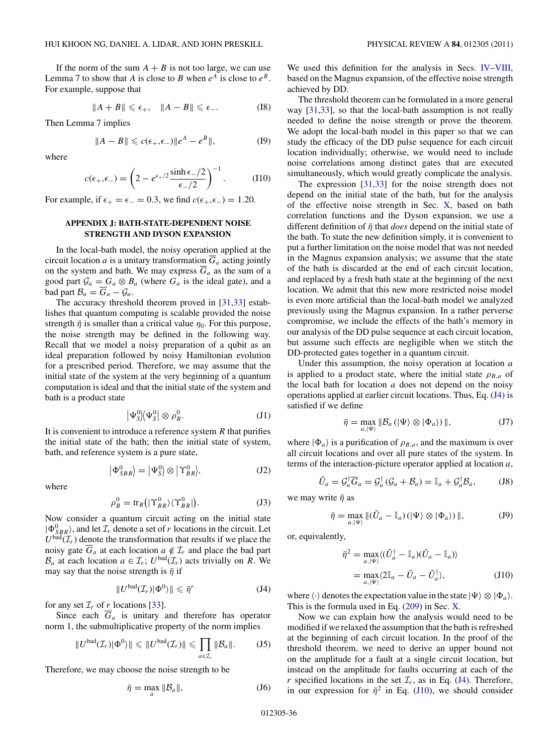<span id="page-35-0"></span>If the norm of the sum  $A + B$  is not too large, we can use Lemma 7 to show that *A* is close to *B* when  $e^A$  is close to  $e^B$ . For example, suppose that

$$
||A + B|| \leq \epsilon_+, \quad ||A - B|| \leq \epsilon_-.
$$
 (18)

Then Lemma 7 implies

$$
||A - B|| \leqslant c(\epsilon_+, \epsilon_-)||e^A - e^B||,
$$
 (I9)

where

$$
c(\epsilon_+, \epsilon_-) = \left(2 - e^{\epsilon_+/2} \frac{\sinh \epsilon_-/2}{\epsilon_-/2}\right)^{-1}.
$$
 (110)

For example, if  $\epsilon_+ = \epsilon_- = 0.3$ , we find  $c(\epsilon_+,\epsilon_-) = 1.20$ .

## **APPENDIX J: BATH-STATE-DEPENDENT NOISE STRENGTH AND DYSON EXPANSION**

In the local-bath model, the noisy operation applied at the circuit location *a* is a unitary transformation  $\overline{G}_a$  acting jointly on the system and bath. We may express  $G_a$  as the sum of a good part  $\mathcal{G}_a = G_a \otimes B_a$  (where  $G_a$  is the ideal gate), and a bad part  $\mathcal{B}_a = \overline{G}_a - \mathcal{G}_a$ .

The accuracy threshold theorem proved in  $[31,33]$  establishes that quantum computing is scalable provided the noise strength  $\bar{\eta}$  is smaller than a critical value  $\eta_0$ . For this purpose, the noise strength may be defined in the following way. Recall that we model a noisy preparation of a qubit as an ideal preparation followed by noisy Hamiltonian evolution for a prescribed period. Therefore, we may assume that the initial state of the system at the very beginning of a quantum computation is ideal and that the initial state of the system and bath is a product state

$$
\left|\Psi_S^0\right\rangle\!\!\left\langle\Psi_S^0\right|\otimes\rho_B^0.\tag{J1}
$$

It is convenient to introduce a reference system *R* that purifies the initial state of the bath; then the initial state of system, bath, and reference system is a pure state,

$$
\left| \Phi_{SBR}^0 \right\rangle = \left| \Psi_S^0 \right\rangle \otimes \left| \Upsilon_{BR}^0 \right\rangle, \tag{J2}
$$

where

$$
\rho_B^0 = \text{tr}_R(|\Upsilon_{BR}^0\rangle \langle \Upsilon_{BR}^0|). \tag{J3}
$$

Now consider a quantum circuit acting on the initial state  $|\Phi_{SRR}^0\rangle$ , and let  $\mathcal{I}_r$  denote a set of *r* locations in the circuit. Let  $U^{\text{bad}}(\mathcal{I}_r)$  denote the transformation that results if we place the noisy gate  $\overline{G}_a$  at each location  $a \notin \mathcal{I}_r$  and place the bad part  $B_a$  at each location  $a \in \mathcal{I}_r$ ;  $U^{\text{bad}}(\mathcal{I}_r)$  acts trivially on *R*. We may say that the noise strength is  $\bar{\eta}$  if

$$
||U^{\text{bad}}(\mathcal{I}_r)|\Phi^0\rangle|| \leq \bar{\eta}^r
$$
 (J4)

for any set  $\mathcal{I}_r$  of *r* locations [\[33\]](#page-37-0).

Since each  $\overline{G}_a$  is unitary and therefore has operator norm 1, the submultiplicative property of the norm implies

$$
||U^{\text{bad}}(\mathcal{I}_r)|\Phi^0\rangle|| \leq ||U^{\text{bad}}(\mathcal{I}_r)|| \leq \prod_{a \in \mathcal{I}_r} ||\mathcal{B}_a||. \tag{J5}
$$

Therefore, we may choose the noise strength to be

$$
\bar{\eta} = \max_{a} \|\mathcal{B}_a\|,\tag{J6}
$$

We used this definition for the analysis in Secs. [IV](#page-5-0)[–VIII,](#page-18-0) based on the Magnus expansion, of the effective noise strength achieved by DD.

The threshold theorem can be formulated in a more general way [\[31,33\]](#page-37-0), so that the local-bath assumption is not really needed to define the noise strength or prove the theorem. We adopt the local-bath model in this paper so that we can study the efficacy of the DD pulse sequence for each circuit location individually; otherwise, we would need to include noise correlations among distinct gates that are executed simultaneously, which would greatly complicate the analysis.

The expression [\[31,33\]](#page-37-0) for the noise strength does not depend on the initial state of the bath, but for the analysis of the effective noise strength in Sec. [X,](#page-24-0) based on bath correlation functions and the Dyson expansion, we use a different definition of  $\bar{\eta}$  that *does* depend on the initial state of the bath. To state the new definition simply, it is convenient to put a further limitation on the noise model that was not needed in the Magnus expansion analysis; we assume that the state of the bath is discarded at the end of each circuit location, and replaced by a fresh bath state at the beginning of the next location. We admit that this new more restricted noise model is even more artificial than the local-bath model we analyzed previously using the Magnus expansion. In a rather perverse compromise, we include the effects of the bath's memory in our analysis of the DD pulse sequence at each circuit location, but assume such effects are negligible when we stitch the DD-protected gates together in a quantum circuit.

Under this assumption, the noisy operation at location *a* is applied to a product state, where the initial state  $\rho_{B,a}$  of the local bath for location *a* does not depend on the noisy operations applied at earlier circuit locations. Thus, Eq. (J4) is satisfied if we define

$$
\bar{\eta} = \max_{a,|\Psi\rangle} \|\mathcal{B}_a\left(|\Psi\rangle \otimes |\Phi_a\rangle\right)\|,\tag{J7}
$$

where  $|\Phi_a\rangle$  is a purification of  $\rho_{B,a}$ , and the maximum is over all circuit locations and over all pure states of the system. In terms of the interaction-picture operator applied at location *a*,

$$
\tilde{U}_a = \mathcal{G}_a^{\dagger} \overline{G}_a = \mathcal{G}_a^{\dagger} (\mathcal{G}_a + \mathcal{B}_a) = \mathbb{I}_a + \mathcal{G}_a^{\dagger} \mathcal{B}_a, \tag{J8}
$$

we may write  $\bar{\eta}$  as

$$
\bar{\eta} = \max_{a, |\Psi\rangle} \| (\tilde{U}_a - \mathbb{I}_a) (|\Psi\rangle \otimes |\Phi_a\rangle) \|, \tag{J9}
$$

or, equivalently,

$$
\bar{\eta}^2 = \max_{a,|\Psi\rangle} \langle (\tilde{U}_a^{\dagger} - \mathbb{I}_a)(\tilde{U}_a - \mathbb{I}_a) \rangle
$$
  
= 
$$
\max_{a,|\Psi\rangle} \langle 2\mathbb{I}_a - \tilde{U}_a - \tilde{U}_a^{\dagger} \rangle,
$$
 (J10)

where  $\langle \cdot \rangle$  denotes the expectation value in the state  $|\Psi\rangle \otimes |\Phi_a\rangle$ . This is the formula used in Eq. [\(209\)](#page-24-0) in Sec. [X.](#page-24-0)

Now we can explain how the analysis would need to be modified if we relaxed the assumption that the bath is refreshed at the beginning of each circuit location. In the proof of the threshold theorem, we need to derive an upper bound not on the amplitude for a fault at a single circuit location, but instead on the amplitude for faults occurring at each of the *r* specified locations in the set  $\mathcal{I}_r$ , as in Eq. (J4). Therefore, in our expression for  $\bar{\eta}^2$  in Eq. (J10), we should consider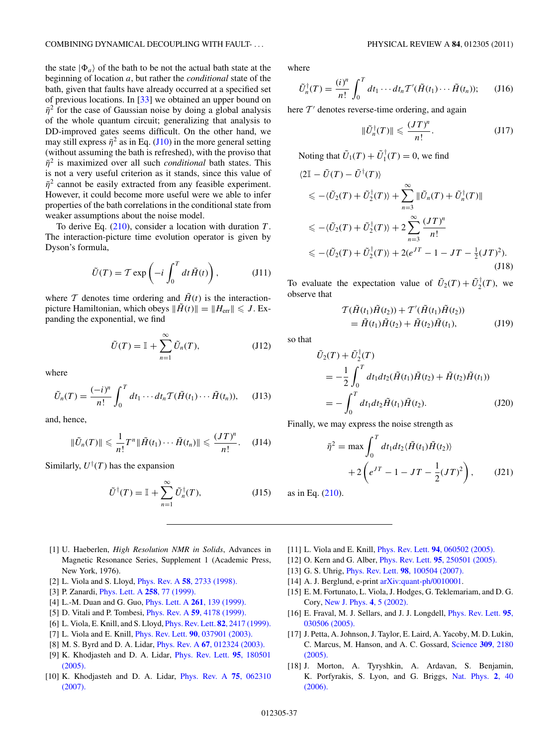<span id="page-36-0"></span>the state  $|\Phi_a\rangle$  of the bath to be not the actual bath state at the beginning of location *a*, but rather the *conditional* state of the bath, given that faults have already occurred at a specified set of previous locations. In [\[33\]](#page-37-0) we obtained an upper bound on  $\bar{\eta}^2$  for the case of Gaussian noise by doing a global analysis of the whole quantum circuit; generalizing that analysis to DD-improved gates seems difficult. On the other hand, we may still express  $\bar{\eta}^2$  as in Eq. [\(J10\)](#page-35-0) in the more general setting (without assuming the bath is refreshed), with the proviso that  $\bar{\eta}^2$  is maximized over all such *conditional* bath states. This is not a very useful criterion as it stands, since this value of  $\bar{\eta}^2$  cannot be easily extracted from any feasible experiment. However, it could become more useful were we able to infer properties of the bath correlations in the conditional state from weaker assumptions about the noise model.

To derive Eq. [\(210\)](#page-24-0), consider a location with duration *T* . The interaction-picture time evolution operator is given by Dyson's formula,

$$
\tilde{U}(T) = T \exp\left(-i \int_0^T dt \tilde{H}(t)\right), \qquad (J11)
$$

where  $\mathcal T$  denotes time ordering and  $\tilde H(t)$  is the interactionpicture Hamiltonian, which obeys  $\|\tilde{H}(t)\| = \|H_{\text{err}}\| \leq J$ . Expanding the exponential, we find

$$
\tilde{U}(T) = \mathbb{I} + \sum_{n=1}^{\infty} \tilde{U}_n(T), \qquad (J12)
$$

where

$$
\tilde{U}_n(T) = \frac{(-i)^n}{n!} \int_0^T dt_1 \cdots dt_n \mathcal{T}(\tilde{H}(t_1) \cdots \tilde{H}(t_n)), \quad (J13)
$$

and, hence,

$$
\|\tilde{U}_n(T)\| \leqslant \frac{1}{n!}T^n \|\tilde{H}(t_1)\cdots\tilde{H}(t_n)\| \leqslant \frac{(JT)^n}{n!}.
$$
 (J14)

Similarly,  $U^{\dagger}(T)$  has the expansion

$$
\tilde{U}^{\dagger}(T) = \mathbb{I} + \sum_{n=1}^{\infty} \tilde{U}_n^{\dagger}(T), \qquad (J15)
$$

- [1] U. Haeberlen, *High Resolution NMR in Solids*, Advances in Magnetic Resonance Series, Supplement 1 (Academic Press, New York, 1976).
- [2] L. Viola and S. Lloyd, Phys. Rev. A **58**[, 2733 \(1998\).](http://dx.doi.org/10.1103/PhysRevA.58.2733)
- [3] P. Zanardi, [Phys. Lett. A](http://dx.doi.org/10.1016/S0375-9601(99)00365-5) **258**, 77 (1999).
- [4] L.-M. Duan and G. Guo, [Phys. Lett. A](http://dx.doi.org/10.1016/S0375-9601(99)00592-7) **261**, 139 (1999).
- [5] D. Vitali and P. Tombesi, Phys. Rev. A **59**[, 4178 \(1999\).](http://dx.doi.org/10.1103/PhysRevA.59.4178)
- [6] L. Viola, E. Knill, and S. Lloyd, [Phys. Rev. Lett.](http://dx.doi.org/10.1103/PhysRevLett.82.2417) **82**, 2417 (1999).
- [7] L. Viola and E. Knill, Phys. Rev. Lett. **90**[, 037901 \(2003\).](http://dx.doi.org/10.1103/PhysRevLett.90.037901)
- [8] M. S. Byrd and D. A. Lidar, Phys. Rev. A **67**[, 012324 \(2003\).](http://dx.doi.org/10.1103/PhysRevA.67.012324)
- [9] K. Khodjasteh and D. A. Lidar, [Phys. Rev. Lett.](http://dx.doi.org/10.1103/PhysRevLett.95.180501) **95**, 180501 [\(2005\).](http://dx.doi.org/10.1103/PhysRevLett.95.180501)
- [10] K. Khodjasteh and D. A. Lidar, [Phys. Rev. A](http://dx.doi.org/10.1103/PhysRevA.75.062310) **75**, 062310 [\(2007\).](http://dx.doi.org/10.1103/PhysRevA.75.062310)

where

$$
\tilde{U}_n^{\dagger}(T) = \frac{(i)^n}{n!} \int_0^T dt_1 \cdots dt_n T'(\tilde{H}(t_1) \cdots \tilde{H}(t_n)); \qquad (J16)
$$

here  $T'$  denotes reverse-time ordering, and again

$$
\|\tilde{U}_n^{\dagger}(T)\| \leqslant \frac{(JT)^n}{n!}.
$$
 (J17)

Noting that  $\tilde{U}_1(T) + \tilde{U}_1^{\dagger}(T) = 0$ , we find

$$
\langle 2\mathbb{I} - \tilde{U}(T) - \tilde{U}^{\dagger}(T) \rangle
$$
  
\n
$$
\leq -\langle \tilde{U}_2(T) + \tilde{U}_2^{\dagger}(T) \rangle + \sum_{n=3}^{\infty} \|\tilde{U}_n(T) + \tilde{U}_n^{\dagger}(T)\|
$$
  
\n
$$
\leq -\langle \tilde{U}_2(T) + \tilde{U}_2^{\dagger}(T) \rangle + 2 \sum_{n=3}^{\infty} \frac{(JT)^n}{n!}
$$
  
\n
$$
\leq -\langle \tilde{U}_2(T) + \tilde{U}_2^{\dagger}(T) \rangle + 2(e^{JT} - 1 - JT - \frac{1}{2}(JT)^2).
$$
\n(J18)

To evaluate the expectation value of  $\tilde{U}_2(T) + \tilde{U}_2^{\dagger}(T)$ , we observe that

$$
\mathcal{T}(\tilde{H}(t_1)\tilde{H}(t_2)) + \mathcal{T}'(\tilde{H}(t_1)\tilde{H}(t_2))
$$
  
=  $\tilde{H}(t_1)\tilde{H}(t_2) + \tilde{H}(t_2)\tilde{H}(t_1),$  (J19)

so that

$$
\tilde{U}_2(T) + \tilde{U}_2^{\dagger}(T)
$$
\n
$$
= -\frac{1}{2} \int_0^T dt_1 dt_2 (\tilde{H}(t_1) \tilde{H}(t_2) + \tilde{H}(t_2) \tilde{H}(t_1))
$$
\n
$$
= -\int_0^T dt_1 dt_2 \tilde{H}(t_1) \tilde{H}(t_2).
$$
\n(J20)

Finally, we may express the noise strength as

$$
\bar{\eta}^2 = \max \int_0^T dt_1 dt_2 \langle \tilde{H}(t_1) \tilde{H}(t_2) \rangle
$$
  
+2\left(e^{JT} - 1 - JT - \frac{1}{2}(JT)^2\right), (J21)

as in Eq. [\(210\)](#page-24-0).

- [11] L. Viola and E. Knill, Phys. Rev. Lett. **94**[, 060502 \(2005\).](http://dx.doi.org/10.1103/PhysRevLett.94.060502)
- [12] O. Kern and G. Alber, Phys. Rev. Lett. **95**[, 250501 \(2005\).](http://dx.doi.org/10.1103/PhysRevLett.95.250501)
- [13] G. S. Uhrig, Phys. Rev. Lett. **98**[, 100504 \(2007\).](http://dx.doi.org/10.1103/PhysRevLett.98.100504)
- [14] A. J. Berglund, e-print [arXiv:quant-ph/0010001.](http://arXiv.org/abs/arXiv:quant-ph/0010001)
- [15] E. M. Fortunato, L. Viola, J. Hodges, G. Teklemariam, and D. G. Cory, [New J. Phys.](http://dx.doi.org/10.1088/1367-2630/4/1/305) **4**, 5 (2002).
- [16] E. Fraval, M. J. Sellars, and J. J. Longdell, [Phys. Rev. Lett.](http://dx.doi.org/10.1103/PhysRevLett.95.030506) **95**, [030506 \(2005\).](http://dx.doi.org/10.1103/PhysRevLett.95.030506)
- [17] J. Petta, A. Johnson, J. Taylor, E. Laird, A. Yacoby, M. D. Lukin, C. Marcus, M. Hanson, and A. C. Gossard, [Science](http://dx.doi.org/10.1126/science.1116955) **309**, 2180 [\(2005\).](http://dx.doi.org/10.1126/science.1116955)
- [18] J. Morton, A. Tyryshkin, A. Ardavan, S. Benjamin, K. Porfyrakis, S. Lyon, and G. Briggs, [Nat. Phys.](http://dx.doi.org/10.1038/nphys192) **2**, 40 [\(2006\).](http://dx.doi.org/10.1038/nphys192)